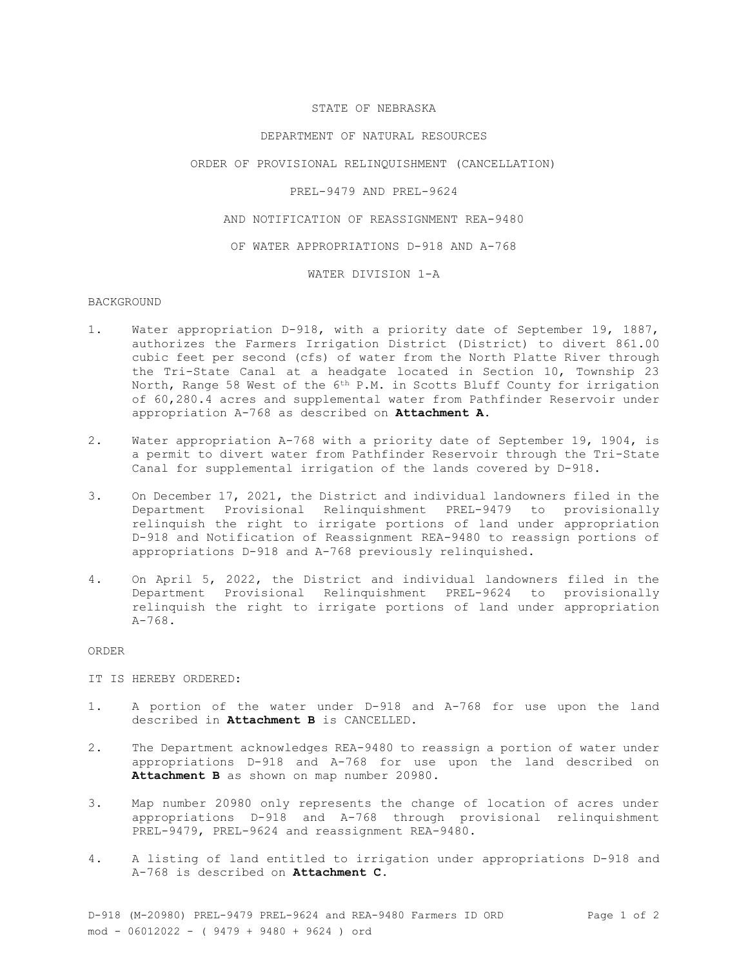## STATE OF NEBRASKA

#### DEPARTMENT OF NATURAL RESOURCES

#### ORDER OF PROVISIONAL RELINQUISHMENT (CANCELLATION)

## PREL-9479 AND PREL-9624

### AND NOTIFICATION OF REASSIGNMENT REA-9480

#### OF WATER APPROPRIATIONS D-918 AND A-768

#### WATER DIVISION 1-A

## BACKGROUND

- 1. Water appropriation D-918, with a priority date of September 19, 1887, authorizes the Farmers Irrigation District (District) to divert 861.00 cubic feet per second (cfs) of water from the North Platte River through the Tri-State Canal at a headgate located in Section 10, Township 23 North, Range 58 West of the 6th P.M. in Scotts Bluff County for irrigation of 60,280.4 acres and supplemental water from Pathfinder Reservoir under appropriation A-768 as described on **Attachment A**.
- 2. Water appropriation A-768 with a priority date of September 19, 1904, is a permit to divert water from Pathfinder Reservoir through the Tri-State Canal for supplemental irrigation of the lands covered by D-918.
- 3. On December 17, 2021, the District and individual landowners filed in the Department Provisional Relinquishment PREL-9479 to provisionally relinquish the right to irrigate portions of land under appropriation D-918 and Notification of Reassignment REA-9480 to reassign portions of appropriations D-918 and A-768 previously relinquished.
- 4. On April 5, 2022, the District and individual landowners filed in the Department Provisional Relinquishment PREL-9624 to provisionally relinquish the right to irrigate portions of land under appropriation  $A-768$ .

#### ORDER

### IT IS HEREBY ORDERED:

- 1. A portion of the water under D-918 and A-768 for use upon the land described in **Attachment B** is CANCELLED.
- 2. The Department acknowledges REA-9480 to reassign a portion of water under appropriations D-918 and A-768 for use upon the land described on **Attachment B** as shown on map number 20980.
- 3. Map number 20980 only represents the change of location of acres under appropriations D-918 and A-768 through provisional relinquishment PREL-9479, PREL-9624 and reassignment REA-9480.
- 4. A listing of land entitled to irrigation under appropriations D-918 and A-768 is described on **Attachment C**.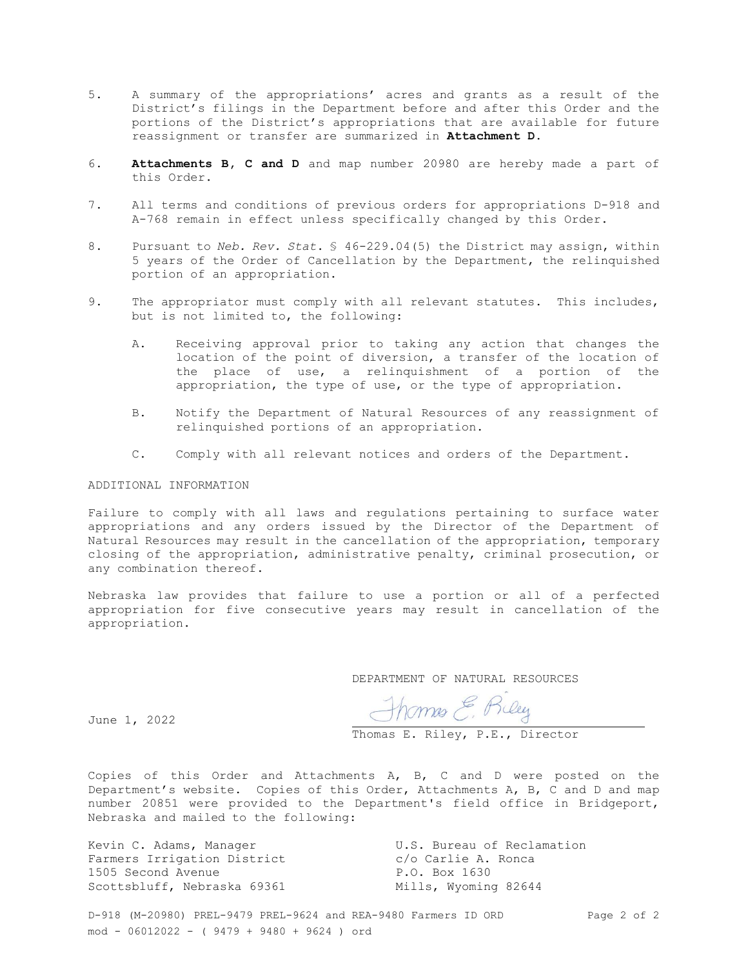- 5. A summary of the appropriations' acres and grants as a result of the District's filings in the Department before and after this Order and the portions of the District's appropriations that are available for future reassignment or transfer are summarized in **Attachment D**.
- 6. **Attachments B, C and D** and map number 20980 are hereby made a part of this Order.
- 7. All terms and conditions of previous orders for appropriations D-918 and A-768 remain in effect unless specifically changed by this Order.
- 8. Pursuant to *Neb. Rev. Stat*. § 46-229.04(5) the District may assign, within 5 years of the Order of Cancellation by the Department, the relinquished portion of an appropriation.
- 9. The appropriator must comply with all relevant statutes. This includes, but is not limited to, the following:
	- A. Receiving approval prior to taking any action that changes the location of the point of diversion, a transfer of the location of the place of use, a relinquishment of a portion of the appropriation, the type of use, or the type of appropriation.
	- B. Notify the Department of Natural Resources of any reassignment of relinquished portions of an appropriation.
	- C. Comply with all relevant notices and orders of the Department.

## ADDITIONAL INFORMATION

Failure to comply with all laws and regulations pertaining to surface water appropriations and any orders issued by the Director of the Department of Natural Resources may result in the cancellation of the appropriation, temporary closing of the appropriation, administrative penalty, criminal prosecution, or any combination thereof.

Nebraska law provides that failure to use a portion or all of a perfected appropriation for five consecutive years may result in cancellation of the appropriation.

DEPARTMENT OF NATURAL RESOURCES

June 1, 2022

Thomas E. Riley

Thomas E. Riley, P.E., Director

Copies of this Order and Attachments A, B, C and D were posted on the Department's website. Copies of this Order, Attachments A, B, C and D and map number 20851 were provided to the Department's field office in Bridgeport, Nebraska and mailed to the following:

Farmers Irrigation District and Communic Control R. Ronca 1505 Second Avenue P.O. Box 1630 Scottsbluff, Nebraska 69361 Mills, Wyoming 82644

Kevin C. Adams, Manager The Music Constants U.S. Bureau of Reclamation

D-918 (M-20980) PREL-9479 PREL-9624 and REA-9480 Farmers ID ORD Page 2 of 2 mod - 06012022 - ( 9479 + 9480 + 9624 ) ord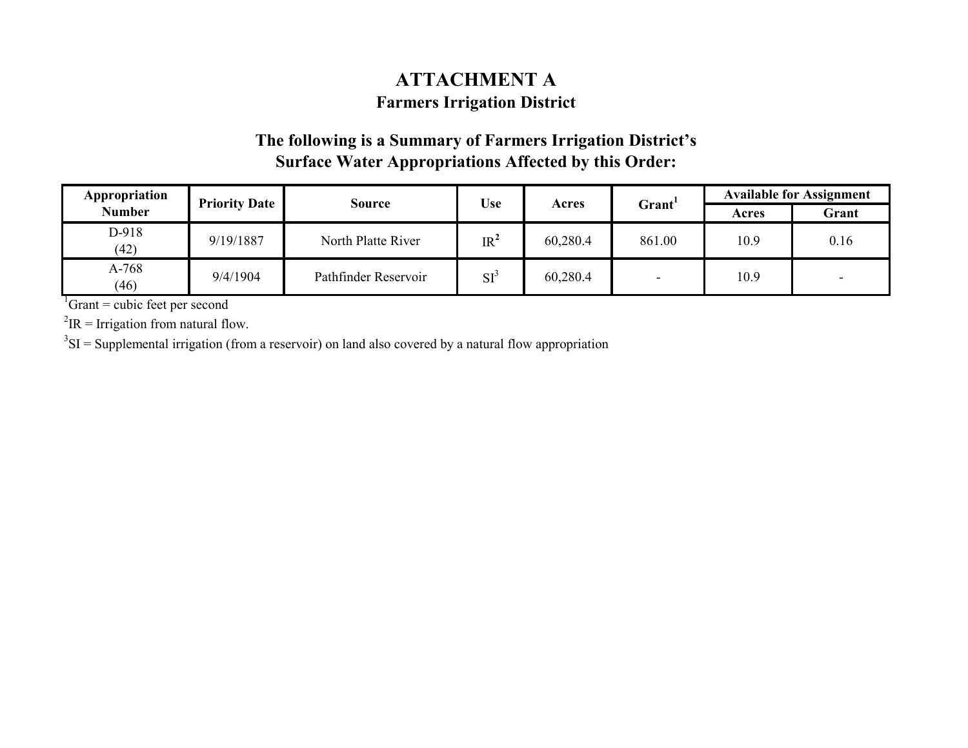## **ATTACHMENT A Farmers Irrigation District**

## **The following is a Summary of Farmers Irrigation District's Surface Water Appropriations Affected by this Order:**

| Appropriation<br><b>Priority Date</b> |           | Source               |                 | <b>Use</b> |        | <b>Available for Assignment</b> |                          |
|---------------------------------------|-----------|----------------------|-----------------|------------|--------|---------------------------------|--------------------------|
| <b>Number</b>                         |           |                      |                 | Acres      | Grant' | Acres                           | Grant                    |
| D-918<br>(42)                         | 9/19/1887 | North Platte River   | IR <sup>2</sup> | 60,280.4   | 861.00 | 10.9                            | 0.16                     |
| A-768<br>(46)                         | 9/4/1904  | Pathfinder Reservoir | $SI^2$          | 60,280.4   |        | 10.9                            | $\overline{\phantom{0}}$ |

 ${}^{1}$ Grant = cubic feet per second

 ${}^{2}$ IR = Irrigation from natural flow.

 $3\text{SI}$  = Supplemental irrigation (from a reservoir) on land also covered by a natural flow appropriation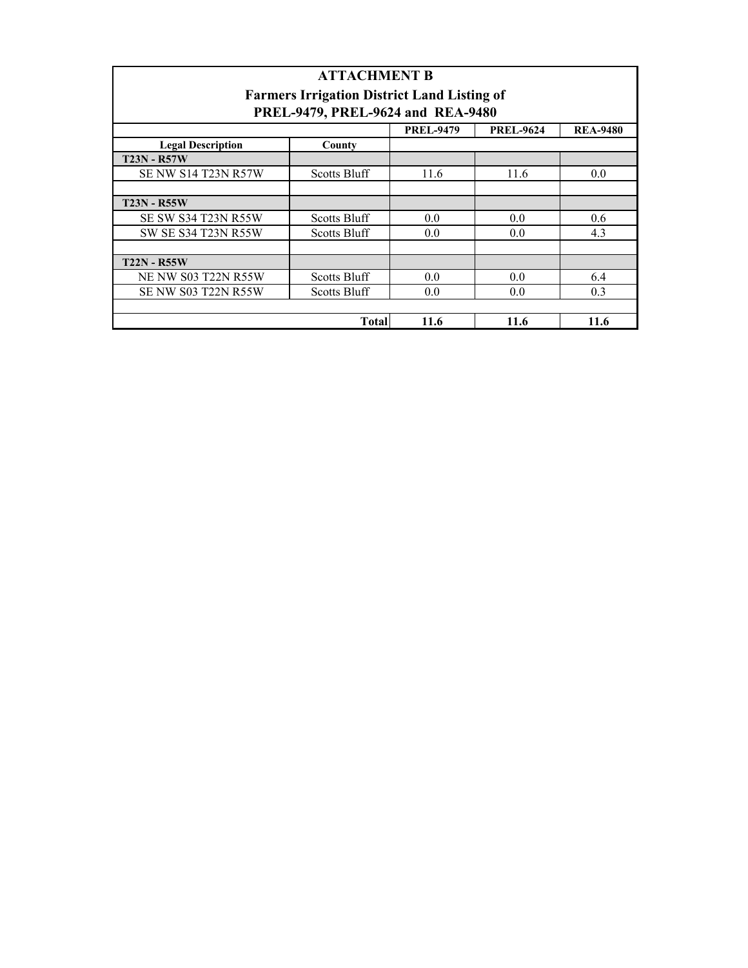| <b>ATTACHMENT B</b>        |                                                    |                  |                  |                 |  |  |
|----------------------------|----------------------------------------------------|------------------|------------------|-----------------|--|--|
|                            | <b>Farmers Irrigation District Land Listing of</b> |                  |                  |                 |  |  |
|                            | PREL-9479, PREL-9624 and REA-9480                  |                  |                  |                 |  |  |
|                            |                                                    | <b>PREL-9479</b> | <b>PREL-9624</b> | <b>REA-9480</b> |  |  |
| <b>Legal Description</b>   | County                                             |                  |                  |                 |  |  |
| <b>T23N - R57W</b>         |                                                    |                  |                  |                 |  |  |
| <b>SE NW S14 T23N R57W</b> | <b>Scotts Bluff</b>                                | 11.6             | 11.6             | 0.0             |  |  |
|                            |                                                    |                  |                  |                 |  |  |
| <b>T23N - R55W</b>         |                                                    |                  |                  |                 |  |  |
| <b>SE SW S34 T23N R55W</b> | <b>Scotts Bluff</b>                                | 0.0              | 0.0              | 0.6             |  |  |
| <b>SW SE S34 T23N R55W</b> | <b>Scotts Bluff</b>                                | 0.0              | 0.0              | 4.3             |  |  |
|                            |                                                    |                  |                  |                 |  |  |
| <b>T22N - R55W</b>         |                                                    |                  |                  |                 |  |  |
| <b>NE NW S03 T22N R55W</b> | <b>Scotts Bluff</b>                                | 0.0              | 0.0              | 6.4             |  |  |
| SE NW S03 T22N R55W        | <b>Scotts Bluff</b>                                | 0.0              | 0.0              | 0.3             |  |  |
|                            |                                                    |                  |                  |                 |  |  |
|                            | <b>Total</b>                                       | 11.6             | 11.6             | 11.6            |  |  |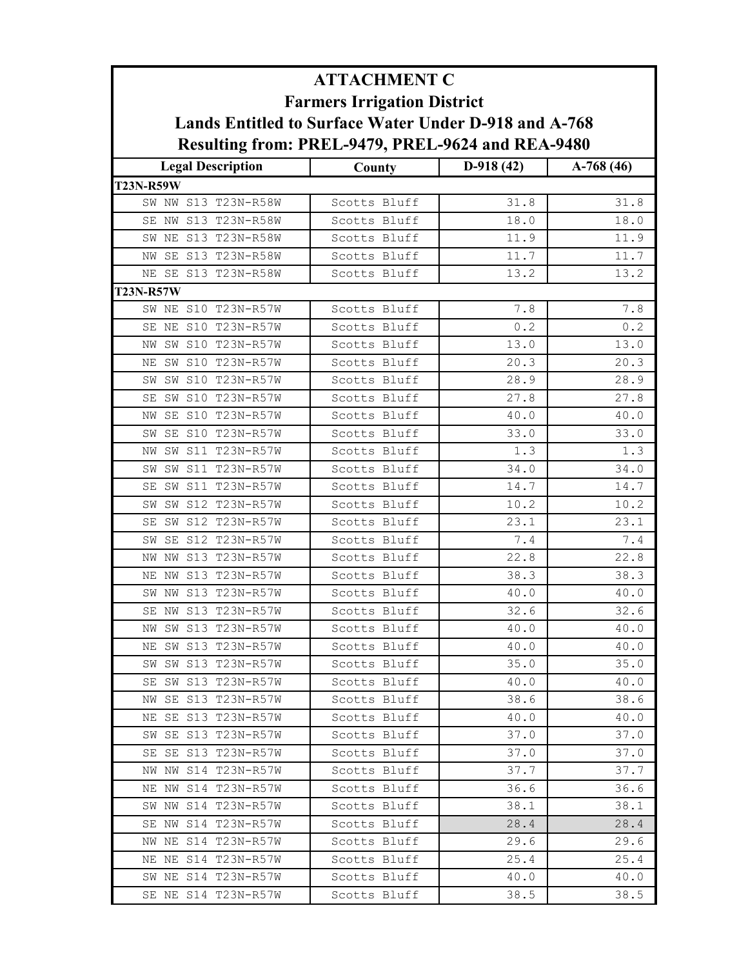| <b>ATTACHMENT C</b><br><b>Farmers Irrigation District</b><br>Lands Entitled to Surface Water Under D-918 and A-768 |                              |              |              |  |
|--------------------------------------------------------------------------------------------------------------------|------------------------------|--------------|--------------|--|
|                                                                                                                    |                              |              |              |  |
| <b>T23N-R59W</b>                                                                                                   |                              |              |              |  |
| SW NW S13 T23N-R58W                                                                                                | Scotts Bluff                 | 31.8         | 31.8         |  |
| SE NW S13 T23N-R58W                                                                                                | Scotts Bluff                 | 18.0         | 18.0         |  |
| SW NE S13 T23N-R58W                                                                                                | Scotts Bluff                 | 11.9         | 11.9         |  |
| NW SE S13 T23N-R58W                                                                                                | Scotts Bluff                 | 11.7         | 11.7         |  |
| NE SE S13 T23N-R58W                                                                                                | Scotts Bluff                 | 13.2         | 13.2         |  |
| <b>T23N-R57W</b>                                                                                                   |                              |              |              |  |
| SW NE S10 T23N-R57W                                                                                                | Scotts Bluff                 | 7.8          | 7.8          |  |
| SE NE S10 T23N-R57W                                                                                                | Scotts Bluff                 | 0.2          | 0.2          |  |
| NW SW S10 T23N-R57W                                                                                                | Scotts Bluff                 | 13.0         | 13.0         |  |
| SW S10 T23N-R57W<br>NΕ                                                                                             | Scotts Bluff                 | 20.3         | 20.3         |  |
| SW S10 T23N-R57W<br>SW                                                                                             | Scotts Bluff                 | 28.9         | 28.9         |  |
| SW S10 T23N-R57W<br>SE                                                                                             | Scotts Bluff                 | 27.8         | 27.8         |  |
| SE S10 T23N-R57W<br>ΝW                                                                                             | Scotts Bluff                 | 40.0         | 40.0         |  |
| SE S10 T23N-R57W<br>SW                                                                                             | Scotts Bluff                 | 33.0         | 33.0         |  |
| SW S11 T23N-R57W<br>NW                                                                                             | Scotts Bluff                 | 1.3          | 1.3          |  |
| SW S11 T23N-R57W<br>SW                                                                                             | Scotts Bluff                 | 34.0         | 34.0         |  |
| SW S11 T23N-R57W<br>SE                                                                                             | Scotts Bluff                 | 14.7         | 14.7         |  |
| SW S12 T23N-R57W<br>SW                                                                                             | Scotts Bluff                 | 10.2         | 10.2         |  |
| S12 T23N-R57W<br>SE<br>SW                                                                                          | Scotts Bluff                 | 23.1         | 23.1         |  |
| SE S12 T23N-R57W<br>SW                                                                                             | Scotts Bluff                 | 7.4          | 7.4          |  |
| S13 T23N-R57W<br>NW<br>NW                                                                                          | Scotts Bluff                 | 22.8         | 22.8         |  |
| NE NW S13 T23N-R57W                                                                                                | Scotts Bluff                 | 38.3         | 38.3         |  |
| SW NW S13 T23N-R57W                                                                                                | Scotts Bluff                 | 40.0         | 40.0         |  |
| SE NW S13 T23N-R57W                                                                                                | Scotts Bluff                 | 32.6         | 32.6         |  |
| NW SW S13 T23N-R57W                                                                                                | Scotts Bluff                 | 40.0         | 40.0         |  |
| SW S13 T23N-R57W<br>NE                                                                                             | Scotts Bluff                 | 40.0         | 40.0         |  |
| SW SW S13 T23N-R57W                                                                                                | Scotts Bluff                 | 35.0         | 35.0         |  |
| SE SW S13 T23N-R57W                                                                                                | Scotts Bluff                 | 40.0         | 40.0         |  |
| NW SE S13 T23N-R57W                                                                                                | Scotts Bluff                 | 38.6         | 38.6         |  |
| SE S13 T23N-R57W<br>ΝE                                                                                             | Scotts Bluff                 | 40.0         | 40.0         |  |
| SW SE S13 T23N-R57W                                                                                                | Scotts Bluff                 | 37.0         | 37.0         |  |
| SE S13 T23N-R57W<br>SE<br>NW NW S14 T23N-R57W                                                                      | Scotts Bluff<br>Scotts Bluff | 37.0         | 37.0         |  |
| NE NW S14 T23N-R57W                                                                                                |                              | 37.7         | 37.7         |  |
| SW NW S14 T23N-R57W                                                                                                | Scotts Bluff<br>Scotts Bluff | 36.6<br>38.1 | 36.6<br>38.1 |  |
| SE NW S14 T23N-R57W                                                                                                | Scotts Bluff                 | 28.4         | 28.4         |  |
| NW NE S14 T23N-R57W                                                                                                | Scotts Bluff                 | 29.6         | 29.6         |  |
| NE NE S14 T23N-R57W                                                                                                | Scotts Bluff                 | 25.4         | 25.4         |  |
| SW NE S14 T23N-R57W                                                                                                | Scotts Bluff                 | 40.0         | 40.0         |  |
| SE NE S14 T23N-R57W                                                                                                | Scotts Bluff                 | 38.5         | 38.5         |  |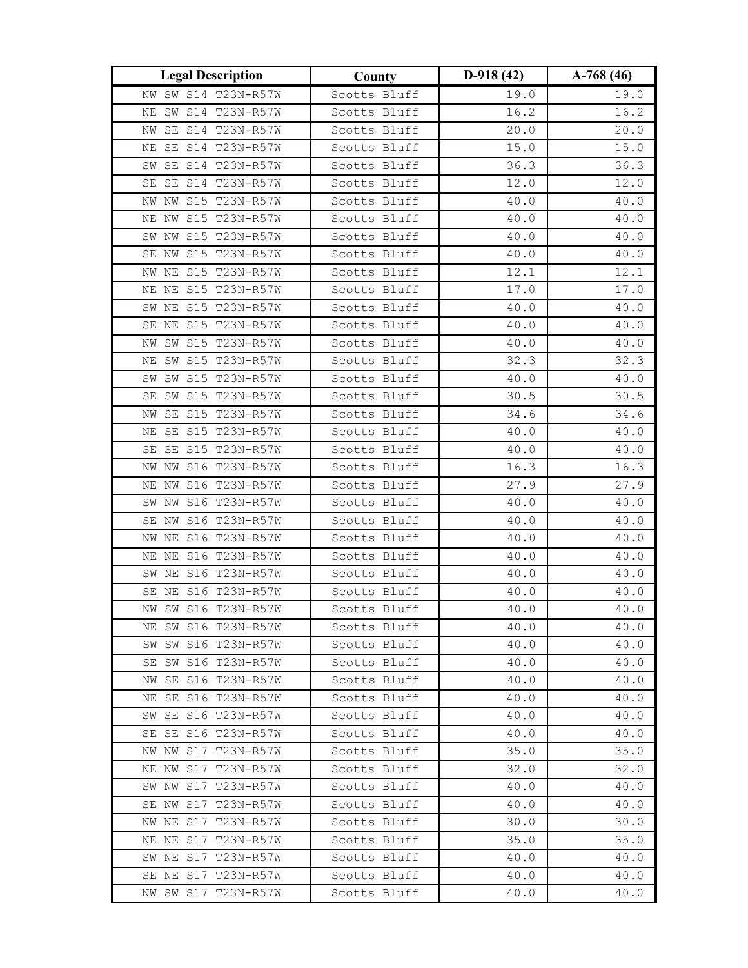| <b>Legal Description</b>                      | County                       | $D-918(42)$  | $A-768(46)$  |
|-----------------------------------------------|------------------------------|--------------|--------------|
| NW SW S14 T23N-R57W                           | Scotts Bluff                 | 19.0         | 19.0         |
| SW S14 T23N-R57W<br>ΝE                        | Scotts Bluff                 | 16.2         | 16.2         |
| SE S14 T23N-R57W<br>ΝW                        | Scotts Bluff                 | 20.0         | 20.0         |
| SE S14 T23N-R57W<br>ΝE                        | Scotts Bluff                 | 15.0         | 15.0         |
| SW SE S14 T23N-R57W                           | Scotts Bluff                 | 36.3         | 36.3         |
| SE S14 T23N-R57W<br>SE                        | Scotts Bluff                 | 12.0         | 12.0         |
| NW S15 T23N-R57W<br>NW                        | Scotts Bluff                 | 40.0         | 40.0         |
| NE NW S15 T23N-R57W                           | Scotts Bluff                 | 40.0         | 40.0         |
| SW NW S15 T23N-R57W                           | Scotts Bluff                 | 40.0         | 40.0         |
| SE NW S15 T23N-R57W                           | Scotts Bluff                 | 40.0         | 40.0         |
| NW NE S15 T23N-R57W                           | Scotts Bluff                 | 12.1         | 12.1         |
| NE NE S15 T23N-R57W                           | Scotts Bluff                 | 17.0         | 17.0         |
| SW NE S15 T23N-R57W                           | Scotts Bluff                 | 40.0         | 40.0         |
| SE NE S15 T23N-R57W                           | Scotts Bluff                 | 40.0         | 40.0         |
| SW S15 T23N-R57W<br>NW                        | Scotts Bluff                 | 40.0         | 40.0         |
| NE SW S15 T23N-R57W                           | Scotts Bluff                 | 32.3         | 32.3         |
| SW SW S15 T23N-R57W                           | Scotts Bluff                 | 40.0         | 40.0         |
| SW S15 T23N-R57W<br>SE                        | Scotts Bluff                 | 30.5         | 30.5         |
| SE S15 T23N-R57W<br>NW                        | Scotts Bluff                 | 34.6         | 34.6         |
| SE S15 T23N-R57W<br>ΝE                        | Scotts Bluff                 | 40.0         | 40.0         |
| SE SE S15 T23N-R57W                           | Scotts Bluff                 | 40.0         | 40.0         |
| NW S16 T23N-R57W<br>NW                        | Scotts Bluff                 | 16.3         | 16.3         |
| NE NW S16 T23N-R57W                           | Scotts Bluff                 | 27.9         | 27.9         |
| SW NW S16 T23N-R57W                           | Scotts Bluff                 | 40.0         | 40.0         |
| S16 T23N-R57W<br>SE NW                        | Scotts Bluff                 | 40.0         | 40.0         |
| NW NE S16 T23N-R57W                           | Scotts Bluff                 | 40.0         | 40.0         |
| S16 T23N-R57W<br>ΝE<br>ΝE                     | Scotts Bluff                 | 40.0         | 40.0         |
| SW NE S16 T23N-R57W                           | Scotts Bluff                 | 40.0         | 40.0         |
| SE NE S16 T23N-R57W                           | Scotts Bluff                 | 40.0         | 40.0         |
| NW SW S16 T23N-R57W                           | Scotts Bluff                 | 40.0         | 40.0         |
| NE SW S16 T23N-R57W                           | Scotts Bluff                 | 40.0         | 40.0         |
| SW SW S16 T23N-R57W                           | Scotts Bluff                 | 40.0         | 40.0         |
| SE SW S16 T23N-R57W<br>SE S16 T23N-R57W<br>NW | Scotts Bluff<br>Scotts Bluff | 40.0<br>40.0 | 40.0<br>40.0 |
| NE SE S16 T23N-R57W                           | Scotts Bluff                 | 40.0         | 40.0         |
| SW SE S16 T23N-R57W                           | Scotts Bluff                 | 40.0         | 40.0         |
| SE SE S16 T23N-R57W                           | Scotts Bluff                 | 40.0         | 40.0         |
| NW NW S17 T23N-R57W                           | Scotts Bluff                 | 35.0         | 35.0         |
| NE NW S17 T23N-R57W                           | Scotts Bluff                 | 32.0         | 32.0         |
| SW NW S17 T23N-R57W                           | Scotts Bluff                 | 40.0         | 40.0         |
| SE NW S17 T23N-R57W                           | Scotts Bluff                 | 40.0         | 40.0         |
| NW NE S17 T23N-R57W                           | Scotts Bluff                 | 30.0         | 30.0         |
| NE NE S17 T23N-R57W                           | Scotts Bluff                 | 35.0         | 35.0         |
| SW NE S17 T23N-R57W                           | Scotts Bluff                 | 40.0         | 40.0         |
| SE NE S17 T23N-R57W                           | Scotts Bluff                 | 40.0         | 40.0         |
| NW SW S17 T23N-R57W                           | Scotts Bluff                 | 40.0         | 40.0         |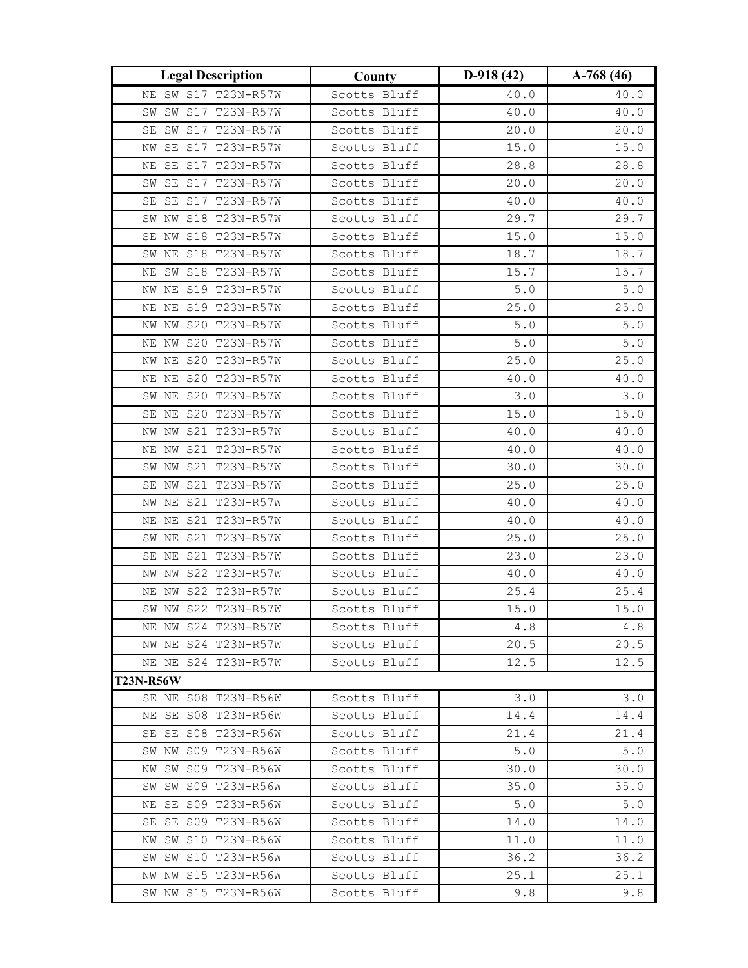| NE SW S17 T23N-R57W<br>40.0<br>40.0<br>Scotts Bluff<br>SW S17 T23N-R57W<br>Scotts Bluff<br>40.0<br>40.0<br>SW<br>SW S17 T23N-R57W<br>Scotts Bluff<br>20.0<br>20.0<br>SE<br>NW SE S17 T23N-R57W<br>Scotts Bluff<br>15.0<br>15.0<br>28.8<br>28.8<br>SE S17 T23N-R57W<br>Scotts Bluff<br>ΝE<br>20.0<br>SE S17 T23N-R57W<br>Scotts Bluff<br>20.0<br>SW<br>SE S17 T23N-R57W<br>Scotts Bluff<br>40.0<br>40.0<br>SE<br>29.7<br>NW S18 T23N-R57W<br>29.7<br>Scotts Bluff<br>SW<br>SE NW S18 T23N-R57W<br>15.0<br>15.0<br>Scotts Bluff<br>18.7<br>SW NE S18 T23N-R57W<br>Scotts Bluff<br>18.7<br>NE SW S18 T23N-R57W<br>Scotts Bluff<br>15.7<br>15.7<br>$5.0$<br>NW NE S19 T23N-R57W<br>Scotts Bluff<br>$5.0$<br>25.0<br>25.0<br>NE NE S19 T23N-R57W<br>Scotts Bluff<br>NW NW S20 T23N-R57W<br>5.0<br>5.0<br>Scotts Bluff<br>$5.0$<br>$5.0$<br>NE NW S20 T23N-R57W<br>Scotts Bluff<br>25.0<br>25.0<br>NW NE S20 T23N-R57W<br>Scotts Bluff<br>NE NE S20 T23N-R57W<br>Scotts Bluff<br>40.0<br>40.0<br>SW NE S20 T23N-R57W<br>Scotts Bluff<br>3.0<br>3.0<br>15.0<br>SE NE S20 T23N-R57W<br>Scotts Bluff<br>15.0<br>40.0<br>40.0<br>S21 T23N-R57W<br>Scotts Bluff<br>ΝW<br>NW<br>NE NW S21 T23N-R57W<br>Scotts Bluff<br>40.0<br>40.0<br>SW NW S21 T23N-R57W<br>Scotts Bluff<br>30.0<br>30.0<br>25.0<br>25.0<br>SE NW S21 T23N-R57W<br>Scotts Bluff<br>NW NE S21 T23N-R57W<br>40.0<br>Scotts Bluff<br>40.0<br>S21 T23N-R57W<br>Scotts Bluff<br>40.0<br>40.0<br>ΝE<br>ΝE<br>SW NE S21 T23N-R57W<br>Scotts Bluff<br>25.0<br>25.0<br>23.0<br>23.0<br>S21 T23N-R57W<br>Scotts Bluff<br>SE NE<br>NW NW S22 T23N-R57W<br>40.0<br>40.0<br>Scotts Bluff<br>NE NW S22 T23N-R57W<br>25.4<br>25.4<br>Scotts Bluff<br>15.0<br>SW NW S22 T23N-R57W<br>15.0<br>Scotts Bluff<br>4.8<br>NE NW S24 T23N-R57W<br>Scotts Bluff<br>4.8<br>20.5<br>NW NE S24 T23N-R57W<br>Scotts Bluff<br>20.5<br>NE NE S24 T23N-R57W<br>Scotts Bluff<br>12.5<br>12.5<br><b>T23N-R56W</b><br>SE NE S08 T23N-R56W<br>3.0<br>Scotts Bluff<br>3.0<br>NE SE S08 T23N-R56W<br>Scotts Bluff<br>14.4<br>14.4<br>21.4<br>SE SE S08 T23N-R56W<br>Scotts Bluff<br>21.4<br>SW NW S09 T23N-R56W<br>5.0<br>5.0<br>Scotts Bluff<br>NW SW S09 T23N-R56W<br>Scotts Bluff<br>30.0<br>30.0<br>SW SW S09 T23N-R56W<br>35.0<br>35.0<br>Scotts Bluff<br>5.0<br>$5.0$<br>NE SE S09 T23N-R56W<br>Scotts Bluff<br>SE SE S09 T23N-R56W<br>Scotts Bluff<br>14.0<br>14.0<br>NW SW S10 T23N-R56W<br>Scotts Bluff<br>11.0<br>11.0<br>SW SW S10 T23N-R56W<br>36.2<br>36.2<br>Scotts Bluff<br>25.1<br>25.1<br>NW NW S15 T23N-R56W<br>Scotts Bluff<br>9.8<br>9.8<br>SW NW S15 T23N-R56W<br>Scotts Bluff | <b>Legal Description</b> | County | $D-918(42)$ | $A-768(46)$ |
|----------------------------------------------------------------------------------------------------------------------------------------------------------------------------------------------------------------------------------------------------------------------------------------------------------------------------------------------------------------------------------------------------------------------------------------------------------------------------------------------------------------------------------------------------------------------------------------------------------------------------------------------------------------------------------------------------------------------------------------------------------------------------------------------------------------------------------------------------------------------------------------------------------------------------------------------------------------------------------------------------------------------------------------------------------------------------------------------------------------------------------------------------------------------------------------------------------------------------------------------------------------------------------------------------------------------------------------------------------------------------------------------------------------------------------------------------------------------------------------------------------------------------------------------------------------------------------------------------------------------------------------------------------------------------------------------------------------------------------------------------------------------------------------------------------------------------------------------------------------------------------------------------------------------------------------------------------------------------------------------------------------------------------------------------------------------------------------------------------------------------------------------------------------------------------------------------------------------------------------------------------------------------------------------------------------------------------------------------------------------------------------------------------------------------------------------------------------------------------------------------------------------------------------------------------------------------------------------------------------------|--------------------------|--------|-------------|-------------|
|                                                                                                                                                                                                                                                                                                                                                                                                                                                                                                                                                                                                                                                                                                                                                                                                                                                                                                                                                                                                                                                                                                                                                                                                                                                                                                                                                                                                                                                                                                                                                                                                                                                                                                                                                                                                                                                                                                                                                                                                                                                                                                                                                                                                                                                                                                                                                                                                                                                                                                                                                                                                                      |                          |        |             |             |
|                                                                                                                                                                                                                                                                                                                                                                                                                                                                                                                                                                                                                                                                                                                                                                                                                                                                                                                                                                                                                                                                                                                                                                                                                                                                                                                                                                                                                                                                                                                                                                                                                                                                                                                                                                                                                                                                                                                                                                                                                                                                                                                                                                                                                                                                                                                                                                                                                                                                                                                                                                                                                      |                          |        |             |             |
|                                                                                                                                                                                                                                                                                                                                                                                                                                                                                                                                                                                                                                                                                                                                                                                                                                                                                                                                                                                                                                                                                                                                                                                                                                                                                                                                                                                                                                                                                                                                                                                                                                                                                                                                                                                                                                                                                                                                                                                                                                                                                                                                                                                                                                                                                                                                                                                                                                                                                                                                                                                                                      |                          |        |             |             |
|                                                                                                                                                                                                                                                                                                                                                                                                                                                                                                                                                                                                                                                                                                                                                                                                                                                                                                                                                                                                                                                                                                                                                                                                                                                                                                                                                                                                                                                                                                                                                                                                                                                                                                                                                                                                                                                                                                                                                                                                                                                                                                                                                                                                                                                                                                                                                                                                                                                                                                                                                                                                                      |                          |        |             |             |
|                                                                                                                                                                                                                                                                                                                                                                                                                                                                                                                                                                                                                                                                                                                                                                                                                                                                                                                                                                                                                                                                                                                                                                                                                                                                                                                                                                                                                                                                                                                                                                                                                                                                                                                                                                                                                                                                                                                                                                                                                                                                                                                                                                                                                                                                                                                                                                                                                                                                                                                                                                                                                      |                          |        |             |             |
|                                                                                                                                                                                                                                                                                                                                                                                                                                                                                                                                                                                                                                                                                                                                                                                                                                                                                                                                                                                                                                                                                                                                                                                                                                                                                                                                                                                                                                                                                                                                                                                                                                                                                                                                                                                                                                                                                                                                                                                                                                                                                                                                                                                                                                                                                                                                                                                                                                                                                                                                                                                                                      |                          |        |             |             |
|                                                                                                                                                                                                                                                                                                                                                                                                                                                                                                                                                                                                                                                                                                                                                                                                                                                                                                                                                                                                                                                                                                                                                                                                                                                                                                                                                                                                                                                                                                                                                                                                                                                                                                                                                                                                                                                                                                                                                                                                                                                                                                                                                                                                                                                                                                                                                                                                                                                                                                                                                                                                                      |                          |        |             |             |
|                                                                                                                                                                                                                                                                                                                                                                                                                                                                                                                                                                                                                                                                                                                                                                                                                                                                                                                                                                                                                                                                                                                                                                                                                                                                                                                                                                                                                                                                                                                                                                                                                                                                                                                                                                                                                                                                                                                                                                                                                                                                                                                                                                                                                                                                                                                                                                                                                                                                                                                                                                                                                      |                          |        |             |             |
|                                                                                                                                                                                                                                                                                                                                                                                                                                                                                                                                                                                                                                                                                                                                                                                                                                                                                                                                                                                                                                                                                                                                                                                                                                                                                                                                                                                                                                                                                                                                                                                                                                                                                                                                                                                                                                                                                                                                                                                                                                                                                                                                                                                                                                                                                                                                                                                                                                                                                                                                                                                                                      |                          |        |             |             |
|                                                                                                                                                                                                                                                                                                                                                                                                                                                                                                                                                                                                                                                                                                                                                                                                                                                                                                                                                                                                                                                                                                                                                                                                                                                                                                                                                                                                                                                                                                                                                                                                                                                                                                                                                                                                                                                                                                                                                                                                                                                                                                                                                                                                                                                                                                                                                                                                                                                                                                                                                                                                                      |                          |        |             |             |
|                                                                                                                                                                                                                                                                                                                                                                                                                                                                                                                                                                                                                                                                                                                                                                                                                                                                                                                                                                                                                                                                                                                                                                                                                                                                                                                                                                                                                                                                                                                                                                                                                                                                                                                                                                                                                                                                                                                                                                                                                                                                                                                                                                                                                                                                                                                                                                                                                                                                                                                                                                                                                      |                          |        |             |             |
|                                                                                                                                                                                                                                                                                                                                                                                                                                                                                                                                                                                                                                                                                                                                                                                                                                                                                                                                                                                                                                                                                                                                                                                                                                                                                                                                                                                                                                                                                                                                                                                                                                                                                                                                                                                                                                                                                                                                                                                                                                                                                                                                                                                                                                                                                                                                                                                                                                                                                                                                                                                                                      |                          |        |             |             |
|                                                                                                                                                                                                                                                                                                                                                                                                                                                                                                                                                                                                                                                                                                                                                                                                                                                                                                                                                                                                                                                                                                                                                                                                                                                                                                                                                                                                                                                                                                                                                                                                                                                                                                                                                                                                                                                                                                                                                                                                                                                                                                                                                                                                                                                                                                                                                                                                                                                                                                                                                                                                                      |                          |        |             |             |
|                                                                                                                                                                                                                                                                                                                                                                                                                                                                                                                                                                                                                                                                                                                                                                                                                                                                                                                                                                                                                                                                                                                                                                                                                                                                                                                                                                                                                                                                                                                                                                                                                                                                                                                                                                                                                                                                                                                                                                                                                                                                                                                                                                                                                                                                                                                                                                                                                                                                                                                                                                                                                      |                          |        |             |             |
|                                                                                                                                                                                                                                                                                                                                                                                                                                                                                                                                                                                                                                                                                                                                                                                                                                                                                                                                                                                                                                                                                                                                                                                                                                                                                                                                                                                                                                                                                                                                                                                                                                                                                                                                                                                                                                                                                                                                                                                                                                                                                                                                                                                                                                                                                                                                                                                                                                                                                                                                                                                                                      |                          |        |             |             |
|                                                                                                                                                                                                                                                                                                                                                                                                                                                                                                                                                                                                                                                                                                                                                                                                                                                                                                                                                                                                                                                                                                                                                                                                                                                                                                                                                                                                                                                                                                                                                                                                                                                                                                                                                                                                                                                                                                                                                                                                                                                                                                                                                                                                                                                                                                                                                                                                                                                                                                                                                                                                                      |                          |        |             |             |
|                                                                                                                                                                                                                                                                                                                                                                                                                                                                                                                                                                                                                                                                                                                                                                                                                                                                                                                                                                                                                                                                                                                                                                                                                                                                                                                                                                                                                                                                                                                                                                                                                                                                                                                                                                                                                                                                                                                                                                                                                                                                                                                                                                                                                                                                                                                                                                                                                                                                                                                                                                                                                      |                          |        |             |             |
|                                                                                                                                                                                                                                                                                                                                                                                                                                                                                                                                                                                                                                                                                                                                                                                                                                                                                                                                                                                                                                                                                                                                                                                                                                                                                                                                                                                                                                                                                                                                                                                                                                                                                                                                                                                                                                                                                                                                                                                                                                                                                                                                                                                                                                                                                                                                                                                                                                                                                                                                                                                                                      |                          |        |             |             |
|                                                                                                                                                                                                                                                                                                                                                                                                                                                                                                                                                                                                                                                                                                                                                                                                                                                                                                                                                                                                                                                                                                                                                                                                                                                                                                                                                                                                                                                                                                                                                                                                                                                                                                                                                                                                                                                                                                                                                                                                                                                                                                                                                                                                                                                                                                                                                                                                                                                                                                                                                                                                                      |                          |        |             |             |
|                                                                                                                                                                                                                                                                                                                                                                                                                                                                                                                                                                                                                                                                                                                                                                                                                                                                                                                                                                                                                                                                                                                                                                                                                                                                                                                                                                                                                                                                                                                                                                                                                                                                                                                                                                                                                                                                                                                                                                                                                                                                                                                                                                                                                                                                                                                                                                                                                                                                                                                                                                                                                      |                          |        |             |             |
|                                                                                                                                                                                                                                                                                                                                                                                                                                                                                                                                                                                                                                                                                                                                                                                                                                                                                                                                                                                                                                                                                                                                                                                                                                                                                                                                                                                                                                                                                                                                                                                                                                                                                                                                                                                                                                                                                                                                                                                                                                                                                                                                                                                                                                                                                                                                                                                                                                                                                                                                                                                                                      |                          |        |             |             |
|                                                                                                                                                                                                                                                                                                                                                                                                                                                                                                                                                                                                                                                                                                                                                                                                                                                                                                                                                                                                                                                                                                                                                                                                                                                                                                                                                                                                                                                                                                                                                                                                                                                                                                                                                                                                                                                                                                                                                                                                                                                                                                                                                                                                                                                                                                                                                                                                                                                                                                                                                                                                                      |                          |        |             |             |
|                                                                                                                                                                                                                                                                                                                                                                                                                                                                                                                                                                                                                                                                                                                                                                                                                                                                                                                                                                                                                                                                                                                                                                                                                                                                                                                                                                                                                                                                                                                                                                                                                                                                                                                                                                                                                                                                                                                                                                                                                                                                                                                                                                                                                                                                                                                                                                                                                                                                                                                                                                                                                      |                          |        |             |             |
|                                                                                                                                                                                                                                                                                                                                                                                                                                                                                                                                                                                                                                                                                                                                                                                                                                                                                                                                                                                                                                                                                                                                                                                                                                                                                                                                                                                                                                                                                                                                                                                                                                                                                                                                                                                                                                                                                                                                                                                                                                                                                                                                                                                                                                                                                                                                                                                                                                                                                                                                                                                                                      |                          |        |             |             |
|                                                                                                                                                                                                                                                                                                                                                                                                                                                                                                                                                                                                                                                                                                                                                                                                                                                                                                                                                                                                                                                                                                                                                                                                                                                                                                                                                                                                                                                                                                                                                                                                                                                                                                                                                                                                                                                                                                                                                                                                                                                                                                                                                                                                                                                                                                                                                                                                                                                                                                                                                                                                                      |                          |        |             |             |
|                                                                                                                                                                                                                                                                                                                                                                                                                                                                                                                                                                                                                                                                                                                                                                                                                                                                                                                                                                                                                                                                                                                                                                                                                                                                                                                                                                                                                                                                                                                                                                                                                                                                                                                                                                                                                                                                                                                                                                                                                                                                                                                                                                                                                                                                                                                                                                                                                                                                                                                                                                                                                      |                          |        |             |             |
|                                                                                                                                                                                                                                                                                                                                                                                                                                                                                                                                                                                                                                                                                                                                                                                                                                                                                                                                                                                                                                                                                                                                                                                                                                                                                                                                                                                                                                                                                                                                                                                                                                                                                                                                                                                                                                                                                                                                                                                                                                                                                                                                                                                                                                                                                                                                                                                                                                                                                                                                                                                                                      |                          |        |             |             |
|                                                                                                                                                                                                                                                                                                                                                                                                                                                                                                                                                                                                                                                                                                                                                                                                                                                                                                                                                                                                                                                                                                                                                                                                                                                                                                                                                                                                                                                                                                                                                                                                                                                                                                                                                                                                                                                                                                                                                                                                                                                                                                                                                                                                                                                                                                                                                                                                                                                                                                                                                                                                                      |                          |        |             |             |
|                                                                                                                                                                                                                                                                                                                                                                                                                                                                                                                                                                                                                                                                                                                                                                                                                                                                                                                                                                                                                                                                                                                                                                                                                                                                                                                                                                                                                                                                                                                                                                                                                                                                                                                                                                                                                                                                                                                                                                                                                                                                                                                                                                                                                                                                                                                                                                                                                                                                                                                                                                                                                      |                          |        |             |             |
|                                                                                                                                                                                                                                                                                                                                                                                                                                                                                                                                                                                                                                                                                                                                                                                                                                                                                                                                                                                                                                                                                                                                                                                                                                                                                                                                                                                                                                                                                                                                                                                                                                                                                                                                                                                                                                                                                                                                                                                                                                                                                                                                                                                                                                                                                                                                                                                                                                                                                                                                                                                                                      |                          |        |             |             |
|                                                                                                                                                                                                                                                                                                                                                                                                                                                                                                                                                                                                                                                                                                                                                                                                                                                                                                                                                                                                                                                                                                                                                                                                                                                                                                                                                                                                                                                                                                                                                                                                                                                                                                                                                                                                                                                                                                                                                                                                                                                                                                                                                                                                                                                                                                                                                                                                                                                                                                                                                                                                                      |                          |        |             |             |
|                                                                                                                                                                                                                                                                                                                                                                                                                                                                                                                                                                                                                                                                                                                                                                                                                                                                                                                                                                                                                                                                                                                                                                                                                                                                                                                                                                                                                                                                                                                                                                                                                                                                                                                                                                                                                                                                                                                                                                                                                                                                                                                                                                                                                                                                                                                                                                                                                                                                                                                                                                                                                      |                          |        |             |             |
|                                                                                                                                                                                                                                                                                                                                                                                                                                                                                                                                                                                                                                                                                                                                                                                                                                                                                                                                                                                                                                                                                                                                                                                                                                                                                                                                                                                                                                                                                                                                                                                                                                                                                                                                                                                                                                                                                                                                                                                                                                                                                                                                                                                                                                                                                                                                                                                                                                                                                                                                                                                                                      |                          |        |             |             |
|                                                                                                                                                                                                                                                                                                                                                                                                                                                                                                                                                                                                                                                                                                                                                                                                                                                                                                                                                                                                                                                                                                                                                                                                                                                                                                                                                                                                                                                                                                                                                                                                                                                                                                                                                                                                                                                                                                                                                                                                                                                                                                                                                                                                                                                                                                                                                                                                                                                                                                                                                                                                                      |                          |        |             |             |
|                                                                                                                                                                                                                                                                                                                                                                                                                                                                                                                                                                                                                                                                                                                                                                                                                                                                                                                                                                                                                                                                                                                                                                                                                                                                                                                                                                                                                                                                                                                                                                                                                                                                                                                                                                                                                                                                                                                                                                                                                                                                                                                                                                                                                                                                                                                                                                                                                                                                                                                                                                                                                      |                          |        |             |             |
|                                                                                                                                                                                                                                                                                                                                                                                                                                                                                                                                                                                                                                                                                                                                                                                                                                                                                                                                                                                                                                                                                                                                                                                                                                                                                                                                                                                                                                                                                                                                                                                                                                                                                                                                                                                                                                                                                                                                                                                                                                                                                                                                                                                                                                                                                                                                                                                                                                                                                                                                                                                                                      |                          |        |             |             |
|                                                                                                                                                                                                                                                                                                                                                                                                                                                                                                                                                                                                                                                                                                                                                                                                                                                                                                                                                                                                                                                                                                                                                                                                                                                                                                                                                                                                                                                                                                                                                                                                                                                                                                                                                                                                                                                                                                                                                                                                                                                                                                                                                                                                                                                                                                                                                                                                                                                                                                                                                                                                                      |                          |        |             |             |
|                                                                                                                                                                                                                                                                                                                                                                                                                                                                                                                                                                                                                                                                                                                                                                                                                                                                                                                                                                                                                                                                                                                                                                                                                                                                                                                                                                                                                                                                                                                                                                                                                                                                                                                                                                                                                                                                                                                                                                                                                                                                                                                                                                                                                                                                                                                                                                                                                                                                                                                                                                                                                      |                          |        |             |             |
|                                                                                                                                                                                                                                                                                                                                                                                                                                                                                                                                                                                                                                                                                                                                                                                                                                                                                                                                                                                                                                                                                                                                                                                                                                                                                                                                                                                                                                                                                                                                                                                                                                                                                                                                                                                                                                                                                                                                                                                                                                                                                                                                                                                                                                                                                                                                                                                                                                                                                                                                                                                                                      |                          |        |             |             |
|                                                                                                                                                                                                                                                                                                                                                                                                                                                                                                                                                                                                                                                                                                                                                                                                                                                                                                                                                                                                                                                                                                                                                                                                                                                                                                                                                                                                                                                                                                                                                                                                                                                                                                                                                                                                                                                                                                                                                                                                                                                                                                                                                                                                                                                                                                                                                                                                                                                                                                                                                                                                                      |                          |        |             |             |
|                                                                                                                                                                                                                                                                                                                                                                                                                                                                                                                                                                                                                                                                                                                                                                                                                                                                                                                                                                                                                                                                                                                                                                                                                                                                                                                                                                                                                                                                                                                                                                                                                                                                                                                                                                                                                                                                                                                                                                                                                                                                                                                                                                                                                                                                                                                                                                                                                                                                                                                                                                                                                      |                          |        |             |             |
|                                                                                                                                                                                                                                                                                                                                                                                                                                                                                                                                                                                                                                                                                                                                                                                                                                                                                                                                                                                                                                                                                                                                                                                                                                                                                                                                                                                                                                                                                                                                                                                                                                                                                                                                                                                                                                                                                                                                                                                                                                                                                                                                                                                                                                                                                                                                                                                                                                                                                                                                                                                                                      |                          |        |             |             |
|                                                                                                                                                                                                                                                                                                                                                                                                                                                                                                                                                                                                                                                                                                                                                                                                                                                                                                                                                                                                                                                                                                                                                                                                                                                                                                                                                                                                                                                                                                                                                                                                                                                                                                                                                                                                                                                                                                                                                                                                                                                                                                                                                                                                                                                                                                                                                                                                                                                                                                                                                                                                                      |                          |        |             |             |
|                                                                                                                                                                                                                                                                                                                                                                                                                                                                                                                                                                                                                                                                                                                                                                                                                                                                                                                                                                                                                                                                                                                                                                                                                                                                                                                                                                                                                                                                                                                                                                                                                                                                                                                                                                                                                                                                                                                                                                                                                                                                                                                                                                                                                                                                                                                                                                                                                                                                                                                                                                                                                      |                          |        |             |             |
|                                                                                                                                                                                                                                                                                                                                                                                                                                                                                                                                                                                                                                                                                                                                                                                                                                                                                                                                                                                                                                                                                                                                                                                                                                                                                                                                                                                                                                                                                                                                                                                                                                                                                                                                                                                                                                                                                                                                                                                                                                                                                                                                                                                                                                                                                                                                                                                                                                                                                                                                                                                                                      |                          |        |             |             |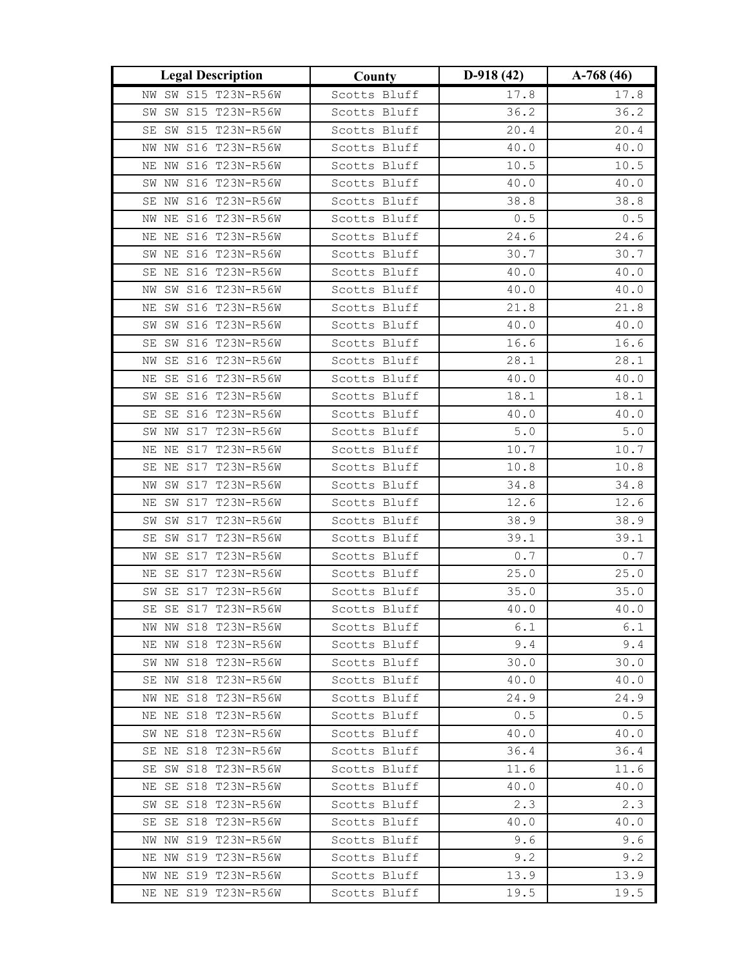| <b>Legal Description</b> | County       | $D-918(42)$ | $A-768(46)$ |
|--------------------------|--------------|-------------|-------------|
| NW SW S15 T23N-R56W      | Scotts Bluff | 17.8        | 17.8        |
| SW S15 T23N-R56W<br>SW   | Scotts Bluff | 36.2        | 36.2        |
| SW S15 T23N-R56W<br>SE   | Scotts Bluff | 20.4        | 20.4        |
| NW NW S16 T23N-R56W      | Scotts Bluff | 40.0        | 40.0        |
| NE NW S16 T23N-R56W      | Scotts Bluff | 10.5        | 10.5        |
| SW NW S16 T23N-R56W      | Scotts Bluff | 40.0        | 40.0        |
| SE NW S16 T23N-R56W      | Scotts Bluff | 38.8        | 38.8        |
| NE S16 T23N-R56W<br>NW   | Scotts Bluff | $0.5$       | $0.5$       |
| NE NE S16 T23N-R56W      | Scotts Bluff | 24.6        | 24.6        |
| SW NE S16 T23N-R56W      | Scotts Bluff | 30.7        | 30.7        |
| SE NE S16 T23N-R56W      | Scotts Bluff | 40.0        | 40.0        |
| NW SW S16 T23N-R56W      | Scotts Bluff | 40.0        | 40.0        |
| SW S16 T23N-R56W<br>ΝE   | Scotts Bluff | 21.8        | 21.8        |
| SW SW S16 T23N-R56W      | Scotts Bluff | 40.0        | 40.0        |
| SE SW S16 T23N-R56W      | Scotts Bluff | 16.6        | 16.6        |
| SE S16 T23N-R56W<br>NW   | Scotts Bluff | 28.1        | 28.1        |
| NE SE S16 T23N-R56W      | Scotts Bluff | 40.0        | 40.0        |
| SW SE S16 T23N-R56W      | Scotts Bluff | 18.1        | 18.1        |
| SE S16 T23N-R56W<br>SE   | Scotts Bluff | 40.0        | 40.0        |
| NW S17 T23N-R56W<br>SW   | Scotts Bluff | $5.0$       | $5.0$       |
| NE NE S17 T23N-R56W      | Scotts Bluff | 10.7        | 10.7        |
| SE NE S17 T23N-R56W      | Scotts Bluff | 10.8        | 10.8        |
| NW SW S17 T23N-R56W      | Scotts Bluff | 34.8        | 34.8        |
| NE SW S17 T23N-R56W      | Scotts Bluff | 12.6        | 12.6        |
| SW S17 T23N-R56W<br>SW   | Scotts Bluff | 38.9        | 38.9        |
| SW S17 T23N-R56W<br>SE   | Scotts Bluff | 39.1        | 39.1        |
| SE S17 T23N-R56W<br>ΝW   | Scotts Bluff | 0.7         | 0.7         |
| SE S17 T23N-R56W<br>ΝE   | Scotts Bluff | 25.0        | 25.0        |
| SE S17 T23N-R56W<br>SW   | Scotts Bluff | 35.0        | 35.0        |
| SE SE S17 T23N-R56W      | Scotts Bluff | 40.0        | 40.0        |
| NW NW S18 T23N-R56W      | Scotts Bluff | 6.1         | 6.1         |
| NE NW S18 T23N-R56W      | Scotts Bluff | 9.4         | 9.4         |
| SW NW S18 T23N-R56W      | Scotts Bluff | 30.0        | 30.0        |
| SE NW S18 T23N-R56W      | Scotts Bluff | 40.0        | 40.0        |
| NW NE S18 T23N-R56W      | Scotts Bluff | 24.9        | 24.9        |
| NE NE S18 T23N-R56W      | Scotts Bluff | 0.5         | 0.5         |
| SW NE S18 T23N-R56W      | Scotts Bluff | 40.0        | 40.0        |
| SE NE S18 T23N-R56W      | Scotts Bluff | 36.4        | 36.4        |
| SE SW S18 T23N-R56W      | Scotts Bluff | 11.6        | 11.6        |
| NE SE S18 T23N-R56W      | Scotts Bluff | 40.0        | 40.0        |
| SW SE S18 T23N-R56W      | Scotts Bluff | 2.3         | 2.3         |
| SE SE S18 T23N-R56W      | Scotts Bluff | 40.0        | 40.0        |
| NW NW S19 T23N-R56W      | Scotts Bluff | 9.6         | 9.6         |
| NE NW S19 T23N-R56W      | Scotts Bluff | 9.2         | 9.2         |
| NW NE S19 T23N-R56W      | Scotts Bluff | 13.9        | 13.9        |
| NE NE S19 T23N-R56W      | Scotts Bluff | 19.5        | 19.5        |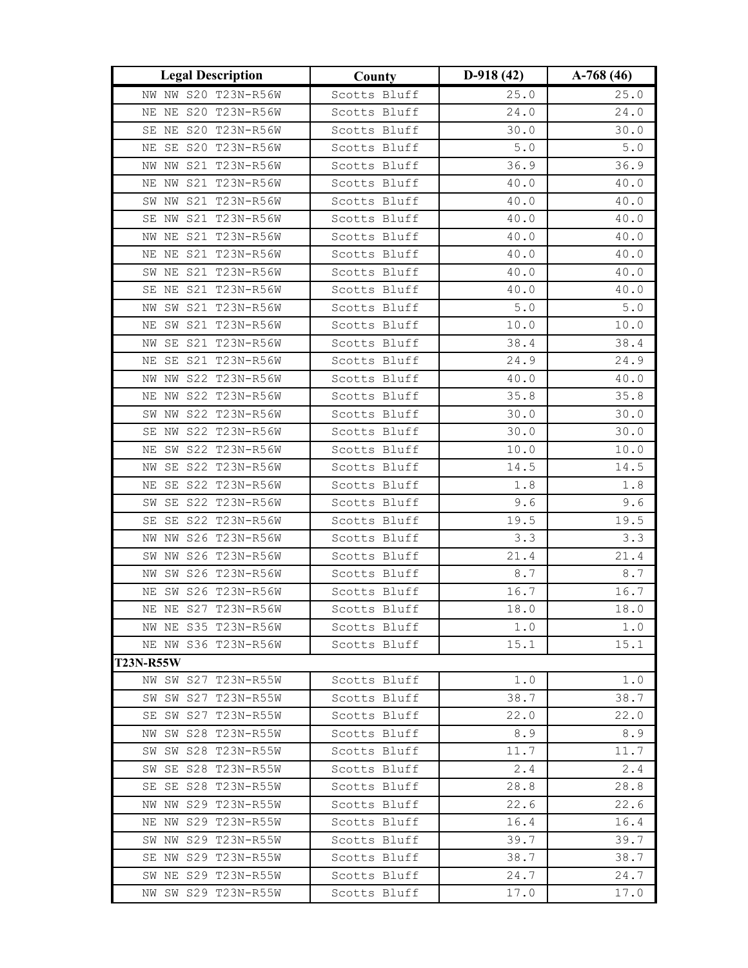| <b>Legal Description</b>                   | County       | $D-918(42)$ | $A-768(46)$ |
|--------------------------------------------|--------------|-------------|-------------|
| NW NW S20 T23N-R56W                        | Scotts Bluff | 25.0        | 25.0        |
| NE NE S20 T23N-R56W                        | Scotts Bluff | 24.0        | 24.0        |
| SE NE S20 T23N-R56W                        | Scotts Bluff | 30.0        | 30.0        |
| NE SE S20 T23N-R56W                        | Scotts Bluff | $5.0$       | $5.0$       |
| NW NW S21 T23N-R56W                        | Scotts Bluff | 36.9        | 36.9        |
| S21 T23N-R56W<br>NE NW                     | Scotts Bluff | 40.0        | 40.0        |
| SW NW S21 T23N-R56W                        | Scotts Bluff | 40.0        | 40.0        |
| S21 T23N-R56W<br>SE NW                     | Scotts Bluff | 40.0        | 40.0        |
| NW NE S21 T23N-R56W                        | Scotts Bluff | 40.0        | 40.0        |
| NE NE S21 T23N-R56W                        | Scotts Bluff | 40.0        | 40.0        |
| SW NE S21 T23N-R56W                        | Scotts Bluff | 40.0        | 40.0        |
| SE NE S21 T23N-R56W                        | Scotts Bluff | 40.0        | 40.0        |
| S21 T23N-R56W<br>SW<br>ΝW                  | Scotts Bluff | $5.0$       | $5.0$       |
| SW S21 T23N-R56W<br>ΝE                     | Scotts Bluff | 10.0        | 10.0        |
| SE S21 T23N-R56W<br>ΝW                     | Scotts Bluff | 38.4        | 38.4        |
| SE S21 T23N-R56W<br>ΝE                     | Scotts Bluff | 24.9        | 24.9        |
| NW S22 T23N-R56W<br>NW                     | Scotts Bluff | 40.0        | 40.0        |
| S22 T23N-R56W<br>ΝW<br>ΝE                  | Scotts Bluff | 35.8        | 35.8        |
| NW S22 T23N-R56W<br>SW                     | Scotts Bluff | 30.0        | 30.0        |
| S22 T23N-R56W<br>ΝW<br>SE                  | Scotts Bluff | 30.0        | 30.0        |
| SW S22 T23N-R56W<br>ΝE                     | Scotts Bluff | 10.0        | 10.0        |
| SE S22 T23N-R56W<br>ΝW                     | Scotts Bluff | 14.5        | 14.5        |
| SE S22 T23N-R56W<br>ΝE                     | Scotts Bluff | 1.8         | 1.8         |
| SE S22 T23N-R56W<br>SW                     | Scotts Bluff | 9.6         | 9.6         |
| SE S22 T23N-R56W<br>SE                     | Scotts Bluff | 19.5        | 19.5        |
| NW S26 T23N-R56W<br>NW                     | Scotts Bluff | 3.3         | 3.3         |
| S26 T23N-R56W<br>SW<br>ΝW                  | Scotts Bluff | 21.4        | 21.4        |
| SW S26 T23N-R56W<br>NW                     | Scotts Bluff | 8.7         | 8.7         |
| NE SW S26 T23N-R56W                        | Scotts Bluff | 16.7        | 16.7        |
| NE NE S27 T23N-R56W                        | Scotts Bluff | 18.0        | 18.0        |
| NW NE S35 T23N-R56W                        | Scotts Bluff | 1.0         | 1.0         |
| NE NW S36 T23N-R56W                        | Scotts Bluff | 15.1        | 15.1        |
| <b>T23N-R55W</b>                           |              |             |             |
| NW SW S27 T23N-R55W                        | Scotts Bluff | 1.0         | 1.0         |
| SW SW S27 T23N-R55W                        | Scotts Bluff | 38.7        | 38.7        |
| SE SW S27 T23N-R55W                        | Scotts Bluff | 22.0        | 22.0        |
| SW S28 T23N-R55W<br>NW                     | Scotts Bluff | 8.9         | 8.9         |
| SW SW S28 T23N-R55W                        | Scotts Bluff | 11.7        | 11.7        |
| SW SE S28 T23N-R55W                        | Scotts Bluff | 2.4         | 2.4         |
| SE SE S28 T23N-R55W                        | Scotts Bluff | 28.8        | 28.8        |
| NW NW S29 T23N-R55W                        | Scotts Bluff | 22.6        | 22.6        |
| NE NW S29 T23N-R55W                        | Scotts Bluff | 16.4        | 16.4        |
| SW NW S29 T23N-R55W<br>SE NW S29 T23N-R55W | Scotts Bluff | 39.7        | 39.7        |
|                                            | Scotts Bluff | 38.7        | 38.7        |
| SW NE S29 T23N-R55W                        | Scotts Bluff | 24.7        | 24.7        |
| NW SW S29 T23N-R55W                        | Scotts Bluff | 17.0        | 17.0        |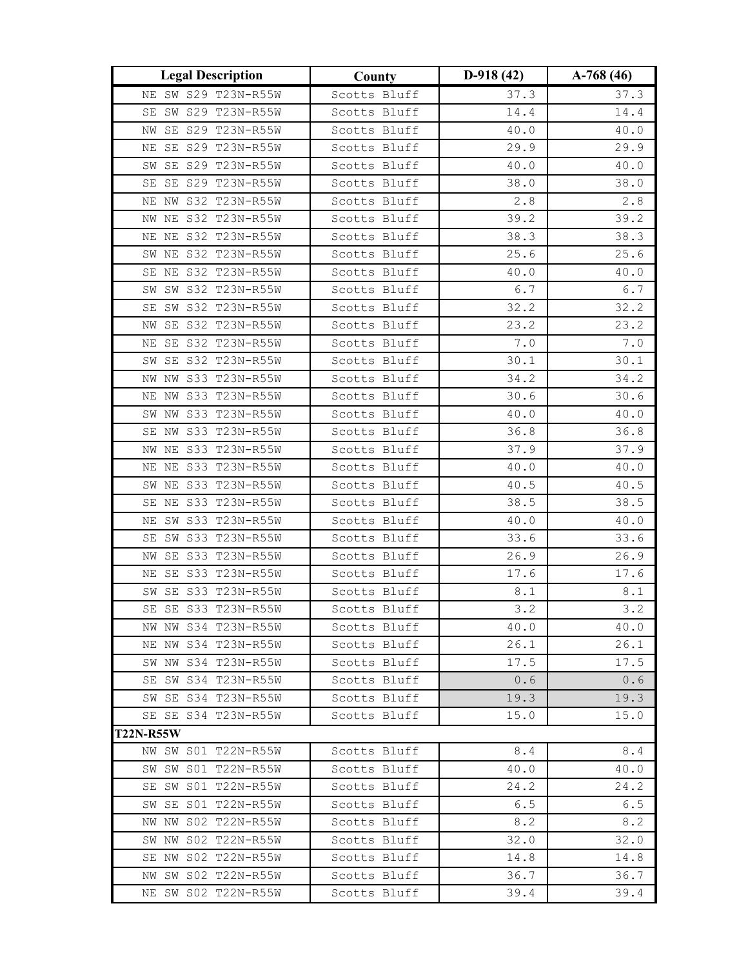| <b>Legal Description</b> | County       | $D-918(42)$                                   | $A-768(46)$  |
|--------------------------|--------------|-----------------------------------------------|--------------|
| NE SW S29 T23N-R55W      | Scotts Bluff | 37.3                                          | 37.3         |
| SE SW S29 T23N-R55W      | Scotts Bluff | 14.4                                          | 14.4         |
| SE S29 T23N-R55W<br>ΝW   | Scotts Bluff | 40.0                                          | $4\,0$ . $0$ |
| NE SE S29 T23N-R55W      | Scotts Bluff | 29.9                                          | 29.9         |
| SW SE S29 T23N-R55W      | Scotts Bluff | 40.0                                          | 40.0         |
| SE S29 T23N-R55W<br>SE   | Scotts Bluff | 38.0                                          | 38.0         |
| NE NW S32 T23N-R55W      | Scotts Bluff | 2.8                                           | 2.8          |
| NE S32 T23N-R55W<br>ΝW   | Scotts Bluff | 39.2                                          | 39.2         |
| NE NE S32 T23N-R55W      | Scotts Bluff | 38.3                                          | 38.3         |
| SW NE S32 T23N-R55W      | Scotts Bluff | 25.6                                          | 25.6         |
| SE NE S32 T23N-R55W      | Scotts Bluff | 40.0                                          | 40.0         |
| SW SW S32 T23N-R55W      | Scotts Bluff | $6.7$                                         | 6.7          |
| SW S32 T23N-R55W<br>SE   | Scotts Bluff | 32.2                                          | 32.2         |
| NW SE S32 T23N-R55W      | Scotts Bluff | 23.2                                          | 23.2         |
| NE SE S32 T23N-R55W      | Scotts Bluff | $7 \cdot 0$                                   | $7 \cdot 0$  |
| SW SE S32 T23N-R55W      | Scotts Bluff | 30.1                                          | 30.1         |
| NW NW S33 T23N-R55W      | Scotts Bluff | 34.2                                          | 34.2         |
| NE NW S33 T23N-R55W      | Scotts Bluff | 30.6                                          | 30.6         |
| SW NW S33 T23N-R55W      | Scotts Bluff | $40\,\raisebox{1pt}{\text{\circle*{1.5}}}\,0$ | 40.0         |
| S33 T23N-R55W<br>SE NW   | Scotts Bluff | 36.8                                          | 36.8         |
| NW NE S33 T23N-R55W      | Scotts Bluff | 37.9                                          | 37.9         |
| NE NE S33 T23N-R55W      | Scotts Bluff | 40.0                                          | 40.0         |
| SW NE S33 T23N-R55W      | Scotts Bluff | 40.5                                          | 40.5         |
| SE NE S33 T23N-R55W      | Scotts Bluff | 38.5                                          | 38.5         |
| SW S33 T23N-R55W<br>ΝE   | Scotts Bluff | 40.0                                          | 40.0         |
| SE SW S33 T23N-R55W      | Scotts Bluff | 33.6                                          | 33.6         |
| SE S33 T23N-R55W<br>ΝW   | Scotts Bluff | 26.9                                          | 26.9         |
| SE S33 T23N-R55W<br>ΝE   | Scotts Bluff | 17.6                                          | 17.6         |
| SE S33 T23N-R55W<br>SW   | Scotts Bluff | $\,8$ . $1$                                   | 8.1          |
| SE SE S33 T23N-R55W      | Scotts Bluff | 3.2                                           | 3.2          |
| NW NW S34 T23N-R55W      | Scotts Bluff | 40.0                                          | 40.0         |
| NE NW S34 T23N-R55W      | Scotts Bluff | 26.1                                          | 26.1         |
| SW NW S34 T23N-R55W      | Scotts Bluff | 17.5                                          | 17.5         |
| SE SW S34 T23N-R55W      | Scotts Bluff | 0.6                                           | 0.6          |
| SW SE S34 T23N-R55W      | Scotts Bluff | 19.3                                          | 19.3         |
| SE SE S34 T23N-R55W      | Scotts Bluff | 15.0                                          | 15.0         |
| <b>T22N-R55W</b>         |              |                                               |              |
| NW SW S01 T22N-R55W      | Scotts Bluff | 8.4                                           | 8.4          |
| SW SW S01 T22N-R55W      | Scotts Bluff | 40.0                                          | 40.0         |
| SE SW S01 T22N-R55W      | Scotts Bluff | 24.2                                          | 24.2         |
| SW SE S01 T22N-R55W      | Scotts Bluff | 6.5                                           | 6.5          |
| NW NW S02 T22N-R55W      | Scotts Bluff | 8.2                                           | 8.2          |
| SW NW S02 T22N-R55W      | Scotts Bluff | 32.0                                          | 32.0         |
| SE NW S02 T22N-R55W      | Scotts Bluff | 14.8                                          | 14.8         |
| NW SW S02 T22N-R55W      | Scotts Bluff | 36.7                                          | 36.7         |
| NE SW S02 T22N-R55W      | Scotts Bluff | 39.4                                          | 39.4         |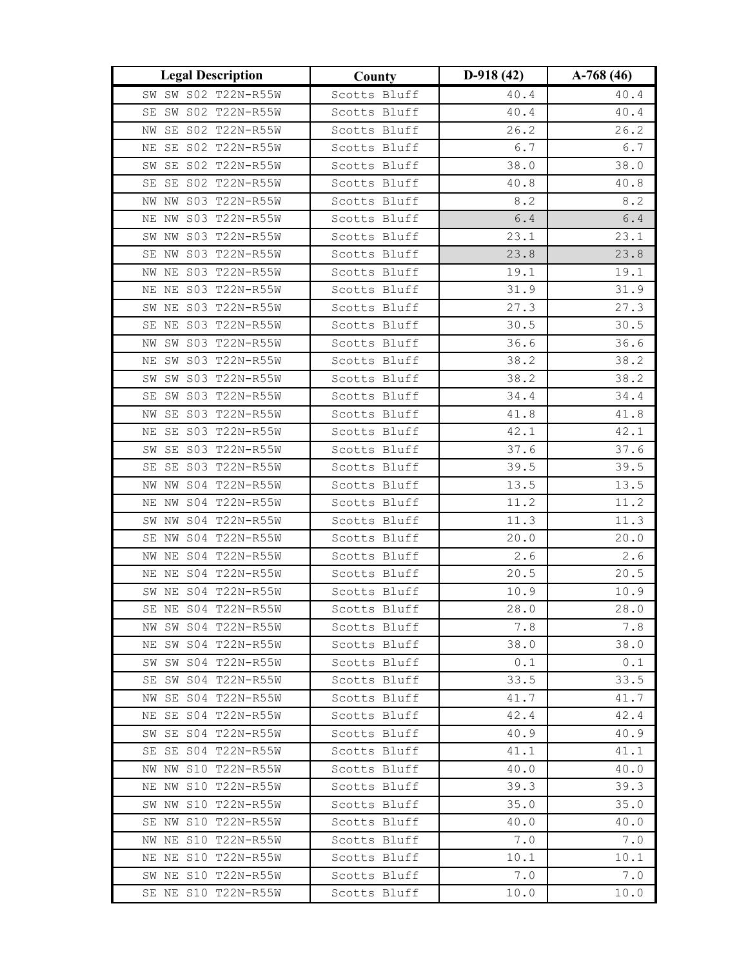| <b>Legal Description</b>                   | County                       | $D-918(42)$  | $A-768(46)$  |
|--------------------------------------------|------------------------------|--------------|--------------|
| SW SW S02 T22N-R55W                        | Scotts Bluff                 | 40.4         | $4\,0$ . $4$ |
| SE SW S02 T22N-R55W                        | Scotts Bluff                 | 40.4         | 40.4         |
| SE S02 T22N-R55W<br>ΝW                     | Scotts Bluff                 | 26.2         | 26.2         |
| NE SE S02 T22N-R55W                        | Scotts Bluff                 | 6.7          | $6.7$        |
| SW SE S02 T22N-R55W                        | Scotts Bluff                 | 38.0         | 38.0         |
| SE S02 T22N-R55W<br>SE                     | Scotts Bluff                 | 40.8         | 40.8         |
| NW S03 T22N-R55W<br>NW                     | Scotts Bluff                 | 8.2          | 8.2          |
| NE NW S03 T22N-R55W                        | Scotts Bluff                 | $6.4$        | $6.4$        |
| SW NW S03 T22N-R55W                        | Scotts Bluff                 | 23.1         | 23.1         |
| SE NW S03 T22N-R55W                        | Scotts Bluff                 | 23.8         | 23.8         |
| NW NE S03 T22N-R55W                        | Scotts Bluff                 | 19.1         | 19.1         |
| NE NE S03 T22N-R55W                        | Scotts Bluff                 | 31.9         | 31.9         |
| SW NE S03 T22N-R55W                        | Scotts Bluff                 | 27.3         | 27.3         |
| SE NE S03 T22N-R55W                        | Scotts Bluff                 | 30.5         | 30.5         |
| SW S03 T22N-R55W<br>ΝW                     | Scotts Bluff                 | 36.6         | 36.6         |
| NE SW S03 T22N-R55W                        | Scotts Bluff                 | 38.2         | 38.2         |
| SW SW S03 T22N-R55W                        | Scotts Bluff                 | 38.2         | 38.2         |
| SW S03 T22N-R55W<br>SE                     | Scotts Bluff                 | 34.4         | 34.4         |
| SE S03 T22N-R55W<br>NW                     | Scotts Bluff                 | 41.8         | 41.8         |
| SE S03 T22N-R55W<br>ΝE                     | Scotts Bluff                 | 42.1         | 42.1         |
| SE S03 T22N-R55W<br>SW                     | Scotts Bluff                 | 37.6         | 37.6         |
| SE S03 T22N-R55W<br>SE                     | Scotts Bluff                 | 39.5         | 39.5         |
| NW NW S04 T22N-R55W                        | Scotts Bluff                 | 13.5         | 13.5         |
| NE NW S04 T22N-R55W                        | Scotts Bluff                 | 11.2         | 11.2         |
| SW NW S04 T22N-R55W                        | Scotts Bluff                 | 11.3         | 11.3         |
| SE NW S04 T22N-R55W                        | Scotts Bluff                 | 20.0         | 20.0         |
| NE S04 T22N-R55W<br>NW                     | Scotts Bluff                 | 2.6          | 2.6          |
| NE NE S04 T22N-R55W                        | Scotts Bluff                 | 20.5         | 20.5         |
| SW NE S04 T22N-R55W                        | Scotts Bluff                 | 10.9         | 10.9         |
| SE NE S04 T22N-R55W                        | Scotts Bluff                 | 28.0         | 28.0         |
| NW SW S04 T22N-R55W                        | Scotts Bluff                 | 7.8          | 7.8          |
| SW S04 T22N-R55W<br>NE                     | Scotts Bluff                 | 38.0         | 38.0         |
| SW SW S04 T22N-R55W                        | Scotts Bluff                 | 0.1          | 0.1          |
| SW S04 T22N-R55W<br>SE                     | Scotts Bluff                 | 33.5         | 33.5         |
| NW SE S04 T22N-R55W                        | Scotts Bluff                 | 41.7         | 41.7         |
| NE SE S04 T22N-R55W                        | Scotts Bluff                 | 42.4<br>40.9 | 42.4         |
| SW SE S04 T22N-R55W<br>SE SE S04 T22N-R55W | Scotts Bluff<br>Scotts Bluff | 41.1         | 40.9<br>41.1 |
| NW NW S10 T22N-R55W                        |                              | 40.0         |              |
| NE NW S10 T22N-R55W                        | Scotts Bluff                 |              | 40.0         |
|                                            | Scotts Bluff                 | 39.3         | 39.3         |
| SW NW S10 T22N-R55W                        | Scotts Bluff                 | 35.0         | 35.0         |
| SE NW S10 T22N-R55W<br>NW NE S10 T22N-R55W | Scotts Bluff                 | 40.0         | 40.0         |
|                                            | Scotts Bluff                 | 7.0          | 7.0          |
| NE NE S10 T22N-R55W                        | Scotts Bluff                 | 10.1         | 10.1         |
| SW NE S10 T22N-R55W                        | Scotts Bluff                 | 7.0          | 7.0          |
| SE NE S10 T22N-R55W                        | Scotts Bluff                 | 10.0         | 10.0         |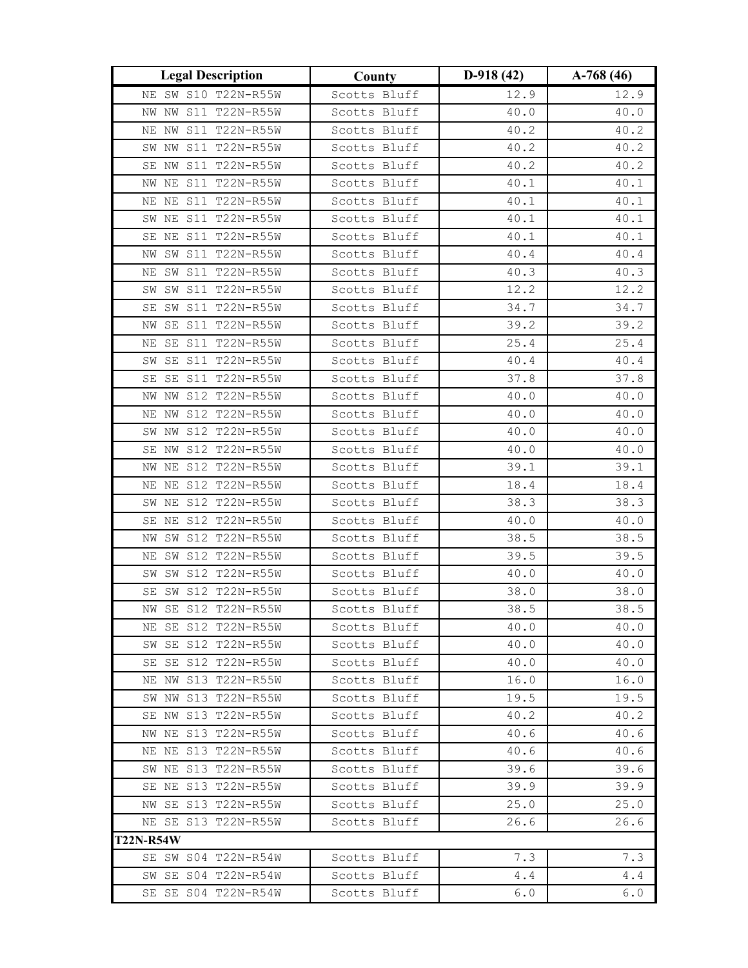| <b>Legal Description</b>                | County       | $D-918(42)$ | $A-768(46)$ |
|-----------------------------------------|--------------|-------------|-------------|
| NE SW S10 T22N-R55W                     | Scotts Bluff | 12.9        | 12.9        |
| NW NW S11 T22N-R55W                     | Scotts Bluff | 40.0        | 40.0        |
| NE NW S11 T22N-R55W                     | Scotts Bluff | 40.2        | 40.2        |
| SW NW S11 T22N-R55W                     | Scotts Bluff | 40.2        | 40.2        |
| SE NW S11 T22N-R55W                     | Scotts Bluff | 40.2        | 40.2        |
| S11 T22N-R55W<br>NW NE                  | Scotts Bluff | 40.1        | 40.1        |
| NE NE S11 T22N-R55W                     | Scotts Bluff | 40.1        | 40.1        |
| SW NE S11 T22N-R55W                     | Scotts Bluff | 40.1        | 40.1        |
| SE NE S11 T22N-R55W                     | Scotts Bluff | 40.1        | 40.1        |
| NW SW S11 T22N-R55W                     | Scotts Bluff | 40.4        | 40.4        |
| NE SW S11 T22N-R55W                     | Scotts Bluff | 40.3        | 40.3        |
| SW SW S11 T22N-R55W                     | Scotts Bluff | 12.2        | 12.2        |
| SW S11 T22N-R55W<br>SE                  | Scotts Bluff | 34.7        | 34.7        |
| SE S11 T22N-R55W<br>NW                  | Scotts Bluff | 39.2        | 39.2        |
| NE SE S11 T22N-R55W                     | Scotts Bluff | 25.4        | 25.4        |
| SW SE S11 T22N-R55W                     | Scotts Bluff | 40.4        | 40.4        |
| SE SE S11 T22N-R55W                     | Scotts Bluff | 37.8        | 37.8        |
| NW NW S12 T22N-R55W                     | Scotts Bluff | 40.0        | 40.0        |
| NW S12 T22N-R55W<br>ΝE                  | Scotts Bluff | 40.0        | 40.0        |
| S12 T22N-R55W<br>SW<br>NW               | Scotts Bluff | 40.0        | 40.0        |
| SE NW S12 T22N-R55W                     | Scotts Bluff | 40.0        | $40.0\,$    |
| NW NE S12 T22N-R55W                     | Scotts Bluff | 39.1        | 39.1        |
| NE NE S12 T22N-R55W                     | Scotts Bluff | 18.4        | 18.4        |
| SW NE S12 T22N-R55W                     | Scotts Bluff | 38.3        | 38.3        |
| SE NE S12 T22N-R55W                     | Scotts Bluff | 40.0        | 40.0        |
| SW S12 T22N-R55W<br>ΝW                  | Scotts Bluff | 38.5        | 38.5        |
| SW S12 T22N-R55W<br>ΝE                  | Scotts Bluff | 39.5        | 39.5        |
| SW SW S12 T22N-R55W                     | Scotts Bluff | 40.0        | 40.0        |
| SW S12 T22N-R55W<br>SE                  | Scotts Bluff | 38.0        | 38.0        |
| NW SE S12 T22N-R55W                     | Scotts Bluff | 38.5        | 38.5        |
| NE SE S12 T22N-R55W                     | Scotts Bluff | 40.0        | 40.0        |
| SW SE S12 T22N-R55W                     | Scotts Bluff | 40.0        | 40.0        |
| SE SE S12 T22N-R55W                     | Scotts Bluff | 40.0        | 40.0        |
| NE NW S13 T22N-R55W                     | Scotts Bluff | 16.0        | 16.0        |
| SW NW S13 T22N-R55W                     | Scotts Bluff | 19.5        | 19.5        |
| SE NW S13 T22N-R55W                     | Scotts Bluff | 40.2        | 40.2        |
| NW NE S13 T22N-R55W                     | Scotts Bluff | 40.6        | 40.6        |
| NE NE S13 T22N-R55W                     | Scotts Bluff | 40.6        | 40.6        |
| SW NE S13 T22N-R55W                     | Scotts Bluff | 39.6        | 39.6        |
| SE NE S13 T22N-R55W                     | Scotts Bluff | 39.9        | 39.9        |
| NW SE S13 T22N-R55W                     | Scotts Bluff | 25.0        | 25.0        |
| NE SE S13 T22N-R55W<br><b>T22N-R54W</b> | Scotts Bluff | 26.6        | 26.6        |
| SE SW S04 T22N-R54W                     | Scotts Bluff | 7.3         | 7.3         |
| SW SE S04 T22N-R54W                     | Scotts Bluff | 4.4         | 4.4         |
| SE SE S04 T22N-R54W                     | Scotts Bluff | 6.0         | 6.0         |
|                                         |              |             |             |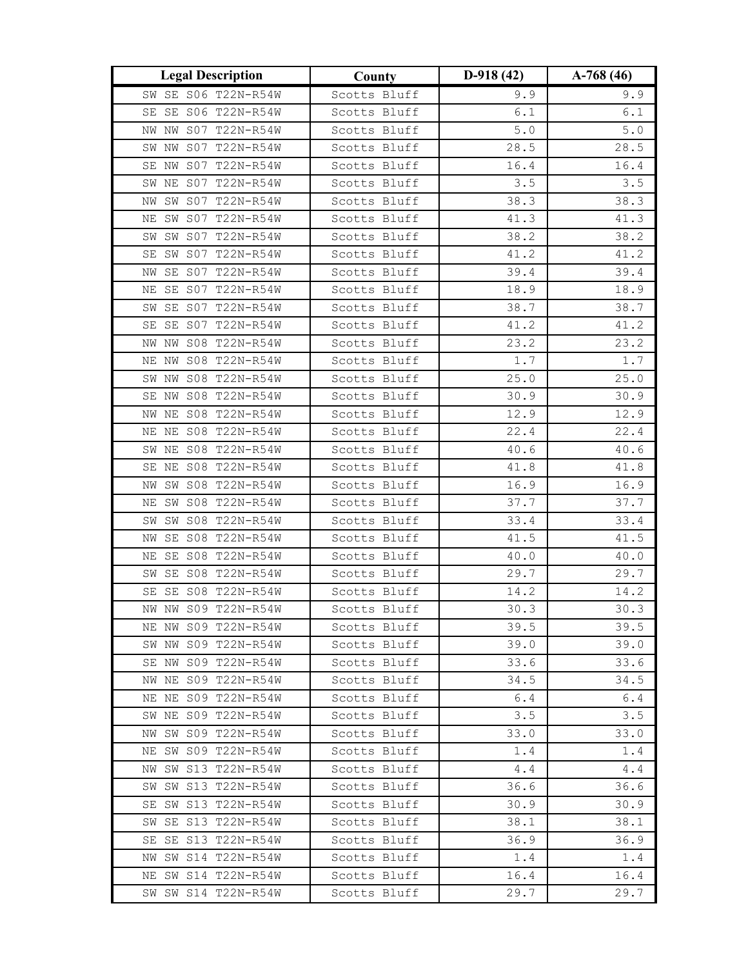| <b>Legal Description</b> | County       | $D-918(42)$ | $A-768(46)$   |
|--------------------------|--------------|-------------|---------------|
| SW SE S06 T22N-R54W      | Scotts Bluff | 9.9         | 9.9           |
| SE SE S06 T22N-R54W      | Scotts Bluff | 6.1         | $6.1$         |
| NW S07 T22N-R54W<br>NW   | Scotts Bluff | $5 \cdot 0$ | $5 \, . \, 0$ |
| SW NW S07 T22N-R54W      | Scotts Bluff | 28.5        | 28.5          |
| SE NW S07 T22N-R54W      | Scotts Bluff | 16.4        | 16.4          |
| SW NE S07 T22N-R54W      | Scotts Bluff | 3.5         | 3.5           |
| SW S07 T22N-R54W<br>NW   | Scotts Bluff | 38.3        | 38.3          |
| SW S07 T22N-R54W<br>ΝE   | Scotts Bluff | 41.3        | 41.3          |
| SW SW S07 T22N-R54W      | Scotts Bluff | 38.2        | 38.2          |
| SE SW S07 T22N-R54W      | Scotts Bluff | 41.2        | 41.2          |
| NW SE S07 T22N-R54W      | Scotts Bluff | 39.4        | 39.4          |
| SE S07 T22N-R54W<br>ΝE   | Scotts Bluff | 18.9        | 18.9          |
| SE S07 T22N-R54W<br>SW   | Scotts Bluff | 38.7        | 38.7          |
| SE S07 T22N-R54W<br>SE   | Scotts Bluff | 41.2        | 41.2          |
| NW NW S08 T22N-R54W      | Scotts Bluff | 23.2        | 23.2          |
| NE NW S08 T22N-R54W      | Scotts Bluff | 1.7         | 1.7           |
| SW NW S08 T22N-R54W      | Scotts Bluff | 25.0        | 25.0          |
| SE NW S08 T22N-R54W      | Scotts Bluff | 30.9        | 30.9          |
| NW NE S08 T22N-R54W      | Scotts Bluff | 12.9        | 12.9          |
| NE S08 T22N-R54W<br>ΝE   | Scotts Bluff | 22.4        | 22.4          |
| SW NE S08 T22N-R54W      | Scotts Bluff | 40.6        | 40.6          |
| SE NE S08 T22N-R54W      | Scotts Bluff | 41.8        | 41.8          |
| NW SW S08 T22N-R54W      | Scotts Bluff | 16.9        | 16.9          |
| NE SW S08 T22N-R54W      | Scotts Bluff | 37.7        | 37.7          |
| SW S08 T22N-R54W<br>SW   | Scotts Bluff | 33.4        | 33.4          |
| SE S08 T22N-R54W<br>ΝW   | Scotts Bluff | 41.5        | 41.5          |
| SE S08 T22N-R54W<br>ΝE   | Scotts Bluff | 40.0        | 40.0          |
| SW SE S08 T22N-R54W      | Scotts Bluff | 29.7        | 29.7          |
| SE SE S08 T22N-R54W      | Scotts Bluff | 14.2        | 14.2          |
| NW NW S09 T22N-R54W      | Scotts Bluff | 30.3        | 30.3          |
| NE NW S09 T22N-R54W      | Scotts Bluff | 39.5        | 39.5          |
| SW NW S09 T22N-R54W      | Scotts Bluff | 39.0        | 39.0          |
| SE NW S09 T22N-R54W      | Scotts Bluff | 33.6        | 33.6          |
| NW NE S09 T22N-R54W      | Scotts Bluff | 34.5        | 34.5          |
| NE NE S09 T22N-R54W      | Scotts Bluff | 6.4         | 6.4           |
| SW NE S09 T22N-R54W      | Scotts Bluff | 3.5         | 3.5           |
| NW SW S09 T22N-R54W      | Scotts Bluff | 33.0        | 33.0          |
| NE SW S09 T22N-R54W      | Scotts Bluff | 1.4         | 1.4           |
| NW SW S13 T22N-R54W      | Scotts Bluff | 4.4         | 4.4           |
| SW SW S13 T22N-R54W      | Scotts Bluff | 36.6        | 36.6          |
| SE SW S13 T22N-R54W      | Scotts Bluff | 30.9        | 30.9          |
| SW SE S13 T22N-R54W      | Scotts Bluff | 38.1        | 38.1          |
| SE SE S13 T22N-R54W      | Scotts Bluff | 36.9        | 36.9          |
| NW SW S14 T22N-R54W      | Scotts Bluff | 1.4         | 1.4           |
| NE SW S14 T22N-R54W      | Scotts Bluff | 16.4        | 16.4          |
| SW SW S14 T22N-R54W      | Scotts Bluff | 29.7        | 29.7          |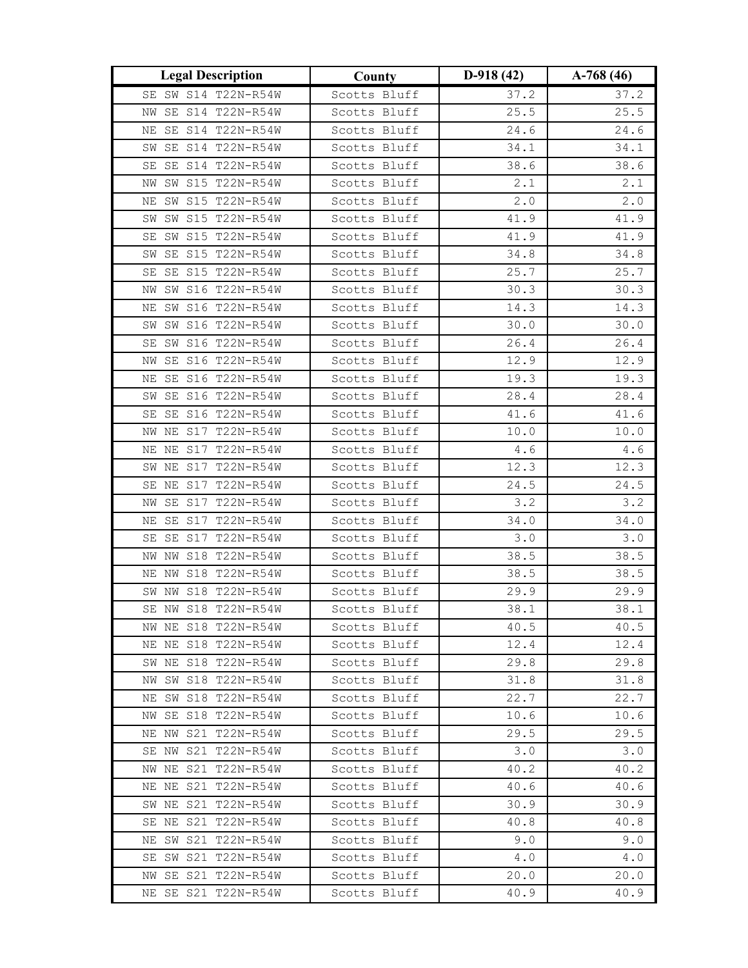| <b>Legal Description</b>  | County       | $D-918(42)$ | $A-768(46)$ |
|---------------------------|--------------|-------------|-------------|
| SE SW S14 T22N-R54W       | Scotts Bluff | 37.2        | 37.2        |
| SE S14 T22N-R54W<br>ΝW    | Scotts Bluff | 25.5        | 25.5        |
| SE S14 T22N-R54W<br>ΝE    | Scotts Bluff | 24.6        | 24.6        |
| SW SE S14 T22N-R54W       | Scotts Bluff | 34.1        | 34.1        |
| SE S14 T22N-R54W<br>SE    | Scotts Bluff | 38.6        | 38.6        |
| SW S15 T22N-R54W<br>ΝW    | Scotts Bluff | 2.1         | 2.1         |
| SW S15 T22N-R54W<br>ΝE    | Scotts Bluff | $2.0$       | 2.0         |
| SW S15 T22N-R54W<br>SW    | Scotts Bluff | 41.9        | 41.9        |
| SW S15 T22N-R54W<br>SE    | Scotts Bluff | 41.9        | 41.9        |
| SW SE S15 T22N-R54W       | Scotts Bluff | 34.8        | 34.8        |
| SE SE S15 T22N-R54W       | Scotts Bluff | 25.7        | 25.7        |
| NW SW S16 T22N-R54W       | Scotts Bluff | 30.3        | 30.3        |
| SW S16 T22N-R54W<br>ΝE    | Scotts Bluff | 14.3        | 14.3        |
| SW SW S16 T22N-R54W       | Scotts Bluff | 30.0        | 30.0        |
| SE SW S16 T22N-R54W       | Scotts Bluff | 26.4        | 26.4        |
| NW SE S16 T22N-R54W       | Scotts Bluff | 12.9        | 12.9        |
| NE SE S16 T22N-R54W       | Scotts Bluff | 19.3        | 19.3        |
| SW SE S16 T22N-R54W       | Scotts Bluff | 28.4        | 28.4        |
| SE SE S16 T22N-R54W       | Scotts Bluff | 41.6        | 41.6        |
| NE S17 T22N-R54W<br>NW    | Scotts Bluff | 10.0        | 10.0        |
| NE NE S17 T22N-R54W       | Scotts Bluff | 4.6         | 4.6         |
| SW NE S17 T22N-R54W       | Scotts Bluff | 12.3        | 12.3        |
| SE NE S17 T22N-R54W       | Scotts Bluff | 24.5        | 24.5        |
| NW SE S17 T22N-R54W       | Scotts Bluff | 3.2         | 3.2         |
| SE S17 T22N-R54W<br>ΝE    | Scotts Bluff | 34.0        | 34.0        |
| SE SE S17 T22N-R54W       | Scotts Bluff | 3.0         | 3.0         |
| S18 T22N-R54W<br>NW<br>NW | Scotts Bluff | 38.5        | 38.5        |
| NE NW S18 T22N-R54W       | Scotts Bluff | 38.5        | 38.5        |
| SW NW S18 T22N-R54W       | Scotts Bluff | 29.9        | 29.9        |
| SE NW S18 T22N-R54W       | Scotts Bluff | 38.1        | 38.1        |
| NW NE S18 T22N-R54W       | Scotts Bluff | 40.5        | 40.5        |
| NE NE S18 T22N-R54W       | Scotts Bluff | 12.4        | 12.4        |
| SW NE S18 T22N-R54W       | Scotts Bluff | 29.8        | 29.8        |
| SW S18 T22N-R54W<br>NW    | Scotts Bluff | 31.8        | 31.8        |
| NE SW S18 T22N-R54W       | Scotts Bluff | 22.7        | 22.7        |
| NW SE S18 T22N-R54W       | Scotts Bluff | 10.6        | 10.6        |
| NE NW S21 T22N-R54W       | Scotts Bluff | 29.5        | 29.5        |
| SE NW S21 T22N-R54W       | Scotts Bluff | 3.0         | 3.0         |
| NW NE S21 T22N-R54W       | Scotts Bluff | 40.2        | 40.2        |
| NE NE S21 T22N-R54W       | Scotts Bluff | 40.6        | 40.6        |
| SW NE S21 T22N-R54W       | Scotts Bluff | 30.9        | 30.9        |
| SE NE S21 T22N-R54W       | Scotts Bluff | 40.8        | 40.8        |
| NE SW S21 T22N-R54W       | Scotts Bluff | 9.0         | 9.0         |
| SE SW S21 T22N-R54W       | Scotts Bluff | 4.0         | 4.0         |
| NW SE S21 T22N-R54W       | Scotts Bluff | 20.0        | 20.0        |
| NE SE S21 T22N-R54W       | Scotts Bluff | 40.9        | 40.9        |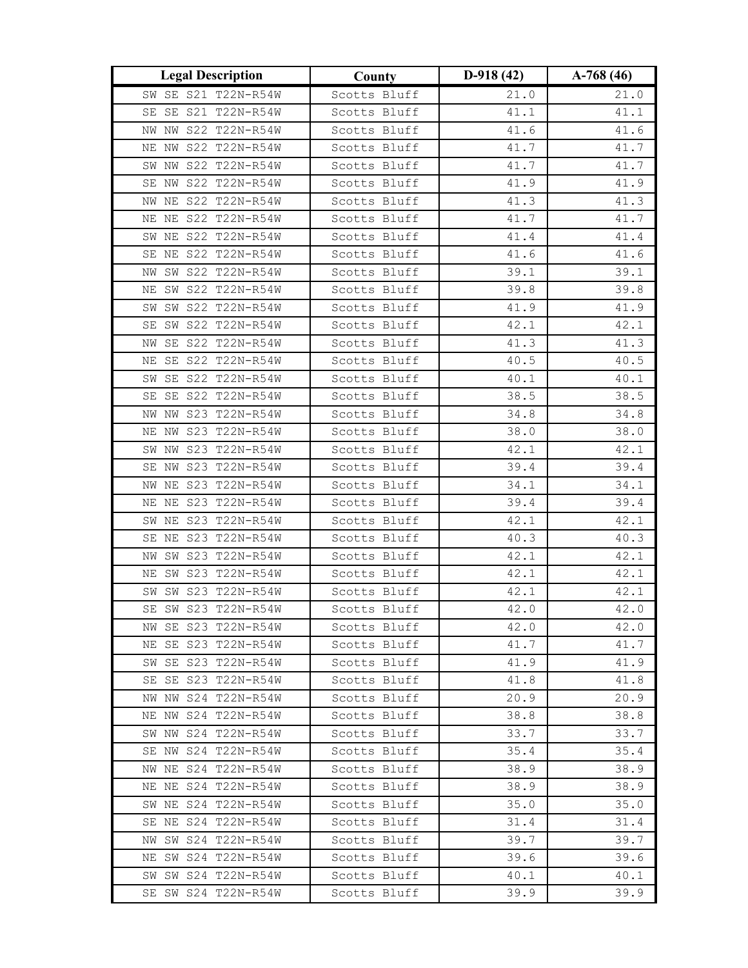| <b>Legal Description</b>                   | County                       | $D-918(42)$  | $A-768(46)$  |
|--------------------------------------------|------------------------------|--------------|--------------|
| SW SE S21 T22N-R54W                        | Scotts Bluff                 | 21.0         | 21.0         |
| SE SE S21 T22N-R54W                        | Scotts Bluff                 | 41.1         | 41.1         |
| NW NW S22 T22N-R54W                        | Scotts Bluff                 | 41.6         | 41.6         |
| NE NW S22 T22N-R54W                        | Scotts Bluff                 | 41.7         | 41.7         |
| SW NW S22 T22N-R54W                        | Scotts Bluff                 | 41.7         | 41.7         |
| SE NW S22 T22N-R54W                        | Scotts Bluff                 | 41.9         | 41.9         |
| NW NE S22 T22N-R54W                        | Scotts Bluff                 | 41.3         | 41.3         |
| NE NE S22 T22N-R54W                        | Scotts Bluff                 | 41.7         | 41.7         |
| SW NE S22 T22N-R54W                        | Scotts Bluff                 | 41.4         | 41.4         |
| SE NE S22 T22N-R54W                        | Scotts Bluff                 | 41.6         | 41.6         |
| NW SW S22 T22N-R54W                        | Scotts Bluff                 | 39.1         | 39.1         |
| NE SW S22 T22N-R54W                        | Scotts Bluff                 | 39.8         | 39.8         |
| SW S22 T22N-R54W<br>SW                     | Scotts Bluff                 | 41.9         | 41.9         |
| SE SW S22 T22N-R54W                        | Scotts Bluff                 | 42.1         | 42.1         |
| SE S22 T22N-R54W<br>NW                     | Scotts Bluff                 | 41.3         | 41.3         |
| NE SE S22 T22N-R54W                        | Scotts Bluff                 | 40.5         | 40.5         |
| SW SE S22 T22N-R54W                        | Scotts Bluff                 | 40.1         | 40.1         |
| SE SE S22 T22N-R54W                        | Scotts Bluff                 | 38.5         | 38.5         |
| NW NW S23 T22N-R54W                        | Scotts Bluff                 | 34.8         | 34.8         |
| NE NW S23 T22N-R54W                        | Scotts Bluff                 | 38.0         | 38.0         |
| SW NW S23 T22N-R54W                        | Scotts Bluff                 | 42.1         | 42.1         |
| SE NW S23 T22N-R54W                        | Scotts Bluff                 | 39.4         | 39.4         |
| NW NE S23 T22N-R54W                        | Scotts Bluff                 | 34.1         | 34.1         |
| NE NE S23 T22N-R54W                        | Scotts Bluff                 | 39.4         | 39.4         |
| SW NE S23 T22N-R54W                        | Scotts Bluff                 | 42.1         | 42.1         |
| SE NE S23 T22N-R54W                        | Scotts Bluff                 | 40.3         | 40.3         |
| SW S23 T22N-R54W<br>ΝW                     | Scotts Bluff                 | 42.1         | 42.1         |
| NE SW S23 T22N-R54W                        | Scotts Bluff                 | 42.1         | 42.1         |
| SW SW S23 T22N-R54W                        | Scotts Bluff                 | 42.1         | 42.1         |
| SE SW S23 T22N-R54W                        | Scotts Bluff                 | 42.0         | 42.0         |
| NW SE S23 T22N-R54W                        | Scotts Bluff                 | 42.0         | 42.0         |
| NE SE S23 T22N-R54W                        | Scotts Bluff                 | 41.7         | 41.7         |
| SW SE S23 T22N-R54W<br>SE SE S23 T22N-R54W | Scotts Bluff<br>Scotts Bluff | 41.9<br>41.8 | 41.9<br>41.8 |
| NW NW S24 T22N-R54W                        | Scotts Bluff                 | 20.9         | 20.9         |
| NE NW S24 T22N-R54W                        | Scotts Bluff                 | 38.8         | 38.8         |
| SW NW S24 T22N-R54W                        | Scotts Bluff                 | 33.7         | 33.7         |
| SE NW S24 T22N-R54W                        | Scotts Bluff                 | 35.4         | 35.4         |
| NW NE S24 T22N-R54W                        | Scotts Bluff                 | 38.9         | 38.9         |
| NE NE S24 T22N-R54W                        | Scotts Bluff                 | 38.9         | 38.9         |
| SW NE S24 T22N-R54W                        | Scotts Bluff                 | 35.0         | 35.0         |
| SE NE S24 T22N-R54W                        | Scotts Bluff                 | 31.4         | 31.4         |
| NW SW S24 T22N-R54W                        | Scotts Bluff                 | 39.7         | 39.7         |
| NE SW S24 T22N-R54W                        | Scotts Bluff                 | 39.6         | 39.6         |
| SW SW S24 T22N-R54W                        | Scotts Bluff                 | 40.1         | 40.1         |
| SE SW S24 T22N-R54W                        | Scotts Bluff                 | 39.9         | 39.9         |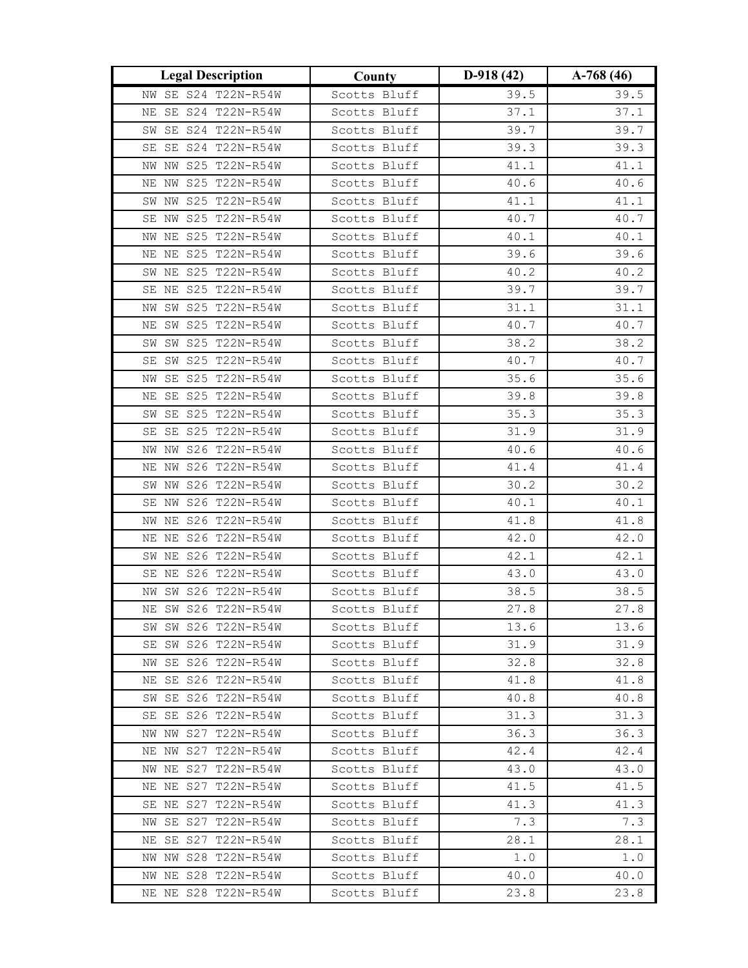| <b>Legal Description</b> | County       | $D-918(42)$ | $A-768(46)$ |
|--------------------------|--------------|-------------|-------------|
| NW SE S24 T22N-R54W      | Scotts Bluff | 39.5        | 39.5        |
| SE S24 T22N-R54W<br>ΝE   | Scotts Bluff | 37.1        | 37.1        |
| SW SE S24 T22N-R54W      | Scotts Bluff | 39.7        | 39.7        |
| SE SE S24 T22N-R54W      | Scotts Bluff | 39.3        | 39.3        |
| NW NW S25 T22N-R54W      | Scotts Bluff | 41.1        | 41.1        |
| NE NW S25 T22N-R54W      | Scotts Bluff | 40.6        | 40.6        |
| SW NW S25 T22N-R54W      | Scotts Bluff | 41.1        | 41.1        |
| SE NW S25 T22N-R54W      | Scotts Bluff | 40.7        | 40.7        |
| NW NE S25 T22N-R54W      | Scotts Bluff | 40.1        | 40.1        |
| NE NE S25 T22N-R54W      | Scotts Bluff | 39.6        | 39.6        |
| SW NE S25 T22N-R54W      | Scotts Bluff | 40.2        | 40.2        |
| SE NE S25 T22N-R54W      | Scotts Bluff | 39.7        | 39.7        |
| SW S25 T22N-R54W<br>NW   | Scotts Bluff | 31.1        | 31.1        |
| SW S25 T22N-R54W<br>ΝE   | Scotts Bluff | 40.7        | 40.7        |
| SW SW S25 T22N-R54W      | Scotts Bluff | 38.2        | 38.2        |
| SE SW S25 T22N-R54W      | Scotts Bluff | 40.7        | 40.7        |
| SE S25 T22N-R54W<br>NW   | Scotts Bluff | 35.6        | 35.6        |
| SE S25 T22N-R54W<br>ΝE   | Scotts Bluff | 39.8        | 39.8        |
| SE S25 T22N-R54W<br>SW   | Scotts Bluff | 35.3        | 35.3        |
| SE S25 T22N-R54W<br>SE   | Scotts Bluff | 31.9        | 31.9        |
| NW NW S26 T22N-R54W      | Scotts Bluff | 40.6        | 40.6        |
| NE NW S26 T22N-R54W      | Scotts Bluff | 41.4        | 41.4        |
| SW NW S26 T22N-R54W      | Scotts Bluff | 30.2        | 30.2        |
| SE NW S26 T22N-R54W      | Scotts Bluff | 40.1        | 40.1        |
| NE S26 T22N-R54W<br>NW   | Scotts Bluff | 41.8        | 41.8        |
| NE NE S26 T22N-R54W      | Scotts Bluff | 42.0        | 42.0        |
| SW NE S26 T22N-R54W      | Scotts Bluff | 42.1        | 42.1        |
| SE NE S26 T22N-R54W      | Scotts Bluff | 43.0        | 43.0        |
| SW S26 T22N-R54W<br>NW   | Scotts Bluff | 38.5        | 38.5        |
| NE SW S26 T22N-R54W      | Scotts Bluff | 27.8        | 27.8        |
| SW SW S26 T22N-R54W      | Scotts Bluff | 13.6        | 13.6        |
| SE SW S26 T22N-R54W      | Scotts Bluff | 31.9        | 31.9        |
| NW SE S26 T22N-R54W      | Scotts Bluff | 32.8        | 32.8        |
| NE SE S26 T22N-R54W      | Scotts Bluff | 41.8        | 41.8        |
| SW SE S26 T22N-R54W      | Scotts Bluff | 40.8        | 40.8        |
| SE SE S26 T22N-R54W      | Scotts Bluff | 31.3        | 31.3        |
| NW NW S27 T22N-R54W      | Scotts Bluff | 36.3        | 36.3        |
| NE NW S27 T22N-R54W      | Scotts Bluff | 42.4        | 42.4        |
| NW NE S27 T22N-R54W      | Scotts Bluff | 43.0        | 43.0        |
| NE NE S27 T22N-R54W      | Scotts Bluff | 41.5        | 41.5        |
| SE NE S27 T22N-R54W      | Scotts Bluff | 41.3        | 41.3        |
| NW SE S27 T22N-R54W      | Scotts Bluff | 7.3         | 7.3         |
| NE SE S27 T22N-R54W      | Scotts Bluff | 28.1        | 28.1        |
| NW NW S28 T22N-R54W      | Scotts Bluff | 1.0         | 1.0         |
| NW NE S28 T22N-R54W      | Scotts Bluff | 40.0        | 40.0        |
| NE NE S28 T22N-R54W      | Scotts Bluff | 23.8        | 23.8        |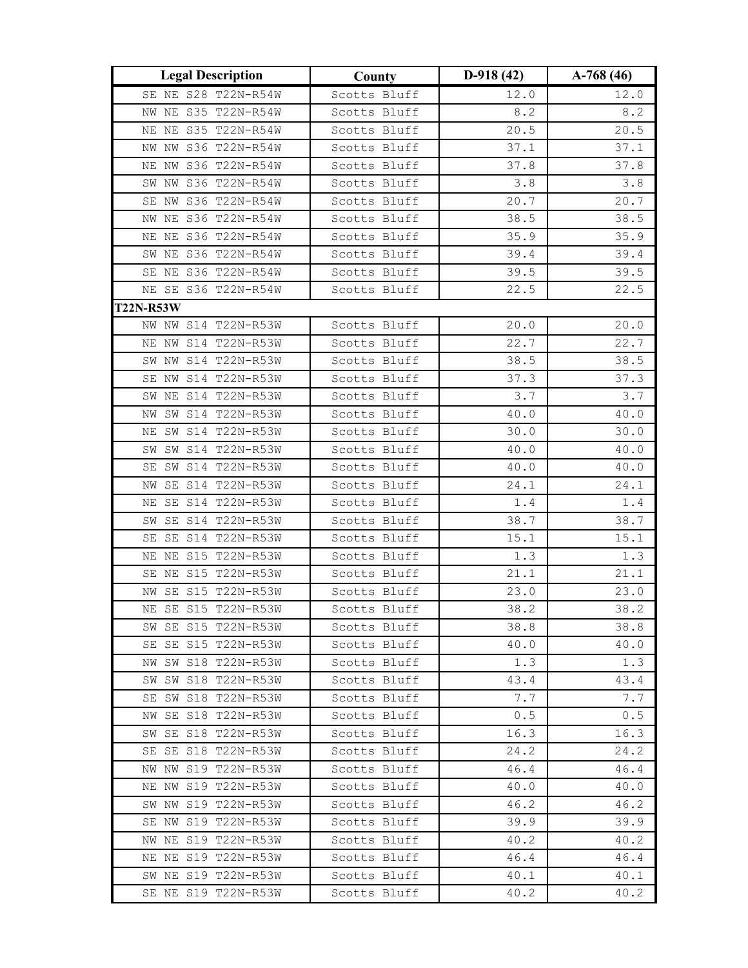| <b>Legal Description</b> | County       | $D-918(42)$ | $A-768(46)$ |
|--------------------------|--------------|-------------|-------------|
| SE NE S28 T22N-R54W      | Scotts Bluff | 12.0        | 12.0        |
| NW NE S35 T22N-R54W      | Scotts Bluff | 8.2         | 8.2         |
| NE NE S35 T22N-R54W      | Scotts Bluff | 20.5        | 20.5        |
| NW NW S36 T22N-R54W      | Scotts Bluff | 37.1        | 37.1        |
| NE NW S36 T22N-R54W      | Scotts Bluff | 37.8        | 37.8        |
| SW NW S36 T22N-R54W      | Scotts Bluff | 3.8         | 3.8         |
| SE NW S36 T22N-R54W      | Scotts Bluff | 20.7        | 20.7        |
| NW NE S36 T22N-R54W      | Scotts Bluff | 38.5        | 38.5        |
| NE NE S36 T22N-R54W      | Scotts Bluff | 35.9        | 35.9        |
| SW NE S36 T22N-R54W      | Scotts Bluff | 39.4        | 39.4        |
| SE NE S36 T22N-R54W      | Scotts Bluff | 39.5        | 39.5        |
| NE SE S36 T22N-R54W      | Scotts Bluff | 22.5        | 22.5        |
| <b>T22N-R53W</b>         |              |             |             |
| NW NW S14 T22N-R53W      | Scotts Bluff | 20.0        | 20.0        |
| NE NW S14 T22N-R53W      | Scotts Bluff | 22.7        | 22.7        |
| SW NW S14 T22N-R53W      | Scotts Bluff | 38.5        | 38.5        |
| SE NW S14 T22N-R53W      | Scotts Bluff | 37.3        | 37.3        |
| SW NE S14 T22N-R53W      | Scotts Bluff | 3.7         | 3.7         |
| SW S14 T22N-R53W<br>NW   | Scotts Bluff | 40.0        | 40.0        |
| SW S14 T22N-R53W<br>ΝE   | Scotts Bluff | 30.0        | 30.0        |
| SW SW S14 T22N-R53W      | Scotts Bluff | 40.0        | 40.0        |
| SW S14 T22N-R53W<br>SE   | Scotts Bluff | 40.0        | 40.0        |
| SE S14 T22N-R53W<br>NW   | Scotts Bluff | 24.1        | 24.1        |
| SE S14 T22N-R53W<br>ΝE   | Scotts Bluff | $1.4$       | 1.4         |
| SE S14 T22N-R53W<br>SW   | Scotts Bluff | 38.7        | 38.7        |
| SE S14 T22N-R53W<br>SE   | Scotts Bluff | 15.1        | 15.1        |
| NE S15 T22N-R53W<br>ΝE   | Scotts Bluff | 1.3         | 1.3         |
| SE NE S15 T22N-R53W      | Scotts Bluff | 21.1        | 21.1        |
| NW SE S15 T22N-R53W      | Scotts Bluff | 23.0        | 23.0        |
| NE SE S15 T22N-R53W      | Scotts Bluff | 38.2        | 38.2        |
| SW SE S15 T22N-R53W      | Scotts Bluff | 38.8        | 38.8        |
| SE SE S15 T22N-R53W      | Scotts Bluff | 40.0        | 40.0        |
| NW SW S18 T22N-R53W      | Scotts Bluff | 1.3         | 1.3         |
| SW S18 T22N-R53W<br>SW   | Scotts Bluff | 43.4        | 43.4        |
| SE SW S18 T22N-R53W      | Scotts Bluff | 7.7         | 7.7         |
| NW SE S18 T22N-R53W      | Scotts Bluff | 0.5         | 0.5         |
| SW SE S18 T22N-R53W      | Scotts Bluff | 16.3        | 16.3        |
| SE SE S18 T22N-R53W      | Scotts Bluff | 24.2        | 24.2        |
| NW NW S19 T22N-R53W      | Scotts Bluff | 46.4        | 46.4        |
| NE NW S19 T22N-R53W      | Scotts Bluff | 40.0        | 40.0        |
| SW NW S19 T22N-R53W      | Scotts Bluff | 46.2        | 46.2        |
| SE NW S19 T22N-R53W      | Scotts Bluff | 39.9        | 39.9        |
| NW NE S19 T22N-R53W      | Scotts Bluff | 40.2        | 40.2        |
| NE NE S19 T22N-R53W      | Scotts Bluff | 46.4        | 46.4        |
| SW NE S19 T22N-R53W      | Scotts Bluff | 40.1        | 40.1        |
| SE NE S19 T22N-R53W      | Scotts Bluff | 40.2        | 40.2        |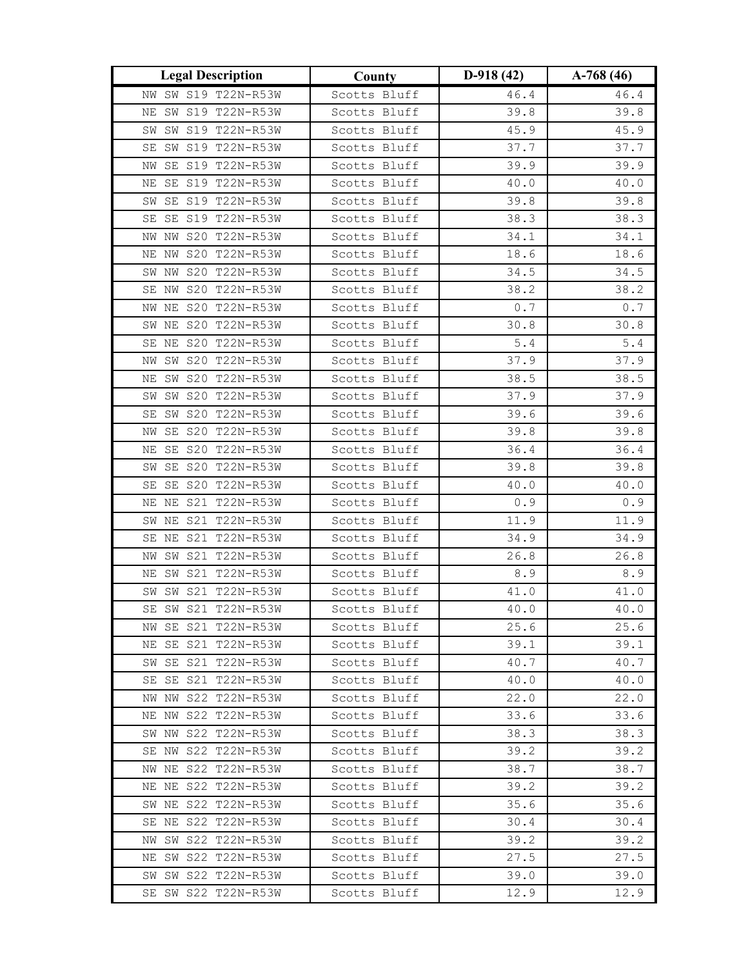| <b>Legal Description</b>                   | County                       | $D-918(42)$  | $A-768(46)$  |
|--------------------------------------------|------------------------------|--------------|--------------|
| NW SW S19 T22N-R53W                        | Scotts Bluff                 | 46.4         | 46.4         |
| SW S19 T22N-R53W<br>ΝE                     | Scotts Bluff                 | 39.8         | 39.8         |
| SW S19 T22N-R53W<br>SW                     | Scotts Bluff                 | 45.9         | 45.9         |
| SE SW S19 T22N-R53W                        | Scotts Bluff                 | 37.7         | 37.7         |
| NW SE S19 T22N-R53W                        | Scotts Bluff                 | 39.9         | 39.9         |
| SE S19 T22N-R53W<br>ΝE                     | Scotts Bluff                 | 40.0         | 40.0         |
| SE S19 T22N-R53W<br>SW                     | Scotts Bluff                 | 39.8         | 39.8         |
| SE S19 T22N-R53W<br>SE                     | Scotts Bluff                 | 38.3         | 38.3         |
| NW S20 T22N-R53W<br>NW                     | Scotts Bluff                 | 34.1         | 34.1         |
| NE NW S20 T22N-R53W                        | Scotts Bluff                 | 18.6         | 18.6         |
| SW NW S20 T22N-R53W                        | Scotts Bluff                 | 34.5         | 34.5         |
| SE NW S20 T22N-R53W                        | Scotts Bluff                 | 38.2         | 38.2         |
| NE S20 T22N-R53W<br>NW                     | Scotts Bluff                 | 0.7          | 0.7          |
| SW NE S20 T22N-R53W                        | Scotts Bluff                 | 30.8         | 30.8         |
| NE S20 T22N-R53W<br>SE                     | Scotts Bluff                 | $5.4$        | $5.4\,$      |
| NW SW S20 T22N-R53W                        | Scotts Bluff                 | 37.9         | 37.9         |
| SW S20 T22N-R53W<br>ΝE                     | Scotts Bluff                 | 38.5         | 38.5         |
| SW S20 T22N-R53W<br>SW                     | Scotts Bluff                 | 37.9         | 37.9         |
| SW S20 T22N-R53W<br>SE                     | Scotts Bluff                 | 39.6         | 39.6         |
| SE S20 T22N-R53W<br>ΝW                     | Scotts Bluff                 | 39.8         | 39.8         |
| SE S20 T22N-R53W<br>ΝE                     | Scotts Bluff                 | 36.4         | 36.4         |
| SE S20 T22N-R53W<br>SW                     | Scotts Bluff                 | 39.8         | 39.8         |
| SE S20 T22N-R53W<br>SE                     | Scotts Bluff                 | 40.0         | 40.0         |
| NE S21 T22N-R53W<br>ΝE                     | Scotts Bluff                 | $0.9$        | 0.9          |
| S21 T22N-R53W<br>NE<br>SW                  | Scotts Bluff                 | 11.9         | 11.9         |
| S21 T22N-R53W<br>SE NE                     | Scotts Bluff                 | 34.9         | 34.9         |
| SW S21 T22N-R53W<br>ΝW                     | Scotts Bluff                 | 26.8         | 26.8         |
| NE SW S21 T22N-R53W                        | Scotts Bluff                 | 8.9          | 8.9          |
| SW SW S21 T22N-R53W                        | Scotts Bluff                 | 41.0         | 41.0         |
| SE SW S21 T22N-R53W                        | Scotts Bluff                 | 40.0         | 40.0         |
| NW SE S21 T22N-R53W                        | Scotts Bluff                 | 25.6         | 25.6         |
| NE SE S21 T22N-R53W                        | Scotts Bluff                 | 39.1         | 39.1         |
| SW SE S21 T22N-R53W                        | Scotts Bluff                 | 40.7         | 40.7         |
| SE S21 T22N-R53W<br>SE                     | Scotts Bluff                 | 40.0         | 40.0         |
| NW NW S22 T22N-R53W                        | Scotts Bluff<br>Scotts Bluff | 22.0         | 22.0         |
| NE NW S22 T22N-R53W<br>SW NW S22 T22N-R53W | Scotts Bluff                 | 33.6<br>38.3 | 33.6<br>38.3 |
| SE NW S22 T22N-R53W                        | Scotts Bluff                 | 39.2         | 39.2         |
| NW NE S22 T22N-R53W                        | Scotts Bluff                 | 38.7         | 38.7         |
| NE NE S22 T22N-R53W                        | Scotts Bluff                 | 39.2         | 39.2         |
| SW NE S22 T22N-R53W                        | Scotts Bluff                 | 35.6         | 35.6         |
| SE NE S22 T22N-R53W                        | Scotts Bluff                 | 30.4         | 30.4         |
| NW SW S22 T22N-R53W                        | Scotts Bluff                 | 39.2         | 39.2         |
| NE SW S22 T22N-R53W                        | Scotts Bluff                 | 27.5         | 27.5         |
| SW SW S22 T22N-R53W                        | Scotts Bluff                 | 39.0         | 39.0         |
| SE SW S22 T22N-R53W                        | Scotts Bluff                 | 12.9         | 12.9         |
|                                            |                              |              |              |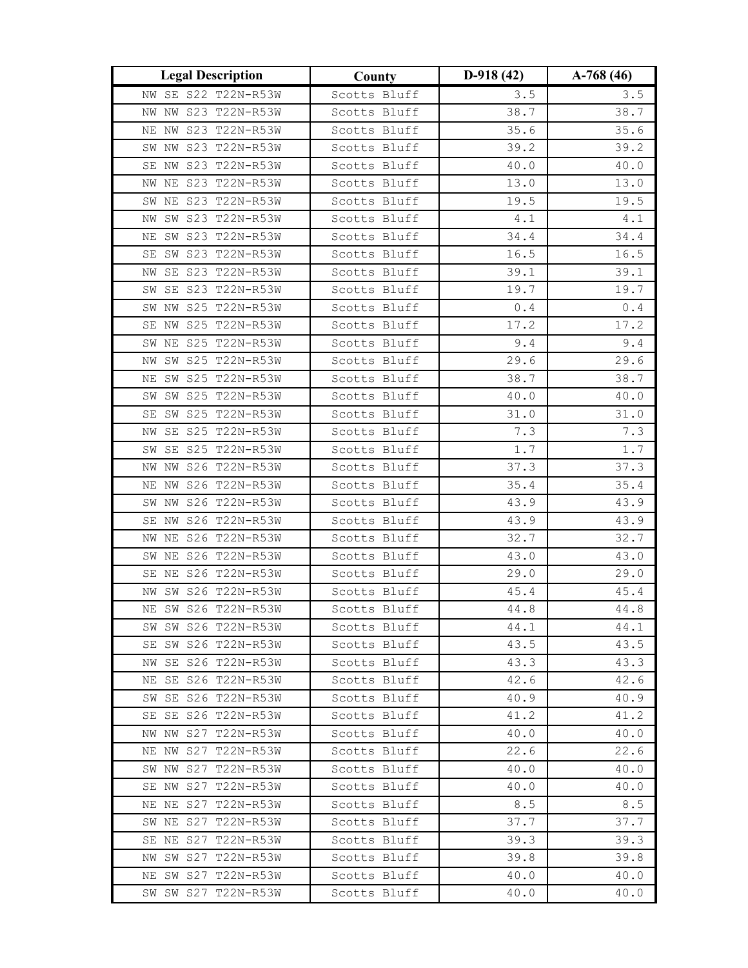| <b>Legal Description</b>                   | County                       | $D-918(42)$  | $A-768(46)$  |
|--------------------------------------------|------------------------------|--------------|--------------|
| NW SE S22 T22N-R53W                        | Scotts Bluff                 | 3.5          | 3.5          |
| NW NW S23 T22N-R53W                        | Scotts Bluff                 | 38.7         | 38.7         |
| NW S23 T22N-R53W<br>ΝE                     | Scotts Bluff                 | 35.6         | 35.6         |
| SW NW S23 T22N-R53W                        | Scotts Bluff                 | 39.2         | 39.2         |
| SE NW S23 T22N-R53W                        | Scotts Bluff                 | 40.0         | 40.0         |
| NW NE S23 T22N-R53W                        | Scotts Bluff                 | 13.0         | 13.0         |
| SW NE S23 T22N-R53W                        | Scotts Bluff                 | 19.5         | 19.5         |
| SW S23 T22N-R53W<br>ΝW                     | Scotts Bluff                 | $4\,.1$      | $4.1\,$      |
| SW S23 T22N-R53W<br>ΝE                     | Scotts Bluff                 | 34.4         | 34.4         |
| SE SW S23 T22N-R53W                        | Scotts Bluff                 | 16.5         | 16.5         |
| NW SE S23 T22N-R53W                        | Scotts Bluff                 | 39.1         | 39.1         |
| SW SE S23 T22N-R53W                        | Scotts Bluff                 | 19.7         | 19.7         |
| SW NW S25 T22N-R53W                        | Scotts Bluff                 | 0.4          | $0.4$        |
| SE NW S25 T22N-R53W                        | Scotts Bluff                 | 17.2         | 17.2         |
| SW NE S25 T22N-R53W                        | Scotts Bluff                 | 9.4          | 9.4          |
| SW S25 T22N-R53W<br>NW                     | Scotts Bluff                 | 29.6         | 29.6         |
| NE SW S25 T22N-R53W                        | Scotts Bluff                 | 38.7         | 38.7         |
| SW SW S25 T22N-R53W                        | Scotts Bluff                 | 40.0         | 40.0         |
| SW S25 T22N-R53W<br>SE                     | Scotts Bluff                 | 31.0         | 31.0         |
| SE S25 T22N-R53W<br>ΝW                     | Scotts Bluff                 | 7.3          | 7.3          |
| SE S25 T22N-R53W<br>SW                     | Scotts Bluff                 | 1.7          | 1.7          |
| NW S26 T22N-R53W<br>NW                     | Scotts Bluff                 | 37.3         | 37.3         |
| NE NW S26 T22N-R53W                        | Scotts Bluff                 | 35.4         | 35.4         |
| SW NW S26 T22N-R53W                        | Scotts Bluff                 | 43.9         | 43.9         |
| S26 T22N-R53W<br>SE NW                     | Scotts Bluff                 | 43.9         | 43.9         |
| NW NE S26 T22N-R53W                        | Scotts Bluff                 | 32.7         | 32.7         |
| NE S26 T22N-R53W<br>SW                     | Scotts Bluff                 | 43.0         | 43.0         |
| SE NE S26 T22N-R53W                        | Scotts Bluff                 | 29.0         | 29.0         |
| NW SW S26 T22N-R53W                        | Scotts Bluff                 | 45.4         | 45.4         |
| NE SW S26 T22N-R53W                        | Scotts Bluff                 | 44.8         | 44.8         |
| SW SW S26 T22N-R53W                        | Scotts Bluff                 | 44.1         | 44.1         |
| SE SW S26 T22N-R53W                        | Scotts Bluff                 | 43.5         | 43.5         |
| NW SE S26 T22N-R53W                        | Scotts Bluff                 | 43.3         | 43.3         |
| NE SE S26 T22N-R53W                        | Scotts Bluff                 | 42.6         | 42.6         |
| SW SE S26 T22N-R53W<br>SE SE S26 T22N-R53W | Scotts Bluff                 | 40.9         | 40.9<br>41.2 |
| NW NW S27 T22N-R53W                        | Scotts Bluff<br>Scotts Bluff | 41.2<br>40.0 | 40.0         |
| NE NW S27 T22N-R53W                        | Scotts Bluff                 | 22.6         | 22.6         |
| SW NW S27 T22N-R53W                        | Scotts Bluff                 | 40.0         | 40.0         |
| SE NW S27 T22N-R53W                        | Scotts Bluff                 | 40.0         | 40.0         |
| NE NE S27 T22N-R53W                        | Scotts Bluff                 | 8.5          | 8.5          |
| SW NE S27 T22N-R53W                        | Scotts Bluff                 | 37.7         | 37.7         |
| SE NE S27 T22N-R53W                        | Scotts Bluff                 | 39.3         | 39.3         |
| NW SW S27 T22N-R53W                        | Scotts Bluff                 | 39.8         | 39.8         |
| NE SW S27 T22N-R53W                        | Scotts Bluff                 | 40.0         | 40.0         |
| SW SW S27 T22N-R53W                        | Scotts Bluff                 | 40.0         | 40.0         |
|                                            |                              |              |              |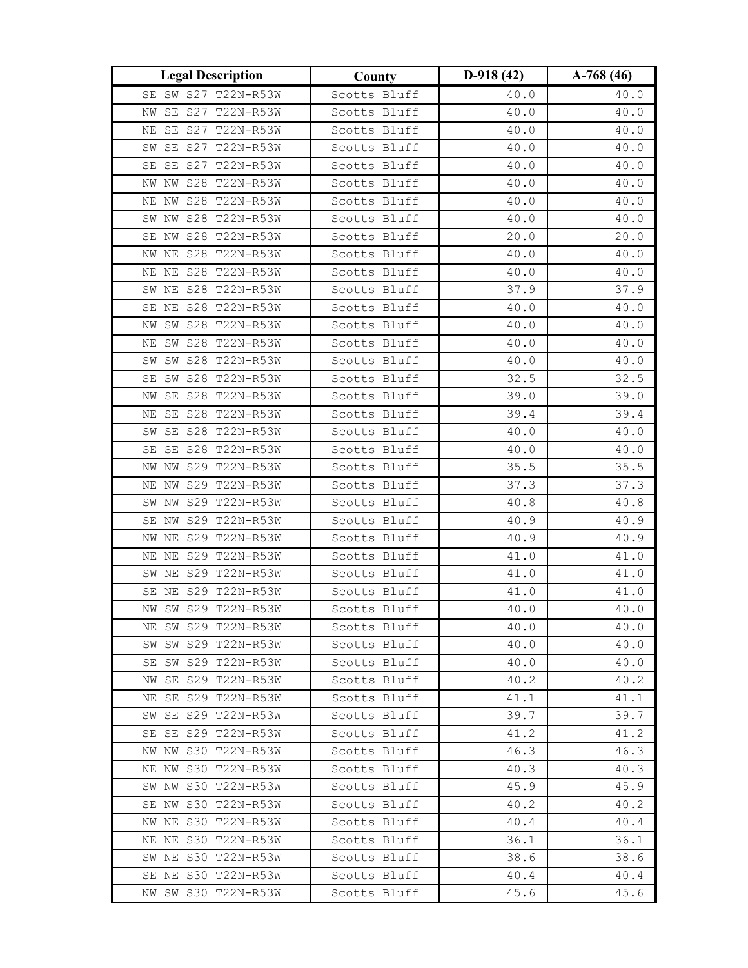| <b>Legal Description</b>                | County                       | $D-918(42)$  | $A-768(46)$  |
|-----------------------------------------|------------------------------|--------------|--------------|
| SE SW S27 T22N-R53W                     | Scotts Bluff                 | 40.0         | 40.0         |
| SE S27 T22N-R53W<br>ΝW                  | Scotts Bluff                 | 40.0         | 40.0         |
| SE S27 T22N-R53W<br>ΝE                  | Scotts Bluff                 | 40.0         | 40.0         |
| SW SE S27 T22N-R53W                     | Scotts Bluff                 | 40.0         | 40.0         |
| SE S27 T22N-R53W<br>SE                  | Scotts Bluff                 | 40.0         | 40.0         |
| NW NW S28 T22N-R53W                     | Scotts Bluff                 | 40.0         | 40.0         |
| NE NW S28 T22N-R53W                     | Scotts Bluff                 | 40.0         | 40.0         |
| NW S28 T22N-R53W<br>SW                  | Scotts Bluff                 | 40.0         | 40.0         |
| SE NW S28 T22N-R53W                     | Scotts Bluff                 | 20.0         | 20.0         |
| NW NE S28 T22N-R53W                     | Scotts Bluff                 | 40.0         | 40.0         |
| NE NE S28 T22N-R53W                     | Scotts Bluff                 | 40.0         | 40.0         |
| SW NE S28 T22N-R53W                     | Scotts Bluff                 | 37.9         | 37.9         |
| SE NE S28 T22N-R53W                     | Scotts Bluff                 | 40.0         | 40.0         |
| NW SW S28 T22N-R53W                     | Scotts Bluff                 | 40.0         | 40.0         |
| NE SW S28 T22N-R53W                     | Scotts Bluff                 | 40.0         | 40.0         |
| SW SW S28 T22N-R53W                     | Scotts Bluff                 | 40.0         | 40.0         |
| SE SW S28 T22N-R53W                     | Scotts Bluff                 | 32.5         | 32.5         |
| SE S28 T22N-R53W<br>NW                  | Scotts Bluff                 | 39.0         | 39.0         |
| SE S28 T22N-R53W<br>ΝE                  | Scotts Bluff                 | 39.4         | 39.4         |
| SE S28 T22N-R53W<br>SW                  | Scotts Bluff                 | 40.0         | 40.0         |
| SE SE S28 T22N-R53W                     | Scotts Bluff                 | 40.0         | 40.0         |
| NW S29 T22N-R53W<br>NW                  | Scotts Bluff                 | 35.5         | 35.5         |
| NE NW S29 T22N-R53W                     | Scotts Bluff                 | 37.3         | 37.3         |
| SW NW S29 T22N-R53W                     | Scotts Bluff                 | 40.8         | 40.8         |
| S29 T22N-R53W<br>SE NW                  | Scotts Bluff                 | 40.9         | 40.9         |
| NW NE S29 T22N-R53W                     | Scotts Bluff                 | 40.9         | 40.9         |
| NE NE S29 T22N-R53W                     | Scotts Bluff                 | 41.0         | 41.0         |
| SW NE S29 T22N-R53W                     | Scotts Bluff                 | 41.0         | 41.0         |
| SE NE S29 T22N-R53W                     | Scotts Bluff                 | 41.0         | 41.0         |
| NW SW S29 T22N-R53W                     | Scotts Bluff                 | 40.0         | 40.0         |
| NE SW S29 T22N-R53W                     | Scotts Bluff                 | 40.0         | 40.0         |
| SW SW S29 T22N-R53W                     | Scotts Bluff                 | 40.0         | 40.0         |
| SE SW S29 T22N-R53W<br>SE S29 T22N-R53W | Scotts Bluff<br>Scotts Bluff | 40.0<br>40.2 | 40.0<br>40.2 |
| NW<br>NE SE S29 T22N-R53W               | Scotts Bluff                 | 41.1         | 41.1         |
| SW SE S29 T22N-R53W                     | Scotts Bluff                 | 39.7         | 39.7         |
| SE SE S29 T22N-R53W                     | Scotts Bluff                 | 41.2         | 41.2         |
| NW NW S30 T22N-R53W                     | Scotts Bluff                 | 46.3         | 46.3         |
| NE NW S30 T22N-R53W                     | Scotts Bluff                 | 40.3         | 40.3         |
| SW NW S30 T22N-R53W                     | Scotts Bluff                 | 45.9         | 45.9         |
| SE NW S30 T22N-R53W                     | Scotts Bluff                 | 40.2         | 40.2         |
| NW NE S30 T22N-R53W                     | Scotts Bluff                 | 40.4         | 40.4         |
| NE NE S30 T22N-R53W                     | Scotts Bluff                 | 36.1         | 36.1         |
| SW NE S30 T22N-R53W                     | Scotts Bluff                 | 38.6         | 38.6         |
| SE NE S30 T22N-R53W                     | Scotts Bluff                 | 40.4         | 40.4         |
| NW SW S30 T22N-R53W                     | Scotts Bluff                 | 45.6         | 45.6         |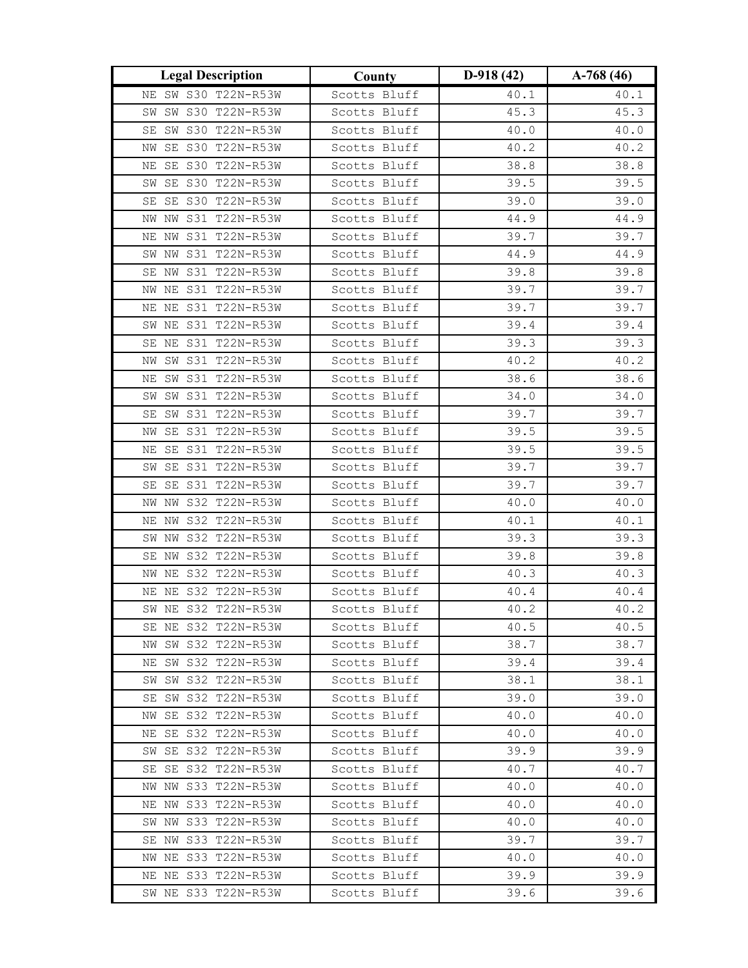| <b>Legal Description</b>                      | County                       | $D-918(42)$  | $A-768(46)$  |
|-----------------------------------------------|------------------------------|--------------|--------------|
| NE SW S30 T22N-R53W                           | Scotts Bluff                 | 40.1         | 40.1         |
| SW S30 T22N-R53W<br>SW                        | Scotts Bluff                 | 45.3         | 45.3         |
| SW S30 T22N-R53W<br>SE                        | Scotts Bluff                 | 40.0         | 40.0         |
| NW SE S30 T22N-R53W                           | Scotts Bluff                 | 40.2         | 40.2         |
| SE S30 T22N-R53W<br>ΝE                        | Scotts Bluff                 | 38.8         | 38.8         |
| SE S30 T22N-R53W<br>SW                        | Scotts Bluff                 | 39.5         | 39.5         |
| SE S30 T22N-R53W<br>SE                        | Scotts Bluff                 | 39.0         | 39.0         |
| NW S31 T22N-R53W<br>NW                        | Scotts Bluff                 | 44.9         | 44.9         |
| NE NW S31 T22N-R53W                           | Scotts Bluff                 | 39.7         | 39.7         |
| SW NW S31 T22N-R53W                           | Scotts Bluff                 | 44.9         | 44.9         |
| SE NW S31 T22N-R53W                           | Scotts Bluff                 | 39.8         | 39.8         |
| NW NE S31 T22N-R53W                           | Scotts Bluff                 | 39.7         | 39.7         |
| NE NE S31 T22N-R53W                           | Scotts Bluff                 | 39.7         | 39.7         |
| SW NE S31 T22N-R53W                           | Scotts Bluff                 | 39.4         | 39.4         |
| SE NE S31 T22N-R53W                           | Scotts Bluff                 | 39.3         | 39.3         |
| NW SW S31 T22N-R53W                           | Scotts Bluff                 | 40.2         | 40.2         |
| NE SW S31 T22N-R53W                           | Scotts Bluff                 | 38.6         | 38.6         |
| SW SW S31 T22N-R53W                           | Scotts Bluff                 | 34.0         | 34.0         |
| SE SW S31 T22N-R53W                           | Scotts Bluff                 | 39.7         | 39.7         |
| SE S31 T22N-R53W<br>NW                        | Scotts Bluff                 | 39.5         | 39.5         |
| SE S31 T22N-R53W<br>ΝE                        | Scotts Bluff                 | 39.5         | 39.5         |
| SW SE S31 T22N-R53W                           | Scotts Bluff                 | 39.7         | 39.7         |
| SE SE S31 T22N-R53W                           | Scotts Bluff                 | 39.7         | 39.7         |
| NW NW S32 T22N-R53W                           | Scotts Bluff                 | 40.0         | 40.0         |
| NE NW S32 T22N-R53W                           | Scotts Bluff                 | 40.1         | 40.1         |
| SW NW S32 T22N-R53W                           | Scotts Bluff                 | 39.3         | 39.3         |
| SE NW S32 T22N-R53W                           | Scotts Bluff                 | 39.8         | 39.8         |
| NW NE S32 T22N-R53W                           | Scotts Bluff                 | 40.3         | 40.3         |
| NE NE S32 T22N-R53W                           | Scotts Bluff                 | 40.4         | 40.4         |
| SW NE S32 T22N-R53W                           | Scotts Bluff                 | 40.2         | 40.2         |
| SE NE S32 T22N-R53W                           | Scotts Bluff                 | 40.5         | 40.5         |
| NW SW S32 T22N-R53W                           | Scotts Bluff                 | 38.7         | 38.7         |
| NE SW S32 T22N-R53W<br>SW S32 T22N-R53W<br>SW | Scotts Bluff<br>Scotts Bluff | 39.4<br>38.1 | 39.4<br>38.1 |
| SE SW S32 T22N-R53W                           | Scotts Bluff                 | 39.0         | 39.0         |
| NW SE S32 T22N-R53W                           | Scotts Bluff                 | 40.0         | 40.0         |
| NE SE S32 T22N-R53W                           | Scotts Bluff                 | 40.0         | 40.0         |
| SW SE S32 T22N-R53W                           | Scotts Bluff                 | 39.9         | 39.9         |
| SE SE S32 T22N-R53W                           | Scotts Bluff                 | 40.7         | 40.7         |
| NW NW S33 T22N-R53W                           | Scotts Bluff                 | 40.0         | 40.0         |
| NE NW S33 T22N-R53W                           | Scotts Bluff                 | 40.0         | 40.0         |
| SW NW S33 T22N-R53W                           | Scotts Bluff                 | 40.0         | 40.0         |
| SE NW S33 T22N-R53W                           | Scotts Bluff                 | 39.7         | 39.7         |
| NW NE S33 T22N-R53W                           | Scotts Bluff                 | 40.0         | 40.0         |
| NE NE S33 T22N-R53W                           | Scotts Bluff                 | 39.9         | 39.9         |
| SW NE S33 T22N-R53W                           | Scotts Bluff                 | 39.6         | 39.6         |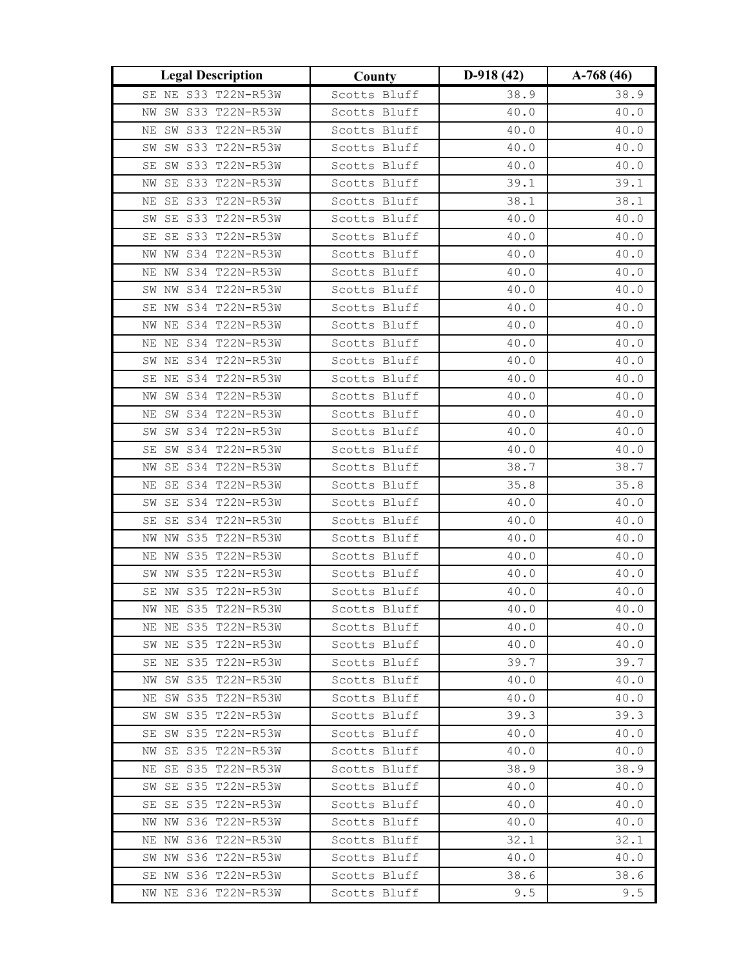| <b>Legal Description</b>                   | County                       | $D-918(42)$  | $A-768(46)$  |
|--------------------------------------------|------------------------------|--------------|--------------|
| SE NE S33 T22N-R53W                        | Scotts Bluff                 | 38.9         | 38.9         |
| SW S33 T22N-R53W<br>ΝW                     | Scotts Bluff                 | 40.0         | 40.0         |
| SW S33 T22N-R53W<br>ΝE                     | Scotts Bluff                 | 40.0         | 40.0         |
| SW SW S33 T22N-R53W                        | Scotts Bluff                 | 40.0         | 40.0         |
| SW S33 T22N-R53W<br>SE                     | Scotts Bluff                 | 40.0         | 40.0         |
| SE S33 T22N-R53W<br>ΝW                     | Scotts Bluff                 | 39.1         | 39.1         |
| SE S33 T22N-R53W<br>ΝE                     | Scotts Bluff                 | 38.1         | 38.1         |
| SE S33 T22N-R53W<br>SW                     | Scotts Bluff                 | 40.0         | $40.0\,$     |
| SE SE S33 T22N-R53W                        | Scotts Bluff                 | 40.0         | 40.0         |
| NW NW S34 T22N-R53W                        | Scotts Bluff                 | 40.0         | 40.0         |
| NE NW S34 T22N-R53W                        | Scotts Bluff                 | 40.0         | 40.0         |
| SW NW S34 T22N-R53W                        | Scotts Bluff                 | 40.0         | 40.0         |
| SE NW S34 T22N-R53W                        | Scotts Bluff                 | 40.0         | 40.0         |
| NW NE S34 T22N-R53W                        | Scotts Bluff                 | 40.0         | 40.0         |
| NE NE S34 T22N-R53W                        | Scotts Bluff                 | 40.0         | 40.0         |
| SW NE S34 T22N-R53W                        | Scotts Bluff                 | 40.0         | 40.0         |
| SE NE S34 T22N-R53W                        | Scotts Bluff                 | 40.0         | 40.0         |
| NW SW S34 T22N-R53W                        | Scotts Bluff                 | 40.0         | 40.0         |
| SW S34 T22N-R53W<br>ΝE                     | Scotts Bluff                 | 40.0         | 40.0         |
| SW S34 T22N-R53W<br>SW                     | Scotts Bluff                 | 40.0         | 40.0         |
| SW S34 T22N-R53W<br>SE                     | Scotts Bluff                 | 40.0         | 40.0         |
| SE S34 T22N-R53W<br>ΝW                     | Scotts Bluff                 | 38.7         | 38.7         |
| NE SE S34 T22N-R53W                        | Scotts Bluff                 | 35.8         | 35.8         |
| SE S34 T22N-R53W<br>SW                     | Scotts Bluff                 | 40.0         | 40.0         |
| SE S34 T22N-R53W<br>SE                     | Scotts Bluff                 | 40.0         | 40.0         |
| NW NW S35 T22N-R53W                        | Scotts Bluff                 | 40.0         | 40.0         |
| NE NW S35 T22N-R53W                        | Scotts Bluff                 | 40.0         | 40.0         |
| SW NW S35 T22N-R53W                        | Scotts Bluff                 | 40.0         | 40.0         |
| SE NW S35 T22N-R53W                        | Scotts Bluff                 | 40.0         | 40.0         |
| NW NE S35 T22N-R53W                        | Scotts Bluff                 | 40.0         | 40.0         |
| NE NE S35 T22N-R53W                        | Scotts Bluff                 | 40.0         | 40.0         |
| SW NE S35 T22N-R53W<br>SE NE S35 T22N-R53W | Scotts Bluff<br>Scotts Bluff | 40.0<br>39.7 | 40.0         |
| SW S35 T22N-R53W<br>NW                     | Scotts Bluff                 | 40.0         | 39.7<br>40.0 |
| NE SW S35 T22N-R53W                        | Scotts Bluff                 | 40.0         | 40.0         |
| SW SW S35 T22N-R53W                        | Scotts Bluff                 | 39.3         | 39.3         |
| SE SW S35 T22N-R53W                        | Scotts Bluff                 | 40.0         | 40.0         |
| SE S35 T22N-R53W<br>NW                     | Scotts Bluff                 | 40.0         | 40.0         |
| NE SE S35 T22N-R53W                        | Scotts Bluff                 | 38.9         | 38.9         |
| SW SE S35 T22N-R53W                        | Scotts Bluff                 | 40.0         | 40.0         |
| SE S35 T22N-R53W<br>SE                     | Scotts Bluff                 | 40.0         | 40.0         |
| NW NW S36 T22N-R53W                        | Scotts Bluff                 | 40.0         | 40.0         |
| NE NW S36 T22N-R53W                        | Scotts Bluff                 | 32.1         | 32.1         |
| SW NW S36 T22N-R53W                        | Scotts Bluff                 | 40.0         | 40.0         |
| SE NW S36 T22N-R53W                        | Scotts Bluff                 | 38.6         | 38.6         |
| NW NE S36 T22N-R53W                        | Scotts Bluff                 | 9.5          | 9.5          |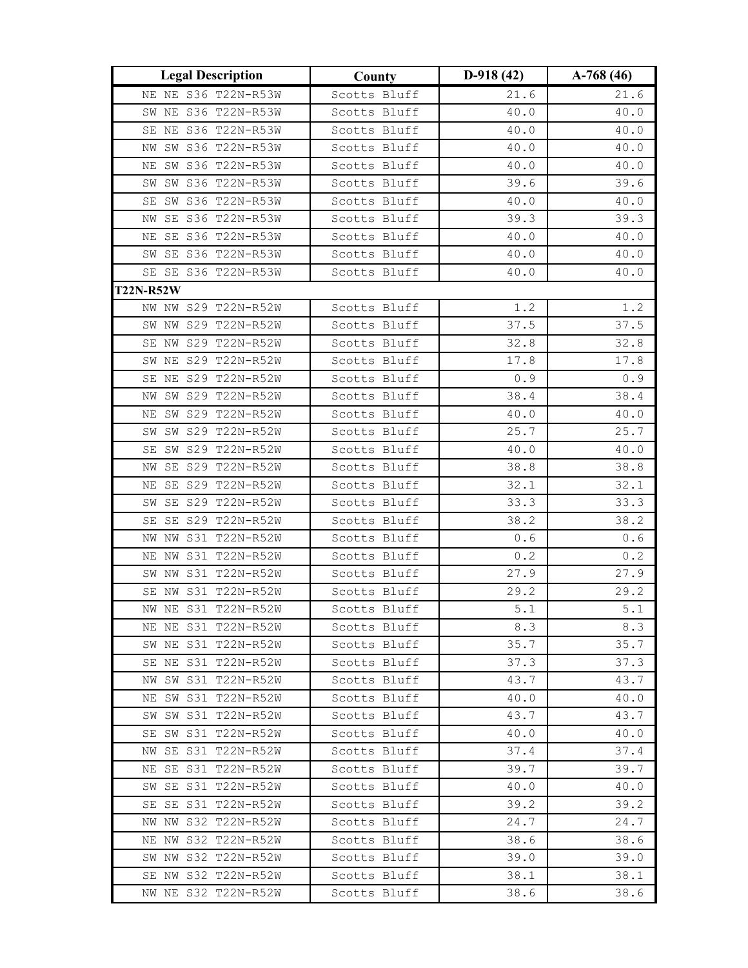| <b>Legal Description</b>  | County       | $D-918(42)$ | $A-768(46)$ |
|---------------------------|--------------|-------------|-------------|
| NE NE S36 T22N-R53W       | Scotts Bluff | 21.6        | 21.6        |
| SW NE S36 T22N-R53W       | Scotts Bluff | 40.0        | 40.0        |
| SE NE S36 T22N-R53W       | Scotts Bluff | 40.0        | 40.0        |
| NW SW S36 T22N-R53W       | Scotts Bluff | 40.0        | 40.0        |
| SW S36 T22N-R53W<br>ΝE    | Scotts Bluff | 40.0        | 40.0        |
| SW S36 T22N-R53W<br>SW    | Scotts Bluff | 39.6        | 39.6        |
| SW S36 T22N-R53W<br>SE    | Scotts Bluff | 40.0        | 40.0        |
| NW SE S36 T22N-R53W       | Scotts Bluff | 39.3        | 39.3        |
| NE SE S36 T22N-R53W       | Scotts Bluff | 40.0        | 40.0        |
| SW SE S36 T22N-R53W       | Scotts Bluff | 40.0        | 40.0        |
| SE SE S36 T22N-R53W       | Scotts Bluff | 40.0        | 40.0        |
| <b>T22N-R52W</b>          |              |             |             |
| NW NW S29 T22N-R52W       | Scotts Bluff | 1.2         | 1.2         |
| SW NW S29 T22N-R52W       | Scotts Bluff | 37.5        | 37.5        |
| SE NW S29 T22N-R52W       | Scotts Bluff | 32.8        | 32.8        |
| SW NE S29 T22N-R52W       | Scotts Bluff | 17.8        | 17.8        |
| SE NE S29 T22N-R52W       | Scotts Bluff | 0.9         | 0.9         |
| SW S29 T22N-R52W<br>ΝW    | Scotts Bluff | 38.4        | 38.4        |
| SW S29 T22N-R52W<br>ΝE    | Scotts Bluff | 40.0        | 40.0        |
| SW S29 T22N-R52W<br>SW    | Scotts Bluff | 25.7        | 25.7        |
| SE SW S29 T22N-R52W       | Scotts Bluff | 40.0        | 40.0        |
| SE S29 T22N-R52W<br>NW    | Scotts Bluff | 38.8        | 38.8        |
| SE S29 T22N-R52W<br>ΝE    | Scotts Bluff | 32.1        | 32.1        |
| SW SE S29 T22N-R52W       | Scotts Bluff | 33.3        | 33.3        |
| SE S29 T22N-R52W<br>SE    | Scotts Bluff | 38.2        | 38.2        |
| NW NW S31 T22N-R52W       | Scotts Bluff | 0.6         | 0.6         |
| S31 T22N-R52W<br>NW<br>ΝE | Scotts Bluff | $0.2\,$     | 0.2         |
| SW NW S31 T22N-R52W       | Scotts Bluff | 27.9        | 27.9        |
| SE NW S31 T22N-R52W       | Scotts Bluff | 29.2        | 29.2        |
| NW NE S31 T22N-R52W       | Scotts Bluff | 5.1         | 5.1         |
| NE NE S31 T22N-R52W       | Scotts Bluff | 8.3         | 8.3         |
| SW NE S31 T22N-R52W       | Scotts Bluff | 35.7        | 35.7        |
| SE NE S31 T22N-R52W       | Scotts Bluff | 37.3        | 37.3        |
| SW S31 T22N-R52W<br>NW    | Scotts Bluff | 43.7        | 43.7        |
| NE SW S31 T22N-R52W       | Scotts Bluff | 40.0        | 40.0        |
| SW SW S31 T22N-R52W       | Scotts Bluff | 43.7        | 43.7        |
| SE SW S31 T22N-R52W       | Scotts Bluff | 40.0        | 40.0        |
| NW SE S31 T22N-R52W       | Scotts Bluff | 37.4        | 37.4        |
| NE SE S31 T22N-R52W       | Scotts Bluff | 39.7        | 39.7        |
| SW SE S31 T22N-R52W       | Scotts Bluff | 40.0        | 40.0        |
| SE SE S31 T22N-R52W       | Scotts Bluff | 39.2        | 39.2        |
| NW NW S32 T22N-R52W       | Scotts Bluff | 24.7        | 24.7        |
| NE NW S32 T22N-R52W       | Scotts Bluff | 38.6        | 38.6        |
| SW NW S32 T22N-R52W       | Scotts Bluff | 39.0        | 39.0        |
| SE NW S32 T22N-R52W       | Scotts Bluff | 38.1        | 38.1        |
| NW NE S32 T22N-R52W       | Scotts Bluff | 38.6        | 38.6        |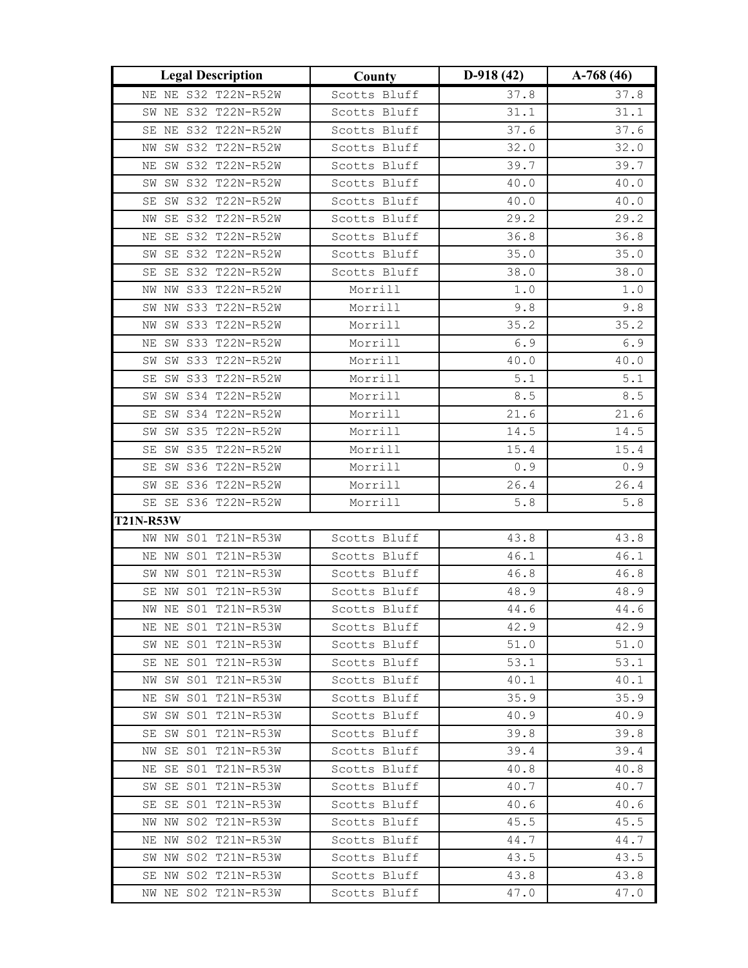| <b>Legal Description</b>                   | County                       | $D-918(42)$  | A-768 $(46)$ |
|--------------------------------------------|------------------------------|--------------|--------------|
| NE NE S32 T22N-R52W                        | Scotts Bluff                 | 37.8         | 37.8         |
| SW NE S32 T22N-R52W                        | Scotts Bluff                 | 31.1         | 31.1         |
| SE NE S32 T22N-R52W                        | Scotts Bluff                 | 37.6         | 37.6         |
| NW SW S32 T22N-R52W                        | Scotts Bluff                 | 32.0         | 32.0         |
| SW S32 T22N-R52W<br>ΝE                     | Scotts Bluff                 | 39.7         | 39.7         |
| SW S32 T22N-R52W<br>SW                     | Scotts Bluff                 | 40.0         | 40.0         |
| SW S32 T22N-R52W<br>SE                     | Scotts Bluff                 | 40.0         | 40.0         |
| SE S32 T22N-R52W<br>ΝW                     | Scotts Bluff                 | 29.2         | 29.2         |
| SE S32 T22N-R52W<br>ΝE                     | Scotts Bluff                 | 36.8         | 36.8         |
| SW SE S32 T22N-R52W                        | Scotts Bluff                 | 35.0         | 35.0         |
| SE SE S32 T22N-R52W                        | Scotts Bluff                 | 38.0         | 38.0         |
| NW NW S33 T22N-R52W                        | Morrill                      | $1.0$        | $1.0$        |
| NW S33 T22N-R52W<br>SW                     | Morrill                      | 9.8          | 9.8          |
| SW S33 T22N-R52W<br>NW                     | Morrill                      | 35.2         | 35.2         |
| NE SW S33 T22N-R52W                        | Morrill                      | 6.9          | 6.9          |
| SW SW S33 T22N-R52W                        | Morrill                      | 40.0         | 40.0         |
| SE SW S33 T22N-R52W                        | Morrill                      | $5.1\,$      | $5.1$        |
| SW SW S34 T22N-R52W                        | Morrill                      | $8.5\,$      | $\,8$ . $5$  |
| SW S34 T22N-R52W<br>SE                     | Morrill                      | 21.6         | 21.6         |
| SW S35 T22N-R52W<br>SW                     | Morrill                      | 14.5         | 14.5         |
| SE SW S35 T22N-R52W                        | Morrill                      | 15.4         | 15.4         |
| SE SW S36 T22N-R52W                        | Morrill                      | $0.9$        | 0.9          |
| SW SE S36 T22N-R52W                        | Morrill                      | 26.4         | 26.4         |
| SE SE S36 T22N-R52W                        | Morrill                      | $5.8\,$      | $5.8$        |
| <b>T21N-R53W</b>                           |                              |              |              |
| NW NW S01 T21N-R53W                        | Scotts Bluff                 | 43.8         | 43.8         |
| NE NW SO1 T21N-R53W                        | Scotts Bluff                 | 46.1         | 46.1         |
| SW NW S01 T21N-R53W                        | Scotts Bluff                 | 46.8         | 46.8         |
| SE NW S01 T21N-R53W                        | Scotts Bluff                 | 48.9         | 48.9         |
| NW NE S01 T21N-R53W                        | Scotts Bluff                 | 44.6         | 44.6         |
| NE NE S01 T21N-R53W                        | Scotts Bluff                 | 42.9         | 42.9         |
| SW NE S01 T21N-R53W                        | Scotts Bluff                 | 51.0         | 51.0         |
| SE NE S01 T21N-R53W                        | Scotts Bluff                 | 53.1         | 53.1         |
| SW S01 T21N-R53W<br>NW                     | Scotts Bluff                 | 40.1         | 40.1         |
| NE SW S01 T21N-R53W                        | Scotts Bluff                 | 35.9         | 35.9         |
| SW SW S01 T21N-R53W                        | Scotts Bluff                 | 40.9         | 40.9         |
| SE SW SO1 T21N-R53W                        | Scotts Bluff                 | 39.8         | 39.8         |
| SE S01 T21N-R53W<br>NW                     | Scotts Bluff                 | 39.4         | 39.4         |
| NE SE S01 T21N-R53W                        | Scotts Bluff                 | 40.8         | 40.8         |
| SW SE S01 T21N-R53W                        | Scotts Bluff                 | 40.7         | 40.7         |
| SE SE S01 T21N-R53W                        | Scotts Bluff                 | 40.6         | 40.6         |
| NW NW S02 T21N-R53W<br>NE NW S02 T21N-R53W | Scotts Bluff                 | 45.5         | 45.5         |
| SW NW S02 T21N-R53W                        | Scotts Bluff<br>Scotts Bluff | 44.7<br>43.5 | 44.7<br>43.5 |
|                                            |                              |              |              |
| SE NW S02 T21N-R53W                        | Scotts Bluff                 | 43.8         | 43.8         |
| NW NE S02 T21N-R53W                        | Scotts Bluff                 | 47.0         | 47.0         |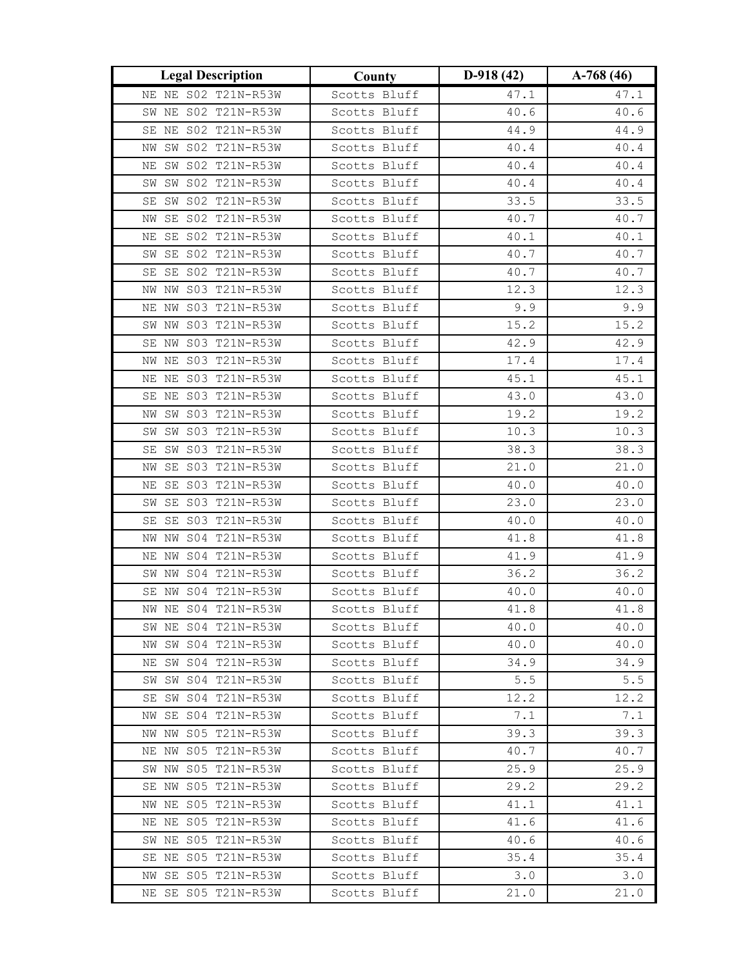| <b>Legal Description</b>  | County       | $D-918(42)$ | $A-768(46)$ |
|---------------------------|--------------|-------------|-------------|
| NE NE S02 T21N-R53W       | Scotts Bluff | 47.1        | 47.1        |
| SW NE S02 T21N-R53W       | Scotts Bluff | 40.6        | 40.6        |
| SE NE S02 T21N-R53W       | Scotts Bluff | 44.9        | 44.9        |
| NW SW S02 T21N-R53W       | Scotts Bluff | 40.4        | 40.4        |
| SW S02 T21N-R53W<br>ΝE    | Scotts Bluff | 40.4        | 40.4        |
| SW S02 T21N-R53W<br>SW    | Scotts Bluff | 40.4        | 40.4        |
| SW S02 T21N-R53W<br>SE    | Scotts Bluff | 33.5        | 33.5        |
| SE S02 T21N-R53W<br>ΝW    | Scotts Bluff | 40.7        | 40.7        |
| SE S02 T21N-R53W<br>ΝE    | Scotts Bluff | 40.1        | 40.1        |
| SW SE S02 T21N-R53W       | Scotts Bluff | 40.7        | 40.7        |
| SE SE S02 T21N-R53W       | Scotts Bluff | 40.7        | 40.7        |
| NW NW S03 T21N-R53W       | Scotts Bluff | 12.3        | 12.3        |
| NE NW S03 T21N-R53W       | Scotts Bluff | 9.9         | 9.9         |
| SW NW S03 T21N-R53W       | Scotts Bluff | 15.2        | 15.2        |
| SE NW S03 T21N-R53W       | Scotts Bluff | 42.9        | 42.9        |
| NW NE S03 T21N-R53W       | Scotts Bluff | 17.4        | 17.4        |
| NE NE S03 T21N-R53W       | Scotts Bluff | 45.1        | 45.1        |
| SE NE S03 T21N-R53W       | Scotts Bluff | 43.0        | 43.0        |
| SW S03 T21N-R53W<br>ΝW    | Scotts Bluff | 19.2        | 19.2        |
| SW S03 T21N-R53W<br>SW    | Scotts Bluff | 10.3        | 10.3        |
| SE SW S03 T21N-R53W       | Scotts Bluff | 38.3        | 38.3        |
| SE S03 T21N-R53W<br>ΝW    | Scotts Bluff | 21.0        | 21.0        |
| NE SE S03 T21N-R53W       | Scotts Bluff | 40.0        | 40.0        |
| SW SE S03 T21N-R53W       | Scotts Bluff | 23.0        | 23.0        |
| SE S03 T21N-R53W<br>SE    | Scotts Bluff | 40.0        | 40.0        |
| NW S04 T21N-R53W<br>NW    | Scotts Bluff | 41.8        | 41.8        |
| S04 T21N-R53W<br>NW<br>ΝE | Scotts Bluff | 41.9        | 41.9        |
| SW NW S04 T21N-R53W       | Scotts Bluff | 36.2        | 36.2        |
| SE NW S04 T21N-R53W       | Scotts Bluff | 40.0        | 40.0        |
| NW NE S04 T21N-R53W       | Scotts Bluff | 41.8        | 41.8        |
| SW NE S04 T21N-R53W       | Scotts Bluff | 40.0        | 40.0        |
| NW SW S04 T21N-R53W       | Scotts Bluff | 40.0        | 40.0        |
| NE SW S04 T21N-R53W       | Scotts Bluff | 34.9        | 34.9        |
| SW S04 T21N-R53W<br>SW    | Scotts Bluff | 5.5         | 5.5         |
| SE SW S04 T21N-R53W       | Scotts Bluff | 12.2        | 12.2        |
| NW SE S04 T21N-R53W       | Scotts Bluff | 7.1         | 7.1         |
| NW NW S05 T21N-R53W       | Scotts Bluff | 39.3        | 39.3        |
| NE NW S05 T21N-R53W       | Scotts Bluff | 40.7        | 40.7        |
| SW NW S05 T21N-R53W       | Scotts Bluff | 25.9        | 25.9        |
| SE NW S05 T21N-R53W       | Scotts Bluff | 29.2        | 29.2        |
| NW NE S05 T21N-R53W       | Scotts Bluff | 41.1        | 41.1        |
| NE NE S05 T21N-R53W       | Scotts Bluff | 41.6        | 41.6        |
| SW NE S05 T21N-R53W       | Scotts Bluff | 40.6        | 40.6        |
| SE NE S05 T21N-R53W       | Scotts Bluff | 35.4        | 35.4        |
| NW SE S05 T21N-R53W       | Scotts Bluff | 3.0         | 3.0         |
| NE SE S05 T21N-R53W       | Scotts Bluff | 21.0        | 21.0        |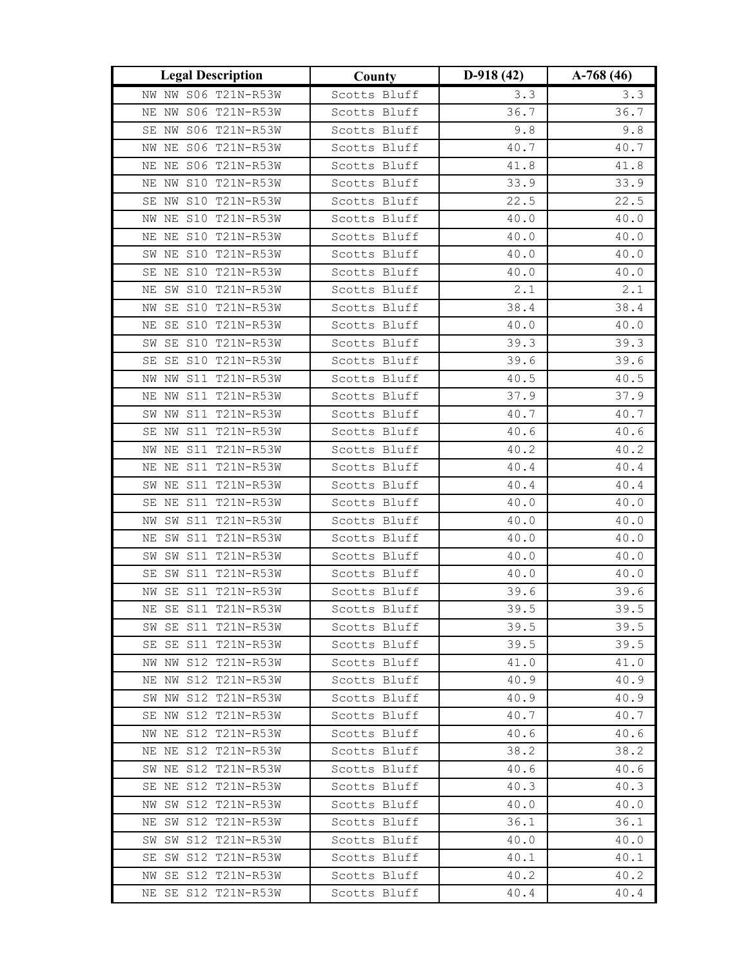| <b>Legal Description</b>                   | County                       | $D-918(42)$  | $A-768(46)$  |
|--------------------------------------------|------------------------------|--------------|--------------|
| NW NW S06 T21N-R53W                        | Scotts Bluff                 | 3.3          | 3.3          |
| NE NW S06 T21N-R53W                        | Scotts Bluff                 | 36.7         | 36.7         |
| SE NW S06 T21N-R53W                        | Scotts Bluff                 | 9.8          | $9.8$        |
| NW NE S06 T21N-R53W                        | Scotts Bluff                 | 40.7         | 40.7         |
| NE NE S06 T21N-R53W                        | Scotts Bluff                 | 41.8         | 41.8         |
| NE NW S10 T21N-R53W                        | Scotts Bluff                 | 33.9         | 33.9         |
| SE NW S10 T21N-R53W                        | Scotts Bluff                 | 22.5         | 22.5         |
| NE S10 T21N-R53W<br>NW                     | Scotts Bluff                 | 40.0         | 40.0         |
| NE NE S10 T21N-R53W                        | Scotts Bluff                 | 40.0         | 40.0         |
| SW NE S10 T21N-R53W                        | Scotts Bluff                 | 40.0         | 40.0         |
| SE NE S10 T21N-R53W                        | Scotts Bluff                 | 40.0         | 40.0         |
| SW S10 T21N-R53W<br>ΝE                     | Scotts Bluff                 | 2.1          | 2.1          |
| SE S10 T21N-R53W<br>ΝW                     | Scotts Bluff                 | 38.4         | 38.4         |
| SE S10 T21N-R53W<br>ΝE                     | Scotts Bluff                 | 40.0         | 40.0         |
| SE S10 T21N-R53W<br>SW                     | Scotts Bluff                 | 39.3         | 39.3         |
| SE SE S10 T21N-R53W                        | Scotts Bluff                 | 39.6         | 39.6         |
| NW S11 T21N-R53W<br>NW                     | Scotts Bluff                 | 40.5         | 40.5         |
| NE NW S11 T21N-R53W                        | Scotts Bluff                 | 37.9         | 37.9         |
| SW NW S11 T21N-R53W                        | Scotts Bluff                 | 40.7         | 40.7         |
| S11 T21N-R53W<br>SE NW                     | Scotts Bluff                 | 40.6         | 40.6         |
| NW NE S11 T21N-R53W                        | Scotts Bluff                 | 40.2         | 40.2         |
| NE NE S11 T21N-R53W                        | Scotts Bluff                 | 40.4         | 40.4         |
| SW NE S11 T21N-R53W                        | Scotts Bluff                 | 40.4         | 40.4         |
| SE NE S11 T21N-R53W                        | Scotts Bluff                 | 40.0         | 40.0         |
| SW S11 T21N-R53W<br>ΝW                     | Scotts Bluff                 | 40.0         | 40.0         |
| SW S11 T21N-R53W<br>ΝE                     | Scotts Bluff                 | 40.0         | 40.0         |
| S11 T21N-R53W<br>SW<br>SW                  | Scotts Bluff                 | 40.0         | 40.0         |
| SE SW S11 T21N-R53W                        | Scotts Bluff                 | 40.0         | 40.0         |
| SE S11 T21N-R53W<br>ΝW                     | Scotts Bluff                 | 39.6         | 39.6         |
| NE SE S11 T21N-R53W                        | Scotts Bluff                 | 39.5         | 39.5         |
| SW SE S11 T21N-R53W                        | Scotts Bluff                 | 39.5         | 39.5         |
| SE SE S11 T21N-R53W                        | Scotts Bluff                 | 39.5         | 39.5         |
| NW NW S12 T21N-R53W<br>NE NW S12 T21N-R53W | Scotts Bluff<br>Scotts Bluff | 41.0<br>40.9 | 41.0<br>40.9 |
| SW NW S12 T21N-R53W                        | Scotts Bluff                 | 40.9         | 40.9         |
| SE NW S12 T21N-R53W                        | Scotts Bluff                 | 40.7         | 40.7         |
| NW NE S12 T21N-R53W                        | Scotts Bluff                 | 40.6         | 40.6         |
| NE NE S12 T21N-R53W                        | Scotts Bluff                 | 38.2         | 38.2         |
| SW NE S12 T21N-R53W                        | Scotts Bluff                 | 40.6         | 40.6         |
| SE NE S12 T21N-R53W                        | Scotts Bluff                 | 40.3         | 40.3         |
| NW SW S12 T21N-R53W                        | Scotts Bluff                 | 40.0         | 40.0         |
| NE SW S12 T21N-R53W                        | Scotts Bluff                 | 36.1         | 36.1         |
| SW SW S12 T21N-R53W                        | Scotts Bluff                 | 40.0         | 40.0         |
| SE SW S12 T21N-R53W                        | Scotts Bluff                 | 40.1         | 40.1         |
| NW SE S12 T21N-R53W                        | Scotts Bluff                 | 40.2         | 40.2         |
| NE SE S12 T21N-R53W                        | Scotts Bluff                 | 40.4         | 40.4         |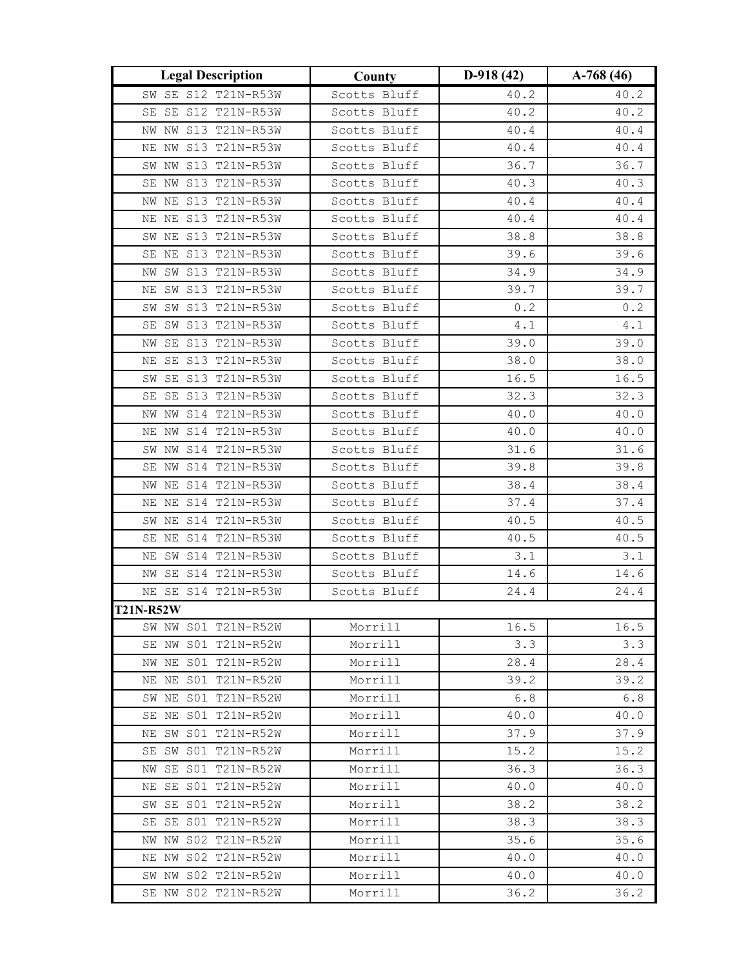| <b>Legal Description</b>                   | County             | $D-918(42)$  | $A-768(46)$  |
|--------------------------------------------|--------------------|--------------|--------------|
| SW SE S12 T21N-R53W                        | Scotts Bluff       | 40.2         | 40.2         |
| SE SE S12 T21N-R53W                        | Scotts Bluff       | 40.2         | 40.2         |
| NW NW S13 T21N-R53W                        | Scotts Bluff       | 40.4         | 40.4         |
| NE NW S13 T21N-R53W                        | Scotts Bluff       | 40.4         | 40.4         |
| SW NW S13 T21N-R53W                        | Scotts Bluff       | 36.7         | 36.7         |
| SE NW S13 T21N-R53W                        | Scotts Bluff       | 40.3         | 40.3         |
| NW NE S13 T21N-R53W                        | Scotts Bluff       | 40.4         | 40.4         |
| NE NE S13 T21N-R53W                        | Scotts Bluff       | 40.4         | $4\,0$ . $4$ |
| SW NE S13 T21N-R53W                        | Scotts Bluff       | 38.8         | 38.8         |
| SE NE S13 T21N-R53W                        | Scotts Bluff       | 39.6         | 39.6         |
| NW SW S13 T21N-R53W                        | Scotts Bluff       | 34.9         | 34.9         |
| SW S13 T21N-R53W<br>ΝE                     | Scotts Bluff       | 39.7         | 39.7         |
| SW S13 T21N-R53W<br>SW                     | Scotts Bluff       | 0.2          | 0.2          |
| SE SW S13 T21N-R53W                        | Scotts Bluff       | $4\,.1$      | $4.1\,$      |
| SE S13 T21N-R53W<br>ΝW                     | Scotts Bluff       | 39.0         | 39.0         |
| NE SE S13 T21N-R53W                        | Scotts Bluff       | 38.0         | 38.0         |
| SE S13 T21N-R53W<br>SW                     | Scotts Bluff       | 16.5         | 16.5         |
| SE SE S13 T21N-R53W                        | Scotts Bluff       | 32.3         | 32.3         |
| NW NW S14 T21N-R53W                        | Scotts Bluff       | 40.0         | 40.0         |
| NE NW S14 T21N-R53W                        | Scotts Bluff       | 40.0         | 40.0         |
| SW NW S14 T21N-R53W                        | Scotts Bluff       | 31.6         | 31.6         |
| SE NW S14 T21N-R53W                        | Scotts Bluff       | 39.8         | 39.8         |
| NW NE S14 T21N-R53W                        | Scotts Bluff       | 38.4         | 38.4         |
| NE NE S14 T21N-R53W                        | Scotts Bluff       | 37.4         | 37.4         |
| SW NE S14 T21N-R53W                        | Scotts Bluff       | 40.5         | 40.5         |
| SE NE S14 T21N-R53W                        | Scotts Bluff       | 40.5         | 40.5         |
| SW S14 T21N-R53W<br>NΕ                     | Scotts Bluff       | 3.1          | 3.1          |
| NW SE S14 T21N-R53W                        | Scotts Bluff       | 14.6         | 14.6         |
| NE SE S14 T21N-R53W                        | Scotts Bluff       | 24.4         | 24.4         |
| <b>T21N-R52W</b>                           |                    |              |              |
| SW NW S01 T21N-R52W                        | Morrill            | 16.5         | 16.5         |
| SE NW S01 T21N-R52W                        | Morrill            | 3.3          | 3.3          |
| NW NE S01 T21N-R52W                        | Morrill            | 28.4         | 28.4         |
| NE NE S01 T21N-R52W<br>SW NE S01 T21N-R52W | Morrill<br>Morrill | 39.2<br>6.8  | 39.2<br>6.8  |
|                                            |                    |              |              |
| SE NE S01 T21N-R52W<br>NE SW S01 T21N-R52W | Morrill<br>Morrill | 40.0<br>37.9 | 40.0<br>37.9 |
| SE SW S01 T21N-R52W                        | Morrill            | 15.2         | 15.2         |
| SE S01 T21N-R52W<br>NW                     | Morrill            | 36.3         | 36.3         |
| NE SE S01 T21N-R52W                        | Morrill            | 40.0         | 40.0         |
| SW SE S01 T21N-R52W                        | Morrill            | 38.2         | 38.2         |
| SE SE S01 T21N-R52W                        | Morrill            | 38.3         | 38.3         |
| NW S02 T21N-R52W<br>NW                     | Morrill            | 35.6         | 35.6         |
| NE NW S02 T21N-R52W                        | Morrill            | 40.0         | 40.0         |
| SW NW S02 T21N-R52W                        | Morrill            | 40.0         | 40.0         |
| SE NW S02 T21N-R52W                        | Morrill            | 36.2         | 36.2         |
|                                            |                    |              |              |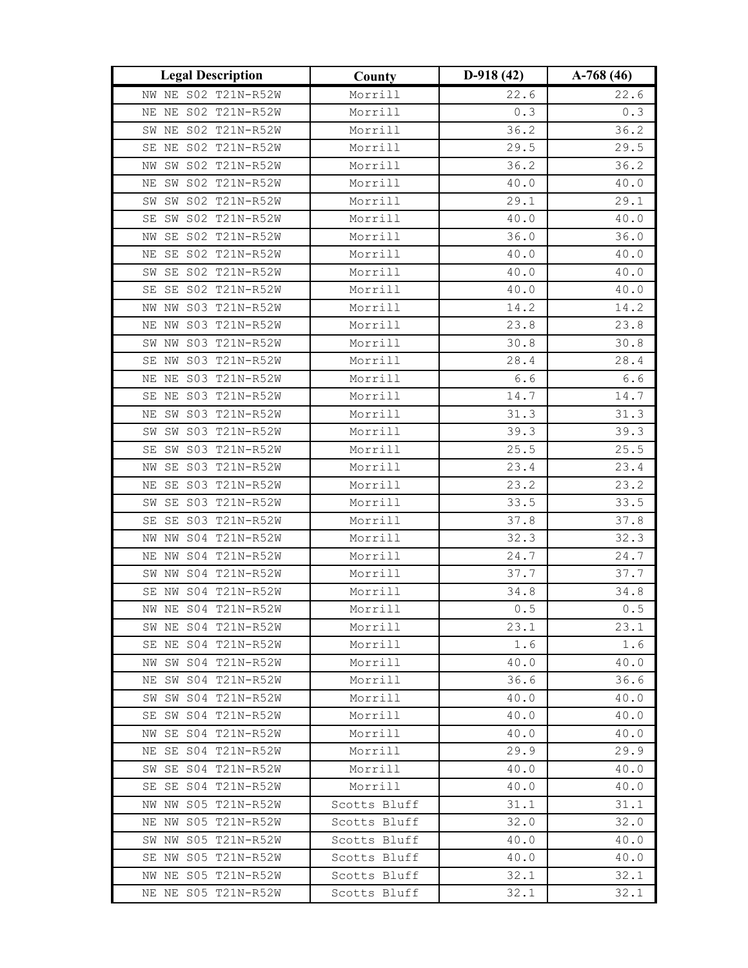| <b>Legal Description</b>  | County       | $D-918(42)$ | $A-768(46)$ |
|---------------------------|--------------|-------------|-------------|
| NW NE S02 T21N-R52W       | Morrill      | 22.6        | 22.6        |
| NE S02 T21N-R52W<br>ΝE    | Morrill      | 0.3         | $0.3$       |
| NE S02 T21N-R52W<br>SW    | Morrill      | 36.2        | 36.2        |
| NE S02 T21N-R52W<br>SE    | Morrill      | 29.5        | 29.5        |
| NW SW S02 T21N-R52W       | Morrill      | 36.2        | 36.2        |
| SW S02 T21N-R52W<br>ΝE    | Morrill      | 40.0        | 40.0        |
| SW S02 T21N-R52W<br>SW    | Morrill      | 29.1        | 29.1        |
| SW S02 T21N-R52W<br>SE    | Morrill      | 40.0        | 40.0        |
| SE S02 T21N-R52W<br>ΝW    | Morrill      | 36.0        | 36.0        |
| SE S02 T21N-R52W<br>ΝE    | Morrill      | $40.0\,$    | 40.0        |
| SW SE S02 T21N-R52W       | Morrill      | 40.0        | 40.0        |
| SE S02 T21N-R52W<br>SE    | Morrill      | 40.0        | 40.0        |
| NW S03 T21N-R52W<br>ΝW    | Morrill      | 14.2        | 14.2        |
| NW S03 T21N-R52W<br>ΝE    | Morrill      | 23.8        | 23.8        |
| NW S03 T21N-R52W<br>SW    | Morrill      | 30.8        | 30.8        |
| SE NW S03 T21N-R52W       | Morrill      | 28.4        | 28.4        |
| NE NE S03 T21N-R52W       | Morrill      | $6.6$       | $6.6\,$     |
| SE NE S03 T21N-R52W       | Morrill      | 14.7        | 14.7        |
| SW S03 T21N-R52W<br>ΝE    | Morrill      | 31.3        | 31.3        |
| S03 T21N-R52W<br>SW<br>SW | Morrill      | 39.3        | 39.3        |
| SW S03 T21N-R52W<br>SE    | Morrill      | 25.5        | 25.5        |
| SE S03 T21N-R52W<br>ΝW    | Morrill      | 23.4        | 23.4        |
| SE S03 T21N-R52W<br>ΝE    | Morrill      | 23.2        | 23.2        |
| SW SE S03 T21N-R52W       | Morrill      | 33.5        | 33.5        |
| S03 T21N-R52W<br>SE<br>SE | Morrill      | 37.8        | 37.8        |
| S04 T21N-R52W<br>ΝW<br>ΝW | Morrill      | 32.3        | 32.3        |
| S04 T21N-R52W<br>ΝE<br>ΝW | Morrill      | 24.7        | 24.7        |
| NW S04 T21N-R52W<br>SW    | Morrill      | 37.7        | 37.7        |
| S04 T21N-R52W<br>SE<br>ΝW | Morrill      | 34.8        | 34.8        |
| NW NE S04 T21N-R52W       | Morrill      | 0.5         | $0.5$       |
| SW NE S04 T21N-R52W       | Morrill      | 23.1        | 23.1        |
| SE NE S04 T21N-R52W       | Morrill      | 1.6         | 1.6         |
| NW SW S04 T21N-R52W       | Morrill      | 40.0        | 40.0        |
| NE SW S04 T21N-R52W       | Morrill      | 36.6        | 36.6        |
| SW SW S04 T21N-R52W       | Morrill      | 40.0        | 40.0        |
| SE SW S04 T21N-R52W       | Morrill      | 40.0        | 40.0        |
| NW SE S04 T21N-R52W       | Morrill      | 40.0        | 40.0        |
| NE SE S04 T21N-R52W       | Morrill      | 29.9        | 29.9        |
| SW SE S04 T21N-R52W       | Morrill      | 40.0        | 40.0        |
| SE SE S04 T21N-R52W       | Morrill      | 40.0        | 40.0        |
| NW NW S05 T21N-R52W       | Scotts Bluff | 31.1        | 31.1        |
| NE NW S05 T21N-R52W       | Scotts Bluff | 32.0        | 32.0        |
| SW NW S05 T21N-R52W       | Scotts Bluff | 40.0        | 40.0        |
| SE NW S05 T21N-R52W       | Scotts Bluff | 40.0        | 40.0        |
| NW NE S05 T21N-R52W       | Scotts Bluff | 32.1        | 32.1        |
| NE NE S05 T21N-R52W       | Scotts Bluff | 32.1        | 32.1        |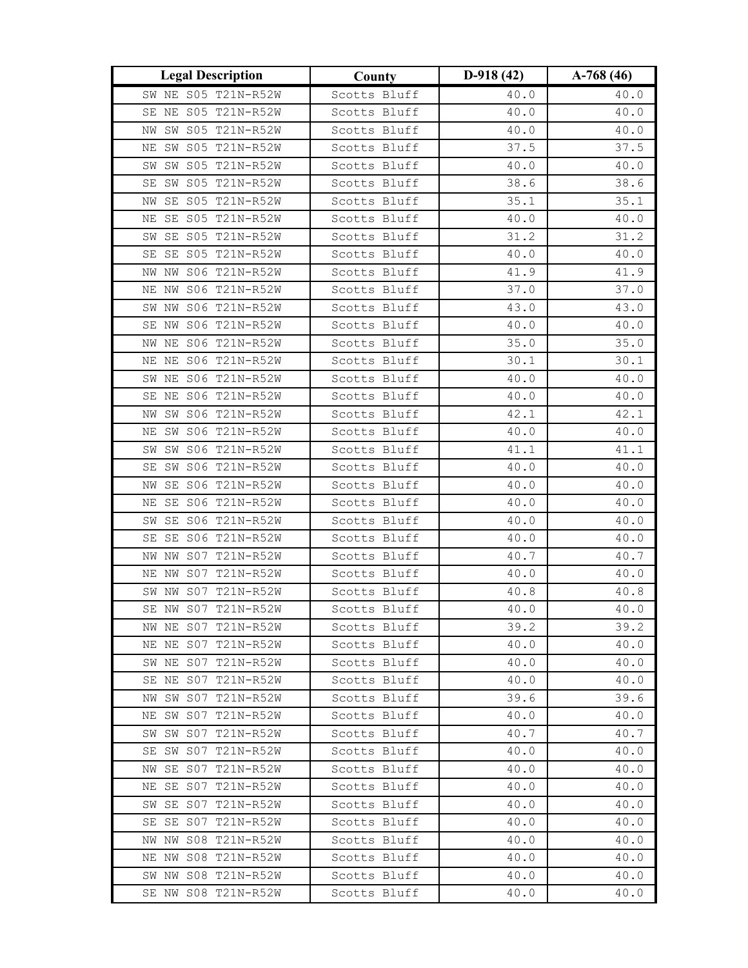| <b>Legal Description</b>                   | County                       | $D-918(42)$  | $A-768(46)$  |
|--------------------------------------------|------------------------------|--------------|--------------|
| SW NE S05 T21N-R52W                        | Scotts Bluff                 | 40.0         | 40.0         |
| SE NE S05 T21N-R52W                        | Scotts Bluff                 | 40.0         | 40.0         |
| SW S05 T21N-R52W<br>ΝW                     | Scotts Bluff                 | 40.0         | 40.0         |
| NE SW S05 T21N-R52W                        | Scotts Bluff                 | 37.5         | 37.5         |
| SW SW S05 T21N-R52W                        | Scotts Bluff                 | 40.0         | 40.0         |
| SW S05 T21N-R52W<br>SE                     | Scotts Bluff                 | 38.6         | 38.6         |
| SE S05 T21N-R52W<br>ΝW                     | Scotts Bluff                 | 35.1         | 35.1         |
| SE S05 T21N-R52W<br>ΝE                     | Scotts Bluff                 | 40.0         | 40.0         |
| SW SE S05 T21N-R52W                        | Scotts Bluff                 | 31.2         | 31.2         |
| SE SE S05 T21N-R52W                        | Scotts Bluff                 | 40.0         | 40.0         |
| NW NW S06 T21N-R52W                        | Scotts Bluff                 | 41.9         | 41.9         |
| NE NW S06 T21N-R52W                        | Scotts Bluff                 | 37.0         | 37.0         |
| SW NW S06 T21N-R52W                        | Scotts Bluff                 | 43.0         | 43.0         |
| SE NW S06 T21N-R52W                        | Scotts Bluff                 | 40.0         | 40.0         |
| NW NE S06 T21N-R52W                        | Scotts Bluff                 | 35.0         | 35.0         |
| NE NE S06 T21N-R52W                        | Scotts Bluff                 | 30.1         | 30.1         |
| SW NE S06 T21N-R52W                        | Scotts Bluff                 | 40.0         | 40.0         |
| SE NE S06 T21N-R52W                        | Scotts Bluff                 | 40.0         | 40.0         |
| SW S06 T21N-R52W<br>NW                     | Scotts Bluff                 | 42.1         | 42.1         |
| SW S06 T21N-R52W<br>ΝE                     | Scotts Bluff                 | 40.0         | 40.0         |
| SW S06 T21N-R52W<br>SW                     | Scotts Bluff                 | 41.1         | 41.1         |
| SW S06 T21N-R52W<br>SE                     | Scotts Bluff                 | 40.0         | 40.0         |
| NW SE S06 T21N-R52W                        | Scotts Bluff                 | 40.0         | 40.0         |
| SE S06 T21N-R52W<br>ΝE                     | Scotts Bluff                 | 40.0         | 40.0         |
| SE S06 T21N-R52W<br>SW                     | Scotts Bluff                 | 40.0         | 40.0         |
| SE S06 T21N-R52W<br>SE                     | Scotts Bluff                 | 40.0         | 40.0         |
| S07 T21N-R52W<br>NW<br>ΝW                  | Scotts Bluff                 | 40.7         | 40.7         |
| NE NW S07 T21N-R52W                        | Scotts Bluff                 | 40.0         | 40.0         |
| SW NW S07 T21N-R52W                        | Scotts Bluff                 | 40.8         | 40.8         |
| SE NW S07 T21N-R52W                        | Scotts Bluff                 | 40.0         | 40.0         |
| NW NE S07 T21N-R52W<br>NE NE S07 T21N-R52W | Scotts Bluff<br>Scotts Bluff | 39.2<br>40.0 | 39.2<br>40.0 |
| SW NE S07 T21N-R52W                        | Scotts Bluff                 | 40.0         | 40.0         |
| SE NE S07 T21N-R52W                        | Scotts Bluff                 | 40.0         | 40.0         |
| NW SW S07 T21N-R52W                        | Scotts Bluff                 | 39.6         | 39.6         |
| NE SW S07 T21N-R52W                        | Scotts Bluff                 | 40.0         | 40.0         |
| SW SW S07 T21N-R52W                        | Scotts Bluff                 | 40.7         | 40.7         |
| SE SW S07 T21N-R52W                        | Scotts Bluff                 | 40.0         | 40.0         |
| NW SE S07 T21N-R52W                        | Scotts Bluff                 | 40.0         | 40.0         |
| NE SE S07 T21N-R52W                        | Scotts Bluff                 | 40.0         | 40.0         |
| SW SE S07 T21N-R52W                        | Scotts Bluff                 | 40.0         | 40.0         |
| SE SE S07 T21N-R52W                        | Scotts Bluff                 | 40.0         | 40.0         |
| NW NW S08 T21N-R52W                        | Scotts Bluff                 | 40.0         | 40.0         |
| NE NW S08 T21N-R52W                        | Scotts Bluff                 | 40.0         | 40.0         |
| SW NW S08 T21N-R52W                        | Scotts Bluff                 | 40.0         | 40.0         |
| SE NW S08 T21N-R52W                        | Scotts Bluff                 | 40.0         | 40.0         |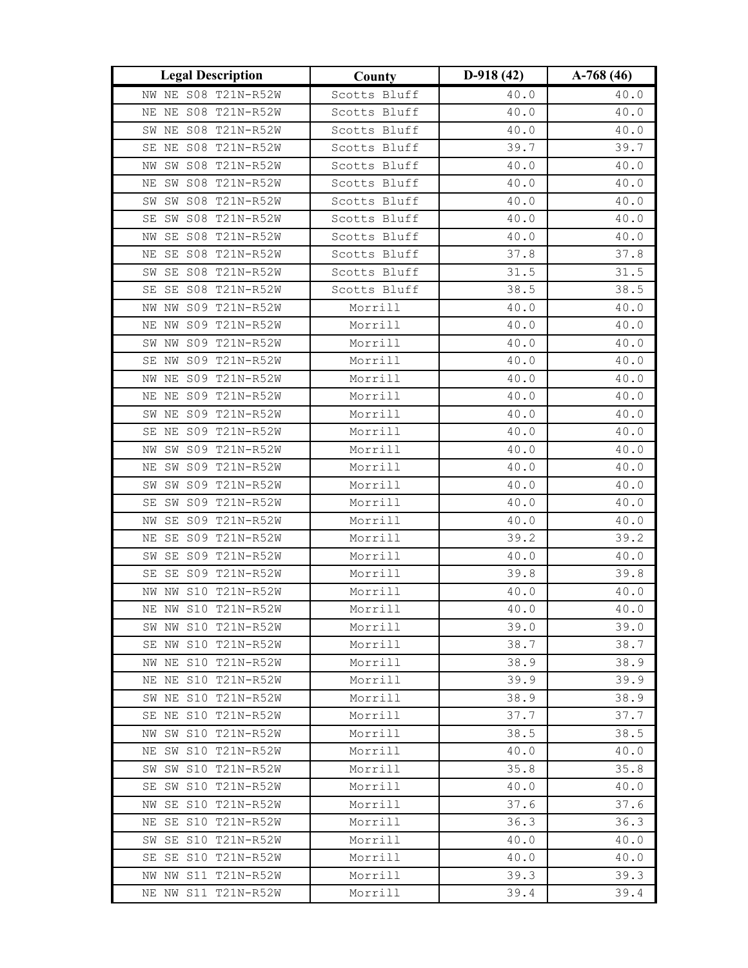| NW NE S08 T21N-R52W<br>40.0<br>40.0<br>Scotts Bluff<br>NE NE S08 T21N-R52W<br>Scotts Bluff<br>40.0<br>40.0<br>SW NE S08 T21N-R52W<br>Scotts Bluff<br>40.0<br>40.0<br>SE NE S08 T21N-R52W<br>Scotts Bluff<br>39.7<br>39.7<br>SW S08 T21N-R52W<br>Scotts Bluff<br>40.0<br>40.0<br>ΝW<br>SW S08 T21N-R52W<br>Scotts Bluff<br>40.0<br>40.0<br>ΝE<br>SW S08 T21N-R52W<br>Scotts Bluff<br>40.0<br>40.0<br>SW<br>SW S08 T21N-R52W<br>Scotts Bluff<br>40.0<br>40.0<br>SE<br>SE S08 T21N-R52W<br>Scotts Bluff<br>40.0<br>40.0<br>NW<br>37.8<br>37.8<br>SE S08 T21N-R52W<br>Scotts Bluff<br>ΝE<br>SW SE S08 T21N-R52W<br>Scotts Bluff<br>31.5<br>31.5<br>SE SE S08 T21N-R52W<br>38.5<br>Scotts Bluff<br>38.5<br>NW S09 T21N-R52W<br>Morrill<br>40.0<br>40.0<br>NW<br>NW S09 T21N-R52W<br>Morrill<br>40.0<br>40.0<br>ΝE<br>Morrill<br>SW NW S09 T21N-R52W<br>40.0<br>40.0<br>Morrill<br>SE NW S09 T21N-R52W<br>40.0<br>40.0<br>NW NE S09 T21N-R52W<br>Morrill<br>40.0<br>40.0<br>Morrill<br>NE NE S09 T21N-R52W<br>40.0<br>40.0 |
|----------------------------------------------------------------------------------------------------------------------------------------------------------------------------------------------------------------------------------------------------------------------------------------------------------------------------------------------------------------------------------------------------------------------------------------------------------------------------------------------------------------------------------------------------------------------------------------------------------------------------------------------------------------------------------------------------------------------------------------------------------------------------------------------------------------------------------------------------------------------------------------------------------------------------------------------------------------------------------------------------------------------|
|                                                                                                                                                                                                                                                                                                                                                                                                                                                                                                                                                                                                                                                                                                                                                                                                                                                                                                                                                                                                                      |
|                                                                                                                                                                                                                                                                                                                                                                                                                                                                                                                                                                                                                                                                                                                                                                                                                                                                                                                                                                                                                      |
|                                                                                                                                                                                                                                                                                                                                                                                                                                                                                                                                                                                                                                                                                                                                                                                                                                                                                                                                                                                                                      |
|                                                                                                                                                                                                                                                                                                                                                                                                                                                                                                                                                                                                                                                                                                                                                                                                                                                                                                                                                                                                                      |
|                                                                                                                                                                                                                                                                                                                                                                                                                                                                                                                                                                                                                                                                                                                                                                                                                                                                                                                                                                                                                      |
|                                                                                                                                                                                                                                                                                                                                                                                                                                                                                                                                                                                                                                                                                                                                                                                                                                                                                                                                                                                                                      |
|                                                                                                                                                                                                                                                                                                                                                                                                                                                                                                                                                                                                                                                                                                                                                                                                                                                                                                                                                                                                                      |
|                                                                                                                                                                                                                                                                                                                                                                                                                                                                                                                                                                                                                                                                                                                                                                                                                                                                                                                                                                                                                      |
|                                                                                                                                                                                                                                                                                                                                                                                                                                                                                                                                                                                                                                                                                                                                                                                                                                                                                                                                                                                                                      |
|                                                                                                                                                                                                                                                                                                                                                                                                                                                                                                                                                                                                                                                                                                                                                                                                                                                                                                                                                                                                                      |
|                                                                                                                                                                                                                                                                                                                                                                                                                                                                                                                                                                                                                                                                                                                                                                                                                                                                                                                                                                                                                      |
|                                                                                                                                                                                                                                                                                                                                                                                                                                                                                                                                                                                                                                                                                                                                                                                                                                                                                                                                                                                                                      |
|                                                                                                                                                                                                                                                                                                                                                                                                                                                                                                                                                                                                                                                                                                                                                                                                                                                                                                                                                                                                                      |
|                                                                                                                                                                                                                                                                                                                                                                                                                                                                                                                                                                                                                                                                                                                                                                                                                                                                                                                                                                                                                      |
|                                                                                                                                                                                                                                                                                                                                                                                                                                                                                                                                                                                                                                                                                                                                                                                                                                                                                                                                                                                                                      |
|                                                                                                                                                                                                                                                                                                                                                                                                                                                                                                                                                                                                                                                                                                                                                                                                                                                                                                                                                                                                                      |
|                                                                                                                                                                                                                                                                                                                                                                                                                                                                                                                                                                                                                                                                                                                                                                                                                                                                                                                                                                                                                      |
|                                                                                                                                                                                                                                                                                                                                                                                                                                                                                                                                                                                                                                                                                                                                                                                                                                                                                                                                                                                                                      |
| SW NE S09 T21N-R52W<br>Morrill<br>40.0<br>40.0                                                                                                                                                                                                                                                                                                                                                                                                                                                                                                                                                                                                                                                                                                                                                                                                                                                                                                                                                                       |
| Morrill<br>NE S09 T21N-R52W<br>40.0<br>40.0<br>SE                                                                                                                                                                                                                                                                                                                                                                                                                                                                                                                                                                                                                                                                                                                                                                                                                                                                                                                                                                    |
| Morrill<br>SW S09 T21N-R52W<br>40.0<br>40.0<br>ΝW                                                                                                                                                                                                                                                                                                                                                                                                                                                                                                                                                                                                                                                                                                                                                                                                                                                                                                                                                                    |
| Morrill<br>SW S09 T21N-R52W<br>40.0<br>40.0<br>$_{\rm NE}$                                                                                                                                                                                                                                                                                                                                                                                                                                                                                                                                                                                                                                                                                                                                                                                                                                                                                                                                                           |
| Morrill<br>SW SW S09 T21N-R52W<br>40.0<br>40.0                                                                                                                                                                                                                                                                                                                                                                                                                                                                                                                                                                                                                                                                                                                                                                                                                                                                                                                                                                       |
| SW S09 T21N-R52W<br>Morrill<br>40.0<br>40.0<br>SE                                                                                                                                                                                                                                                                                                                                                                                                                                                                                                                                                                                                                                                                                                                                                                                                                                                                                                                                                                    |
| Morrill<br>SE S09 T21N-R52W<br>40.0<br>40.0<br>ΝW                                                                                                                                                                                                                                                                                                                                                                                                                                                                                                                                                                                                                                                                                                                                                                                                                                                                                                                                                                    |
| SE S09 T21N-R52W<br>Morrill<br>39.2<br>39.2<br>ΝE                                                                                                                                                                                                                                                                                                                                                                                                                                                                                                                                                                                                                                                                                                                                                                                                                                                                                                                                                                    |
| Morrill<br>SE S09 T21N-R52W<br>40.0<br>40.0<br>SW                                                                                                                                                                                                                                                                                                                                                                                                                                                                                                                                                                                                                                                                                                                                                                                                                                                                                                                                                                    |
| Morrill<br>39.8<br>39.8<br>SE S09 T21N-R52W<br>SE                                                                                                                                                                                                                                                                                                                                                                                                                                                                                                                                                                                                                                                                                                                                                                                                                                                                                                                                                                    |
| NW NW S10 T21N-R52W<br>Morrill<br>40.0<br>40.0                                                                                                                                                                                                                                                                                                                                                                                                                                                                                                                                                                                                                                                                                                                                                                                                                                                                                                                                                                       |
| NE NW S10 T21N-R52W<br>Morrill<br>40.0<br>40.0                                                                                                                                                                                                                                                                                                                                                                                                                                                                                                                                                                                                                                                                                                                                                                                                                                                                                                                                                                       |
| SW NW S10 T21N-R52W<br>Morrill<br>39.0<br>39.0                                                                                                                                                                                                                                                                                                                                                                                                                                                                                                                                                                                                                                                                                                                                                                                                                                                                                                                                                                       |
| SE NW S10 T21N-R52W<br>Morrill<br>38.7<br>38.7<br>NW NE S10 T21N-R52W                                                                                                                                                                                                                                                                                                                                                                                                                                                                                                                                                                                                                                                                                                                                                                                                                                                                                                                                                |
| Morrill<br>38.9<br>38.9<br>NE NE S10 T21N-R52W<br>Morrill<br>39.9<br>39.9                                                                                                                                                                                                                                                                                                                                                                                                                                                                                                                                                                                                                                                                                                                                                                                                                                                                                                                                            |
| SW NE S10 T21N-R52W<br>Morrill<br>38.9<br>38.9                                                                                                                                                                                                                                                                                                                                                                                                                                                                                                                                                                                                                                                                                                                                                                                                                                                                                                                                                                       |
| 37.7<br>SE NE S10 T21N-R52W<br>Morrill<br>37.7                                                                                                                                                                                                                                                                                                                                                                                                                                                                                                                                                                                                                                                                                                                                                                                                                                                                                                                                                                       |
| Morrill<br>38.5<br>NW SW S10 T21N-R52W<br>38.5                                                                                                                                                                                                                                                                                                                                                                                                                                                                                                                                                                                                                                                                                                                                                                                                                                                                                                                                                                       |
| NE SW S10 T21N-R52W<br>Morrill<br>40.0<br>40.0                                                                                                                                                                                                                                                                                                                                                                                                                                                                                                                                                                                                                                                                                                                                                                                                                                                                                                                                                                       |
| SW SW S10 T21N-R52W<br>Morrill<br>35.8<br>35.8                                                                                                                                                                                                                                                                                                                                                                                                                                                                                                                                                                                                                                                                                                                                                                                                                                                                                                                                                                       |
| SE SW S10 T21N-R52W<br>Morrill<br>40.0<br>40.0                                                                                                                                                                                                                                                                                                                                                                                                                                                                                                                                                                                                                                                                                                                                                                                                                                                                                                                                                                       |
| 37.6<br>NW SE S10 T21N-R52W<br>Morrill<br>37.6                                                                                                                                                                                                                                                                                                                                                                                                                                                                                                                                                                                                                                                                                                                                                                                                                                                                                                                                                                       |
| NE SE S10 T21N-R52W<br>Morrill<br>36.3<br>36.3                                                                                                                                                                                                                                                                                                                                                                                                                                                                                                                                                                                                                                                                                                                                                                                                                                                                                                                                                                       |
| SW SE S10 T21N-R52W<br>Morrill<br>40.0<br>40.0                                                                                                                                                                                                                                                                                                                                                                                                                                                                                                                                                                                                                                                                                                                                                                                                                                                                                                                                                                       |
| Morrill<br>SE SE S10 T21N-R52W<br>40.0<br>40.0                                                                                                                                                                                                                                                                                                                                                                                                                                                                                                                                                                                                                                                                                                                                                                                                                                                                                                                                                                       |
| NW NW S11 T21N-R52W<br>Morrill<br>39.3<br>39.3                                                                                                                                                                                                                                                                                                                                                                                                                                                                                                                                                                                                                                                                                                                                                                                                                                                                                                                                                                       |
| Morrill<br>39.4<br>NE NW S11 T21N-R52W<br>39.4                                                                                                                                                                                                                                                                                                                                                                                                                                                                                                                                                                                                                                                                                                                                                                                                                                                                                                                                                                       |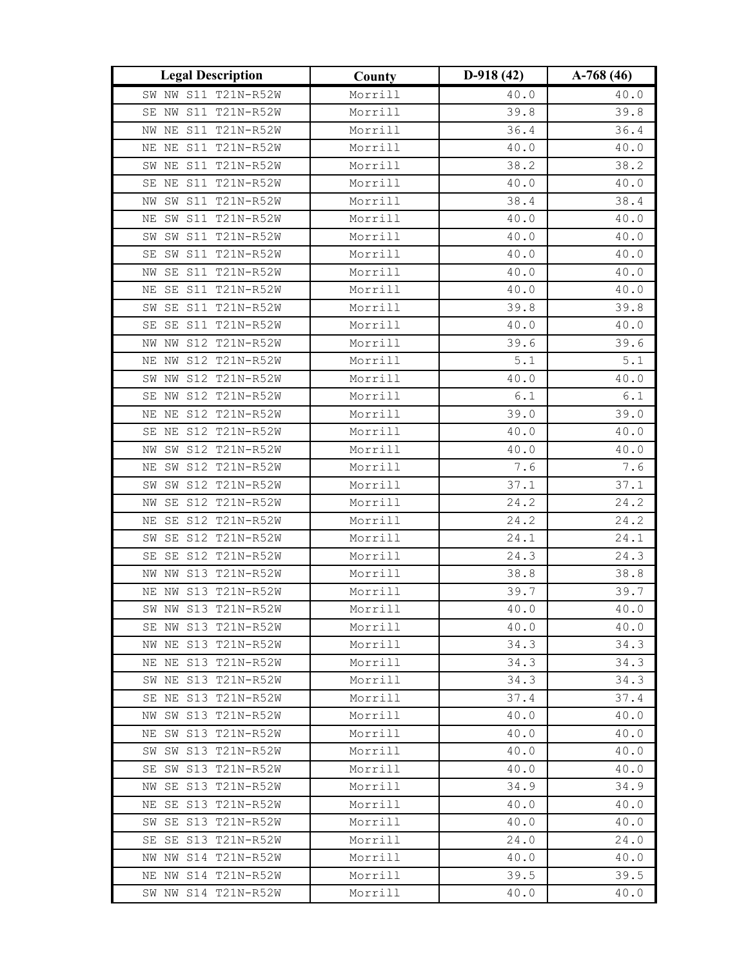| <b>Legal Description</b>                   | County             | $D-918(42)$  | $A-768(46)$  |
|--------------------------------------------|--------------------|--------------|--------------|
| SW NW S11 T21N-R52W                        | Morrill            | 40.0         | 40.0         |
| S11 T21N-R52W<br>SE NW                     | Morrill            | 39.8         | 39.8         |
| S11 T21N-R52W<br>NE<br>NW                  | Morrill            | 36.4         | 36.4         |
| NE NE S11 T21N-R52W                        | Morrill            | 40.0         | 40.0         |
| SW NE S11 T21N-R52W                        | Morrill            | 38.2         | 38.2         |
| S11 T21N-R52W<br>ΝE<br>SE                  | Morrill            | 40.0         | 40.0         |
| SW S11 T21N-R52W<br>ΝW                     | Morrill            | 38.4         | 38.4         |
| S11 T21N-R52W<br>SW<br>ΝE                  | Morrill            | 40.0         | 40.0         |
| SW SW S11 T21N-R52W                        | Morrill            | 40.0         | 40.0         |
| SW S11 T21N-R52W<br>SE                     | Morrill            | 40.0         | 40.0         |
| NW SE S11 T21N-R52W                        | Morrill            | 40.0         | 40.0         |
| SE S11 T21N-R52W<br>ΝE                     | Morrill            | 40.0         | 40.0         |
| SE S11 T21N-R52W<br>SW                     | Morrill            | 39.8         | 39.8         |
| SE S11 T21N-R52W<br>SE                     | Morrill            | 40.0         | 40.0         |
| S12 T21N-R52W<br>ΝW<br>NW                  | Morrill            | 39.6         | 39.6         |
| NE NW S12 T21N-R52W                        | Morrill            | 5.1          | $5.1$        |
| SW NW S12 T21N-R52W                        | Morrill            | 40.0         | 40.0         |
| SE NW S12 T21N-R52W                        | Morrill            | 6.1          | $6.1\,$      |
| S12 T21N-R52W<br>ΝE<br>ΝE                  | Morrill            | 39.0         | 39.0         |
| S12 T21N-R52W<br>SE<br>ΝE                  | Morrill            | 40.0         | 40.0         |
| SW S12 T21N-R52W<br>ΝW                     | Morrill            | 40.0         | 40.0         |
| SW S12 T21N-R52W<br>$_{\rm NE}$            | Morrill            | 7.6          | 7.6          |
| SW SW S12 T21N-R52W                        | Morrill            | 37.1         | 37.1         |
| SE S12 T21N-R52W<br>ΝW                     | Morrill            | 24.2         | 24.2         |
| S12 T21N-R52W<br>SE<br>ΝE                  | Morrill            | 24.2         | 24.2         |
| SE S12 T21N-R52W<br>SW                     | Morrill            | 24.1         | 24.1         |
| S12 T21N-R52W<br>SE<br>SE                  | Morrill            | 24.3         | 24.3         |
| NW S13 T21N-R52W<br>ΝW                     | Morrill            | 38.8         | 38.8         |
| NE NW S13 T21N-R52W                        | Morrill            | 39.7         | 39.7         |
| SW NW S13 T21N-R52W                        | Morrill            | 40.0         | 40.0         |
| SE NW S13 T21N-R52W                        | Morrill            | 40.0         | 40.0         |
| NW NE S13 T21N-R52W                        | Morrill            | 34.3         | 34.3         |
| NE NE S13 T21N-R52W                        | Morrill            | 34.3         | 34.3         |
| SW NE S13 T21N-R52W<br>SE NE S13 T21N-R52W | Morrill            | 34.3         | 34.3         |
| NW SW S13 T21N-R52W                        | Morrill<br>Morrill | 37.4<br>40.0 | 37.4         |
| NE SW S13 T21N-R52W                        | Morrill            | 40.0         | 40.0<br>40.0 |
| SW SW S13 T21N-R52W                        | Morrill            | 40.0         | 40.0         |
| SE SW S13 T21N-R52W                        | Morrill            | 40.0         | 40.0         |
| NW SE S13 T21N-R52W                        | Morrill            | 34.9         | 34.9         |
| NE SE S13 T21N-R52W                        | Morrill            | 40.0         | 40.0         |
| SW SE S13 T21N-R52W                        | Morrill            | 40.0         | 40.0         |
| SE SE S13 T21N-R52W                        | Morrill            | 24.0         | 24.0         |
| NW NW S14 T21N-R52W                        | Morrill            | 40.0         | 40.0         |
| NE NW S14 T21N-R52W                        | Morrill            | 39.5         | 39.5         |
| SW NW S14 T21N-R52W                        | Morrill            | 40.0         | 40.0         |
|                                            |                    |              |              |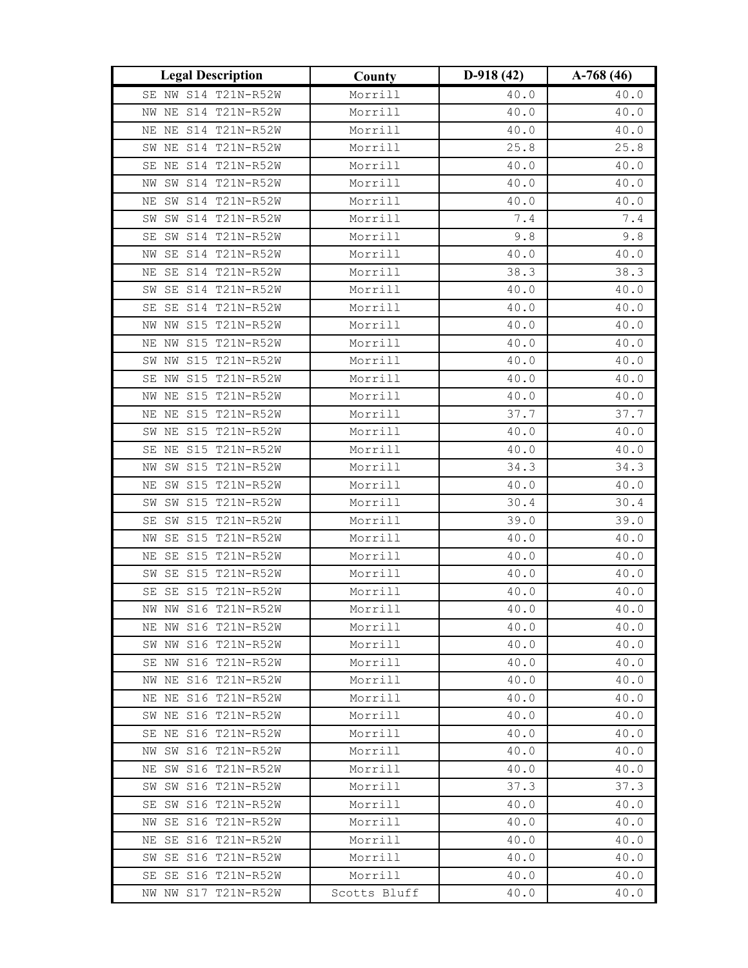| <b>Legal Description</b>                   | County             | $D-918(42)$  | $A-768(46)$  |
|--------------------------------------------|--------------------|--------------|--------------|
| SE NW S14 T21N-R52W                        | Morrill            | 40.0         | 40.0         |
| NW NE S14 T21N-R52W                        | Morrill            | 40.0         | 40.0         |
| NE S14 T21N-R52W<br>ΝE                     | Morrill            | 40.0         | 40.0         |
| SW NE S14 T21N-R52W                        | Morrill            | 25.8         | 25.8         |
| SE NE S14 T21N-R52W                        | Morrill            | 40.0         | 40.0         |
| SW S14 T21N-R52W<br>ΝW                     | Morrill            | 40.0         | 40.0         |
| SW S14 T21N-R52W<br>ΝE                     | Morrill            | 40.0         | 40.0         |
| SW S14 T21N-R52W<br>SW                     | Morrill            | $7\,.4$      | $7.4\,$      |
| SW S14 T21N-R52W<br>SE                     | Morrill            | 9.8          | 9.8          |
| SE S14 T21N-R52W<br>ΝW                     | Morrill            | 40.0         | $40.0\,$     |
| SE S14 T21N-R52W<br>ΝE                     | Morrill            | 38.3         | 38.3         |
| SW SE S14 T21N-R52W                        | Morrill            | 40.0         | 40.0         |
| SE S14 T21N-R52W<br>SE                     | Morrill            | 40.0         | 40.0         |
| NW S15 T21N-R52W<br>NW                     | Morrill            | 40.0         | 40.0         |
| NE NW S15 T21N-R52W                        | Morrill            | 40.0         | 40.0         |
| SW NW S15 T21N-R52W                        | Morrill            | 40.0         | 40.0         |
| SE NW S15 T21N-R52W                        | Morrill            | 40.0         | 40.0         |
| S15 T21N-R52W<br>NW NE                     | Morrill            | 40.0         | 40.0         |
| S15 T21N-R52W<br>ΝE<br>ΝE                  | Morrill            | 37.7         | 37.7         |
| S15 T21N-R52W<br>SW<br>ΝE                  | Morrill            | 40.0         | 40.0         |
| SE NE S15 T21N-R52W                        | Morrill            | 40.0         | 40.0         |
| SW S15 T21N-R52W<br>NW                     | Morrill            | 34.3         | 34.3         |
| NE SW S15 T21N-R52W                        | Morrill            | 40.0         | 40.0         |
| SW S15 T21N-R52W<br>SW                     | Morrill            | 30.4         | 30.4         |
| S15 T21N-R52W<br>SW<br>SE                  | Morrill            | 39.0         | 39.0         |
| SE S15 T21N-R52W<br>ΝW                     | Morrill            | 40.0         | 40.0         |
| S15 T21N-R52W<br>SE<br>ΝE                  | Morrill            | 40.0         | 40.0         |
| SE S15 T21N-R52W<br>SW                     | Morrill            | 40.0         | 40.0         |
| SE S15 T21N-R52W<br>SE                     | Morrill            | 40.0         | 40.0         |
| NW NW S16 T21N-R52W                        | Morrill            | 40.0         | 40.0         |
| NE NW S16 T21N-R52W                        | Morrill            | 40.0         | 40.0         |
| SW NW S16 T21N-R52W                        | Morrill            | 40.0         | 40.0         |
| SE NW S16 T21N-R52W<br>NW NE S16 T21N-R52W | Morrill<br>Morrill | 40.0<br>40.0 | 40.0<br>40.0 |
| NE NE S16 T21N-R52W                        | Morrill            | 40.0         | 40.0         |
| SW NE S16 T21N-R52W                        | Morrill            | 40.0         | 40.0         |
| SE NE S16 T21N-R52W                        | Morrill            | 40.0         | 40.0         |
| NW SW S16 T21N-R52W                        | Morrill            | 40.0         | 40.0         |
| NE SW S16 T21N-R52W                        | Morrill            | 40.0         | 40.0         |
| SW SW S16 T21N-R52W                        | Morrill            | 37.3         | 37.3         |
| SE SW S16 T21N-R52W                        | Morrill            | 40.0         | 40.0         |
| NW SE S16 T21N-R52W                        | Morrill            | 40.0         | 40.0         |
| NE SE S16 T21N-R52W                        | Morrill            | 40.0         | 40.0         |
| SW SE S16 T21N-R52W                        | Morrill            | 40.0         | 40.0         |
| SE SE S16 T21N-R52W                        | Morrill            | 40.0         | 40.0         |
| NW NW S17 T21N-R52W                        | Scotts Bluff       | 40.0         | 40.0         |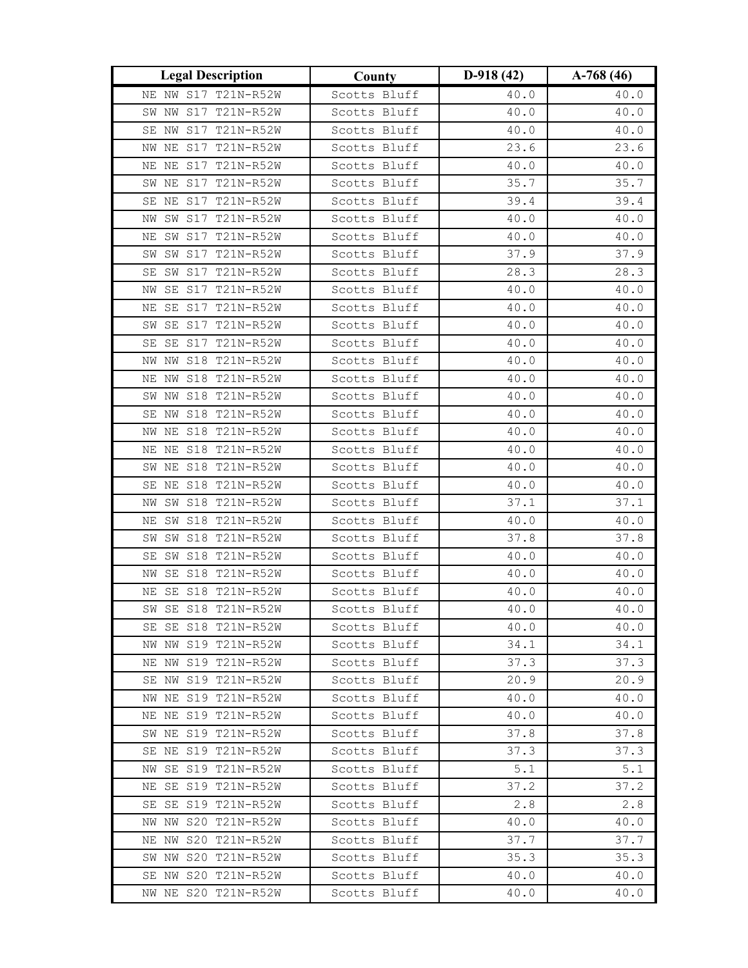| <b>Legal Description</b>                   | County                       | $D-918(42)$  | $A-768(46)$  |
|--------------------------------------------|------------------------------|--------------|--------------|
| NE NW S17 T21N-R52W                        | Scotts Bluff                 | 40.0         | 40.0         |
| SW NW S17 T21N-R52W                        | Scotts Bluff                 | 40.0         | 40.0         |
| SE NW S17 T21N-R52W                        | Scotts Bluff                 | 40.0         | 40.0         |
| NW NE S17 T21N-R52W                        | Scotts Bluff                 | 23.6         | 23.6         |
| NE NE S17 T21N-R52W                        | Scotts Bluff                 | 40.0         | 40.0         |
| SW NE S17 T21N-R52W                        | Scotts Bluff                 | 35.7         | 35.7         |
| SE NE S17 T21N-R52W                        | Scotts Bluff                 | 39.4         | 39.4         |
| SW S17 T21N-R52W<br>ΝW                     | Scotts Bluff                 | 40.0         | 40.0         |
| NE SW S17 T21N-R52W                        | Scotts Bluff                 | 40.0         | 40.0         |
| SW SW S17 T21N-R52W                        | Scotts Bluff                 | 37.9         | 37.9         |
| SE SW S17 T21N-R52W                        | Scotts Bluff                 | 28.3         | 28.3         |
| NW SE S17 T21N-R52W                        | Scotts Bluff                 | 40.0         | 40.0         |
| SE S17 T21N-R52W<br>ΝE                     | Scotts Bluff                 | 40.0         | 40.0         |
| SW SE S17 T21N-R52W                        | Scotts Bluff                 | 40.0         | 40.0         |
| SE S17 T21N-R52W<br>SE                     | Scotts Bluff                 | 40.0         | 40.0         |
| NW NW S18 T21N-R52W                        | Scotts Bluff                 | 40.0         | 40.0         |
| NE NW S18 T21N-R52W                        | Scotts Bluff                 | 40.0         | 40.0         |
| SW NW S18 T21N-R52W                        | Scotts Bluff                 | 40.0         | 40.0         |
| SE NW S18 T21N-R52W                        | Scotts Bluff                 | 40.0         | 40.0         |
| NE S18 T21N-R52W<br>NW                     | Scotts Bluff                 | 40.0         | 40.0         |
| NE NE S18 T21N-R52W                        | Scotts Bluff                 | 40.0         | 40.0         |
| SW NE S18 T21N-R52W                        | Scotts Bluff                 | 40.0         | 40.0         |
| SE NE S18 T21N-R52W                        | Scotts Bluff                 | 40.0         | 40.0         |
| NW SW S18 T21N-R52W                        | Scotts Bluff                 | 37.1         | 37.1         |
| SW S18 T21N-R52W<br>ΝE                     | Scotts Bluff                 | 40.0         | 40.0         |
| SW S18 T21N-R52W<br>SW                     | Scotts Bluff                 | 37.8         | 37.8         |
| SW S18 T21N-R52W<br>SE                     | Scotts Bluff                 | 40.0         | 40.0         |
| SE S18 T21N-R52W<br>ΝW                     | Scotts Bluff                 | 40.0         | 40.0         |
| SE S18 T21N-R52W<br>NΕ                     | Scotts Bluff                 | 40.0         | 40.0         |
| SW SE S18 T21N-R52W                        | Scotts Bluff                 | 40.0         | 40.0         |
| SE SE S18 T21N-R52W                        | Scotts Bluff                 | 40.0         | 40.0         |
| NW NW S19 T21N-R52W<br>NE NW S19 T21N-R52W | Scotts Bluff                 | 34.1         | 34.1         |
| SE NW S19 T21N-R52W                        | Scotts Bluff<br>Scotts Bluff | 37.3<br>20.9 | 37.3<br>20.9 |
| NW NE S19 T21N-R52W                        | Scotts Bluff                 | 40.0         | 40.0         |
| NE NE S19 T21N-R52W                        | Scotts Bluff                 | 40.0         | 40.0         |
| SW NE S19 T21N-R52W                        | Scotts Bluff                 | 37.8         | 37.8         |
| SE NE S19 T21N-R52W                        | Scotts Bluff                 | 37.3         | 37.3         |
| NW SE S19 T21N-R52W                        | Scotts Bluff                 | 5.1          | 5.1          |
| NE SE S19 T21N-R52W                        | Scotts Bluff                 | 37.2         | 37.2         |
| SE SE S19 T21N-R52W                        | Scotts Bluff                 | 2.8          | 2.8          |
| NW NW S20 T21N-R52W                        | Scotts Bluff                 | 40.0         | 40.0         |
| NE NW S20 T21N-R52W                        | Scotts Bluff                 | 37.7         | 37.7         |
| SW NW S20 T21N-R52W                        | Scotts Bluff                 | 35.3         | 35.3         |
| SE NW S20 T21N-R52W                        | Scotts Bluff                 | 40.0         | 40.0         |
| NW NE S20 T21N-R52W                        | Scotts Bluff                 | 40.0         | 40.0         |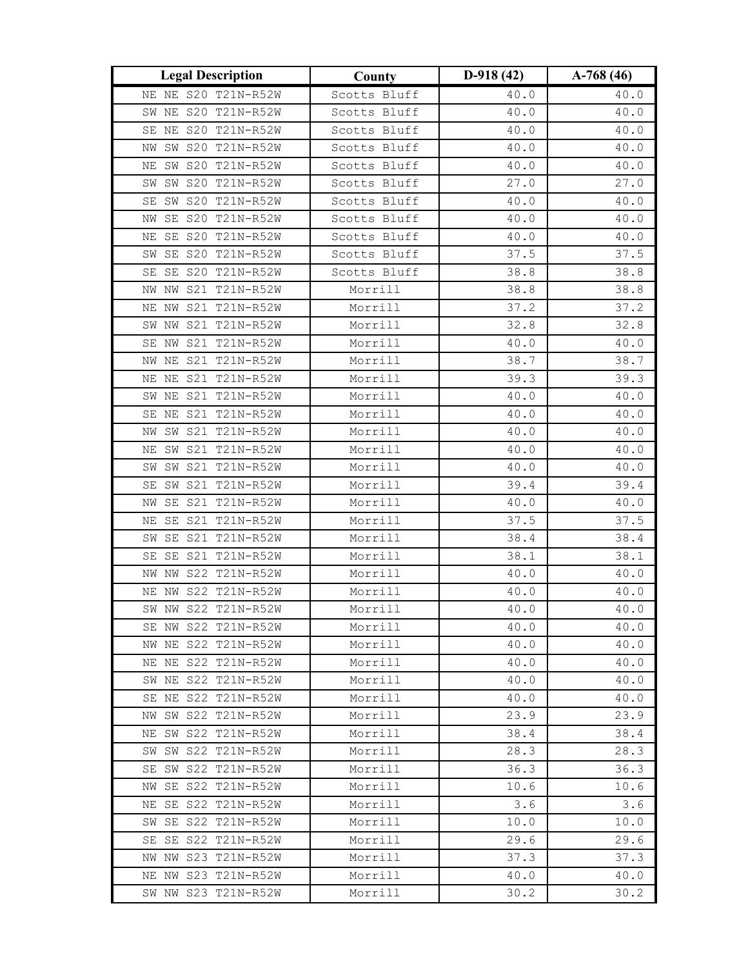| <b>Legal Description</b>                   | County             | $D-918(42)$  | $A-768(46)$  |
|--------------------------------------------|--------------------|--------------|--------------|
| NE NE S20 T21N-R52W                        | Scotts Bluff       | 40.0         | 40.0         |
| SW NE S20 T21N-R52W                        | Scotts Bluff       | 40.0         | 40.0         |
| SE NE S20 T21N-R52W                        | Scotts Bluff       | 40.0         | 40.0         |
| NW SW S20 T21N-R52W                        | Scotts Bluff       | 40.0         | 40.0         |
| SW S20 T21N-R52W<br>ΝE                     | Scotts Bluff       | 40.0         | 40.0         |
| SW S20 T21N-R52W<br>SW                     | Scotts Bluff       | 27.0         | 27.0         |
| SW S20 T21N-R52W<br>SE                     | Scotts Bluff       | 40.0         | 40.0         |
| SE S20 T21N-R52W<br>ΝW                     | Scotts Bluff       | 40.0         | 40.0         |
| SE S20 T21N-R52W<br>ΝE                     | Scotts Bluff       | 40.0         | 40.0         |
| SW SE S20 T21N-R52W                        | Scotts Bluff       | 37.5         | 37.5         |
| SE SE S20 T21N-R52W                        | Scotts Bluff       | 38.8         | 38.8         |
| NW NW S21 T21N-R52W                        | Morrill            | 38.8         | 38.8         |
| S21 T21N-R52W<br>NE NW                     | Morrill            | 37.2         | 37.2         |
| NW S21 T21N-R52W<br>SW                     | Morrill            | 32.8         | 32.8         |
| S21 T21N-R52W<br>SE NW                     | Morrill            | 40.0         | 40.0         |
| NW NE S21 T21N-R52W                        | Morrill            | 38.7         | 38.7         |
| NE NE S21 T21N-R52W                        | Morrill            | 39.3         | 39.3         |
| SW NE S21 T21N-R52W                        | Morrill            | 40.0         | 40.0         |
| SE NE S21 T21N-R52W                        | Morrill            | 40.0         | 40.0         |
| S21 T21N-R52W<br>SW<br>ΝW                  | Morrill            | 40.0         | 40.0         |
| SW S21 T21N-R52W<br>ΝE                     | Morrill            | 40.0         | 40.0         |
| SW S21 T21N-R52W<br>SW                     | Morrill            | 40.0         | 40.0         |
| SE SW S21 T21N-R52W                        | Morrill            | 39.4         | 39.4         |
| NW SE S21 T21N-R52W                        | Morrill            | 40.0         | 40.0         |
| S21 T21N-R52W<br>SE<br>ΝE                  | Morrill            | 37.5         | 37.5         |
| SE S21 T21N-R52W<br>SW                     | Morrill            | 38.4         | 38.4         |
| S21 T21N-R52W<br>SE<br>SE                  | Morrill            | 38.1         | 38.1         |
| NW S22 T21N-R52W<br>ΝW                     | Morrill            | 40.0         | 40.0         |
| NE NW S22 T21N-R52W                        | Morrill            | 40.0         | 40.0         |
| SW NW S22 T21N-R52W                        | Morrill            | 40.0         | 40.0         |
| SE NW S22 T21N-R52W                        | Morrill            | 40.0         | 40.0         |
| NW NE S22 T21N-R52W<br>NE NE S22 T21N-R52W | Morrill            | 40.0         | 40.0         |
| SW NE S22 T21N-R52W                        | Morrill<br>Morrill | 40.0<br>40.0 | 40.0<br>40.0 |
| SE NE S22 T21N-R52W                        | Morrill            | 40.0         | 40.0         |
| NW SW S22 T21N-R52W                        | Morrill            | 23.9         | 23.9         |
| NE SW S22 T21N-R52W                        | Morrill            | 38.4         | 38.4         |
| SW SW S22 T21N-R52W                        | Morrill            | 28.3         | 28.3         |
| SE SW S22 T21N-R52W                        | Morrill            | 36.3         | 36.3         |
| NW SE S22 T21N-R52W                        | Morrill            | 10.6         | 10.6         |
| NE SE S22 T21N-R52W                        | Morrill            | 3.6          | 3.6          |
| SW SE S22 T21N-R52W                        | Morrill            | 10.0         | 10.0         |
| SE SE S22 T21N-R52W                        | Morrill            | 29.6         | 29.6         |
| NW NW S23 T21N-R52W                        | Morrill            | 37.3         | 37.3         |
| NE NW S23 T21N-R52W                        | Morrill            | 40.0         | 40.0         |
| SW NW S23 T21N-R52W                        | Morrill            | 30.2         | 30.2         |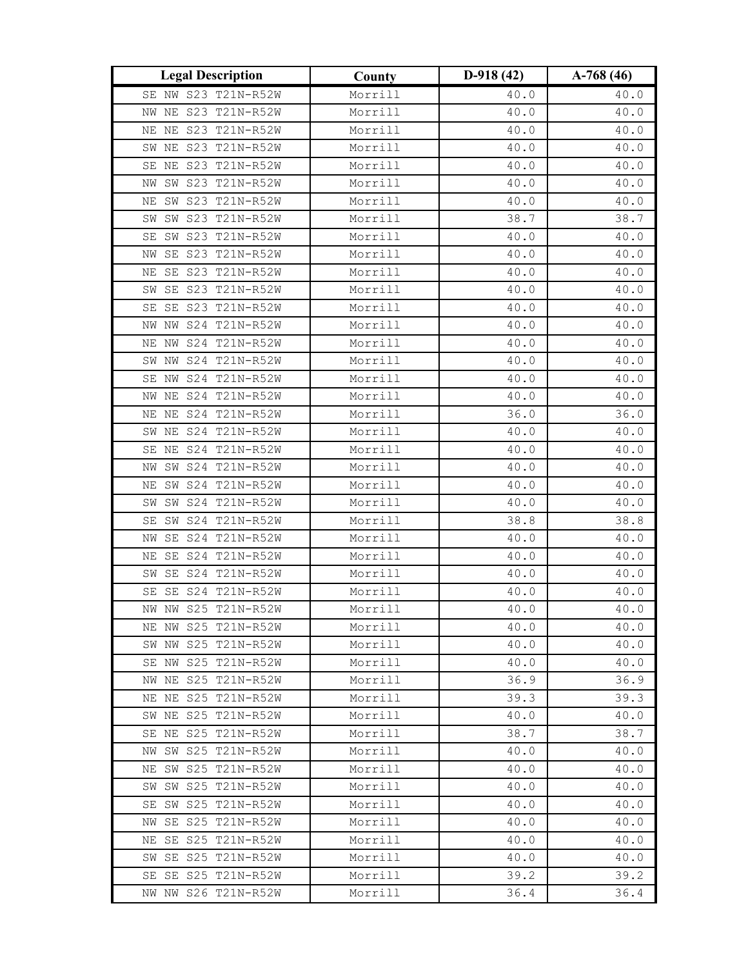| <b>Legal Description</b>                   | County             | $D-918(42)$  | $A-768(46)$  |
|--------------------------------------------|--------------------|--------------|--------------|
| SE NW S23 T21N-R52W                        | Morrill            | 40.0         | 40.0         |
| S23 T21N-R52W<br>NW NE                     | Morrill            | 40.0         | 40.0         |
| NE S23 T21N-R52W<br>ΝE                     | Morrill            | 40.0         | 40.0         |
| SW NE S23 T21N-R52W                        | Morrill            | 40.0         | 40.0         |
| SE NE S23 T21N-R52W                        | Morrill            | 40.0         | 40.0         |
| SW S23 T21N-R52W<br>ΝW                     | Morrill            | 40.0         | 40.0         |
| SW S23 T21N-R52W<br>ΝE                     | Morrill            | 40.0         | 40.0         |
| S23 T21N-R52W<br>SW<br>SW                  | Morrill            | 38.7         | 38.7         |
| SW S23 T21N-R52W<br>SE                     | Morrill            | 40.0         | 40.0         |
| SE S23 T21N-R52W<br>ΝW                     | Morrill            | 40.0         | 40.0         |
| NE SE S23 T21N-R52W                        | Morrill            | 40.0         | 40.0         |
| SW SE S23 T21N-R52W                        | Morrill            | 40.0         | 40.0         |
| SE S23 T21N-R52W<br>SE                     | Morrill            | 40.0         | 40.0         |
| NW S24 T21N-R52W<br>ΝW                     | Morrill            | 40.0         | 40.0         |
| NE NW S24 T21N-R52W                        | Morrill            | 40.0         | 40.0         |
| SW NW S24 T21N-R52W                        | Morrill            | 40.0         | 40.0         |
| SE NW S24 T21N-R52W                        | Morrill            | 40.0         | 40.0         |
| NW NE S24 T21N-R52W                        | Morrill            | 40.0         | 40.0         |
| NE S24 T21N-R52W<br>ΝE                     | Morrill            | 36.0         | 36.0         |
| NE S24 T21N-R52W<br>SW                     | Morrill            | 40.0         | 40.0         |
| SE NE S24 T21N-R52W                        | Morrill            | 40.0         | 40.0         |
| SW S24 T21N-R52W<br>ΝW                     | Morrill            | 40.0         | 40.0         |
| NE SW S24 T21N-R52W                        | Morrill            | 40.0         | 40.0         |
| SW S24 T21N-R52W<br>SW                     | Morrill            | 40.0         | 40.0         |
| SW S24 T21N-R52W<br>SE                     | Morrill            | 38.8         | 38.8         |
| SE S24 T21N-R52W<br>ΝW                     | Morrill            | 40.0         | 40.0         |
| SE S24 T21N-R52W<br>ΝE                     | Morrill            | 40.0         | 40.0         |
| SE S24 T21N-R52W<br>$\texttt{SW}$          | Morrill            | 40.0         | 40.0         |
| SE S24 T21N-R52W<br>SE                     | Morrill            | 40.0         | 40.0         |
| NW NW S25 T21N-R52W                        | Morrill            | 40.0         | 40.0         |
| NE NW S25 T21N-R52W                        | Morrill            | 40.0         | 40.0         |
| SW NW S25 T21N-R52W                        | Morrill            | 40.0         | 40.0         |
| SE NW S25 T21N-R52W                        | Morrill            | 40.0         | 40.0         |
| NW NE S25 T21N-R52W                        | Morrill<br>Morrill | 36.9         | 36.9         |
| NE NE S25 T21N-R52W<br>SW NE S25 T21N-R52W | Morrill            | 39.3<br>40.0 | 39.3         |
| SE NE S25 T21N-R52W                        | Morrill            | 38.7         | 40.0<br>38.7 |
| NW SW S25 T21N-R52W                        | Morrill            | 40.0         | 40.0         |
| NE SW S25 T21N-R52W                        | Morrill            | 40.0         | 40.0         |
| SW SW S25 T21N-R52W                        | Morrill            | 40.0         | 40.0         |
| SW S25 T21N-R52W<br>SE                     | Morrill            | 40.0         | 40.0         |
| NW SE S25 T21N-R52W                        | Morrill            | 40.0         | 40.0         |
| NE SE S25 T21N-R52W                        | Morrill            | 40.0         | 40.0         |
| SW SE S25 T21N-R52W                        | Morrill            | 40.0         | 40.0         |
| SE SE S25 T21N-R52W                        | Morrill            | 39.2         | 39.2         |
| NW NW S26 T21N-R52W                        | Morrill            | 36.4         | 36.4         |
|                                            |                    |              |              |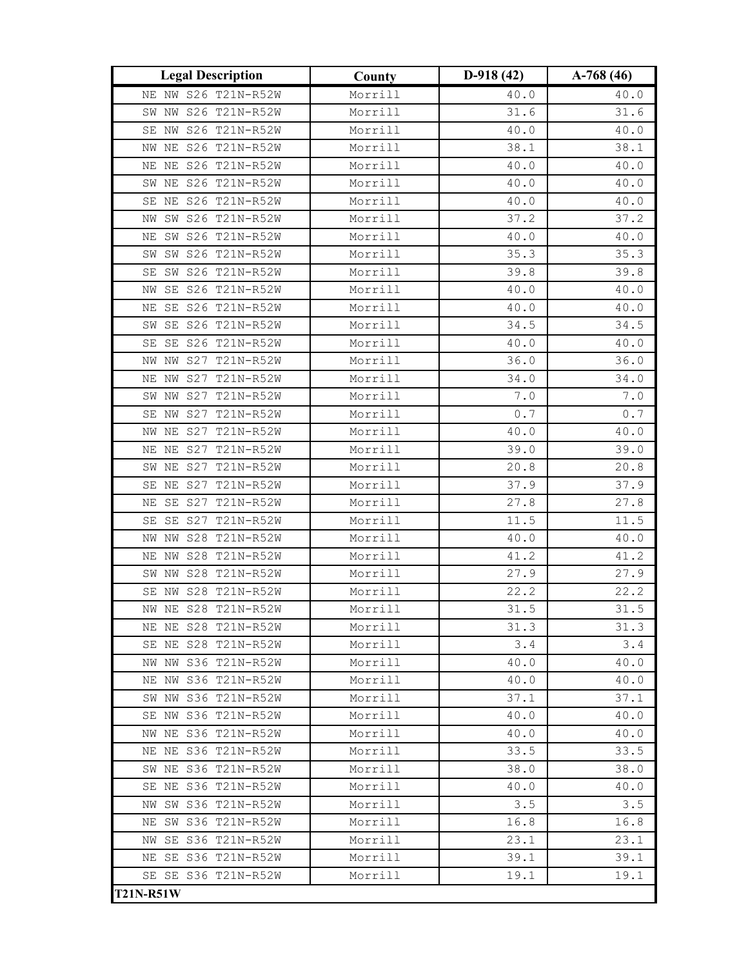| <b>Legal Description</b>     | County  | $D-918(42)$   | $A-768(46)$                                           |
|------------------------------|---------|---------------|-------------------------------------------------------|
| NE NW S26 T21N-R52W          | Morrill | 40.0          | 40.0                                                  |
| SW NW S26 T21N-R52W          | Morrill | 31.6          | 31.6                                                  |
| SE NW S26 T21N-R52W          | Morrill | 40.0          | 40.0                                                  |
| S26 T21N-R52W<br>ΝE<br>ΝW    | Morrill | 38.1          | 38.1                                                  |
| NE S26 T21N-R52W<br>ΝE       | Morrill | 40.0          | 40.0                                                  |
| SW NE S26 T21N-R52W          | Morrill | 40.0          | 40.0                                                  |
| SE NE S26 T21N-R52W          | Morrill | 40.0          | 40.0                                                  |
| SW S26 T21N-R52W<br>ΝW       | Morrill | 37.2          | 37.2                                                  |
| SW S26 T21N-R52W<br>ΝE       | Morrill | 40.0          | 40.0                                                  |
| SW S26 T21N-R52W<br>SW       | Morrill | 35.3          | 35.3                                                  |
| SW S26 T21N-R52W<br>SE       | Morrill | 39.8          | 39.8                                                  |
| SE S26 T21N-R52W<br>NW       | Morrill | 40.0          | $40.0\,$                                              |
| SE S26 T21N-R52W<br>ΝE       | Morrill | 40.0          | 40.0                                                  |
| SE S26 T21N-R52W<br>SW       | Morrill | 34.5          | 34.5                                                  |
| S26 T21N-R52W<br>SE<br>SE    | Morrill | 40.0          | 40.0                                                  |
| S27 T21N-R52W<br>NW<br>NW    | Morrill | 36.0          | 36.0                                                  |
| S27 T21N-R52W<br>ΝE<br>NW    | Morrill | 34.0          | 34.0                                                  |
| SW NW S27 T21N-R52W          | Morrill | $7 \, . \, 0$ | $7 \, . \, 0$                                         |
| SE NW S27 T21N-R52W          | Morrill | 0.7           | $\ensuremath{\mathsf{0}}$ . $\ensuremath{\mathsf{7}}$ |
| S27 T21N-R52W<br>ΝE<br>NW    | Morrill | 40.0          | 40.0                                                  |
| S27 T21N-R52W<br>ΝE<br>ΝE    | Morrill | 39.0          | 39.0                                                  |
| S27 T21N-R52W<br>ΝE<br>SW    | Morrill | 20.8          | 20.8                                                  |
| S27 T21N-R52W<br>ΝE<br>SE    | Morrill | 37.9          | 37.9                                                  |
| S27<br>T21N-R52W<br>SE<br>ΝE | Morrill | 27.8          | 27.8                                                  |
| SE SE S27 T21N-R52W          | Morrill | 11.5          | 11.5                                                  |
| NW S28 T21N-R52W<br>NW       | Morrill | 40.0          | 40.0                                                  |
| S28 T21N-R52W<br>ΝW<br>ΝE    | Morrill | 41.2          | 41.2                                                  |
| S28 T21N-R52W<br>SW<br>ΝW    | Morrill | 27.9          | 27.9                                                  |
| S28 T21N-R52W<br>SE<br>ΝW    | Morrill | 22.2          | 22.2                                                  |
| NW NE S28 T21N-R52W          | Morrill | 31.5          | 31.5                                                  |
| NE NE S28 T21N-R52W          | Morrill | 31.3          | 31.3                                                  |
| SE NE S28 T21N-R52W          | Morrill | 3.4           | 3.4                                                   |
| NW NW S36 T21N-R52W          | Morrill | 40.0          | 40.0                                                  |
| S36 T21N-R52W<br>NE NW       | Morrill | 40.0          | 40.0                                                  |
| SW NW S36 T21N-R52W          | Morrill | 37.1          | 37.1                                                  |
| SE NW S36 T21N-R52W          | Morrill | 40.0          | 40.0                                                  |
| NW NE S36 T21N-R52W          | Morrill | 40.0          | 40.0                                                  |
| NE NE S36 T21N-R52W          | Morrill | 33.5          | 33.5                                                  |
| SW NE S36 T21N-R52W          | Morrill | 38.0          | 38.0                                                  |
| SE NE S36 T21N-R52W          | Morrill | 40.0          | 40.0                                                  |
| NW SW S36 T21N-R52W          | Morrill | 3.5           | 3.5                                                   |
| NE SW S36 T21N-R52W          | Morrill | 16.8          | 16.8                                                  |
| NW SE S36 T21N-R52W          | Morrill | 23.1          | 23.1                                                  |
| NE SE S36 T21N-R52W          | Morrill | 39.1          | 39.1                                                  |
| SE SE S36 T21N-R52W          | Morrill | 19.1          | 19.1                                                  |
| <b>T21N-R51W</b>             |         |               |                                                       |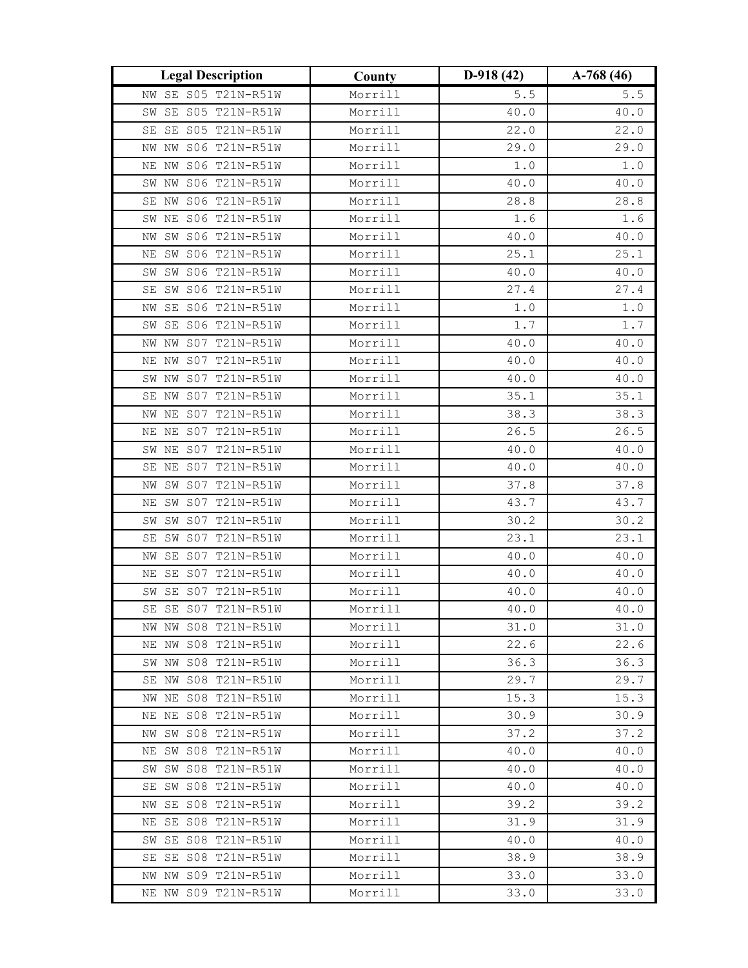| <b>Legal Description</b>                   | County             | $D-918(42)$  | $A-768(46)$  |
|--------------------------------------------|--------------------|--------------|--------------|
| SE S05 T21N-R51W<br>ΝW                     | Morrill            | $5.5$        | $5.5$        |
| SE S05 T21N-R51W<br>SW                     | Morrill            | 40.0         | 40.0         |
| SE S05 T21N-R51W<br>SE                     | Morrill            | 22.0         | 22.0         |
| NW S06 T21N-R51W<br>ΝW                     | Morrill            | 29.0         | 29.0         |
| NE NW SO6 T21N-R51W                        | Morrill            | $1.0$        | $1.0$        |
| SW NW S06 T21N-R51W                        | Morrill            | 40.0         | 40.0         |
| NW S06 T21N-R51W<br>SE                     | Morrill            | 28.8         | 28.8         |
| NE S06 T21N-R51W<br>SW                     | Morrill            | 1.6          | 1.6          |
| SW S06 T21N-R51W<br>ΝW                     | Morrill            | 40.0         | 40.0         |
| SW S06 T21N-R51W<br>ΝE                     | Morrill            | 25.1         | 25.1         |
| SW SW S06 T21N-R51W                        | Morrill            | 40.0         | 40.0         |
| SW S06 T21N-R51W<br>SE                     | Morrill            | 27.4         | 27.4         |
| SE S06 T21N-R51W<br>ΝW                     | Morrill            | $1.0$        | $1\,.$ $0\,$ |
| SE S06 T21N-R51W<br>SW                     | Morrill            | 1.7          | 1.7          |
| NW S07 T21N-R51W<br>ΝW                     | Morrill            | 40.0         | 40.0         |
| NW S07 T21N-R51W<br>ΝE                     | Morrill            | 40.0         | 40.0         |
| SW NW S07 T21N-R51W                        | Morrill            | 40.0         | 40.0         |
| SE NW S07 T21N-R51W                        | Morrill            | 35.1         | 35.1         |
| NW NE S07 T21N-R51W                        | Morrill            | 38.3         | 38.3         |
| S07 T21N-R51W<br>ΝE<br>ΝE                  | Morrill            | 26.5         | 26.5         |
| NE S07 T21N-R51W<br>SW                     | Morrill            | 40.0         | 40.0         |
| SE NE S07 T21N-R51W                        | Morrill            | 40.0         | 40.0         |
| SW S07 T21N-R51W<br>ΝW                     | Morrill            | 37.8         | 37.8         |
| SW S07 T21N-R51W<br>ΝE                     | Morrill            | 43.7         | 43.7         |
| SW S07 T21N-R51W<br>SW                     | Morrill            | 30.2         | 30.2         |
| SW S07 T21N-R51W<br>SE                     | Morrill            | 23.1         | 23.1         |
| S07 T21N-R51W<br>SE<br>ΝW                  | Morrill            | 40.0         | 40.0         |
| SE S07 T21N-R51W<br>ΝE                     | Morrill            | 40.0         | 40.0         |
| SE S07 T21N-R51W<br>SW                     | Morrill            | 40.0         | 40.0         |
| SE SE S07 T21N-R51W                        | Morrill            | 40.0         | 40.0         |
| NW NW S08 T21N-R51W                        | Morrill            | 31.0         | 31.0         |
| NE NW S08 T21N-R51W                        | Morrill            | 22.6         | 22.6         |
| SW NW S08 T21N-R51W<br>SE NW S08 T21N-R51W | Morrill<br>Morrill | 36.3<br>29.7 | 36.3<br>29.7 |
| NW NE S08 T21N-R51W                        | Morrill            | 15.3         | 15.3         |
| NE NE S08 T21N-R51W                        | Morrill            | 30.9         | 30.9         |
| NW SW S08 T21N-R51W                        | Morrill            | 37.2         | 37.2         |
| NE SW S08 T21N-R51W                        | Morrill            | 40.0         | 40.0         |
| SW SW S08 T21N-R51W                        | Morrill            | 40.0         | 40.0         |
| SE SW S08 T21N-R51W                        | Morrill            | 40.0         | 40.0         |
| NW SE S08 T21N-R51W                        | Morrill            | 39.2         | 39.2         |
| NE SE S08 T21N-R51W                        | Morrill            | 31.9         | 31.9         |
| SW SE S08 T21N-R51W                        | Morrill            | 40.0         | 40.0         |
| SE SE S08 T21N-R51W                        | Morrill            | 38.9         | 38.9         |
| NW NW S09 T21N-R51W                        | Morrill            | 33.0         | 33.0         |
| NE NW S09 T21N-R51W                        | Morrill            | 33.0         | 33.0         |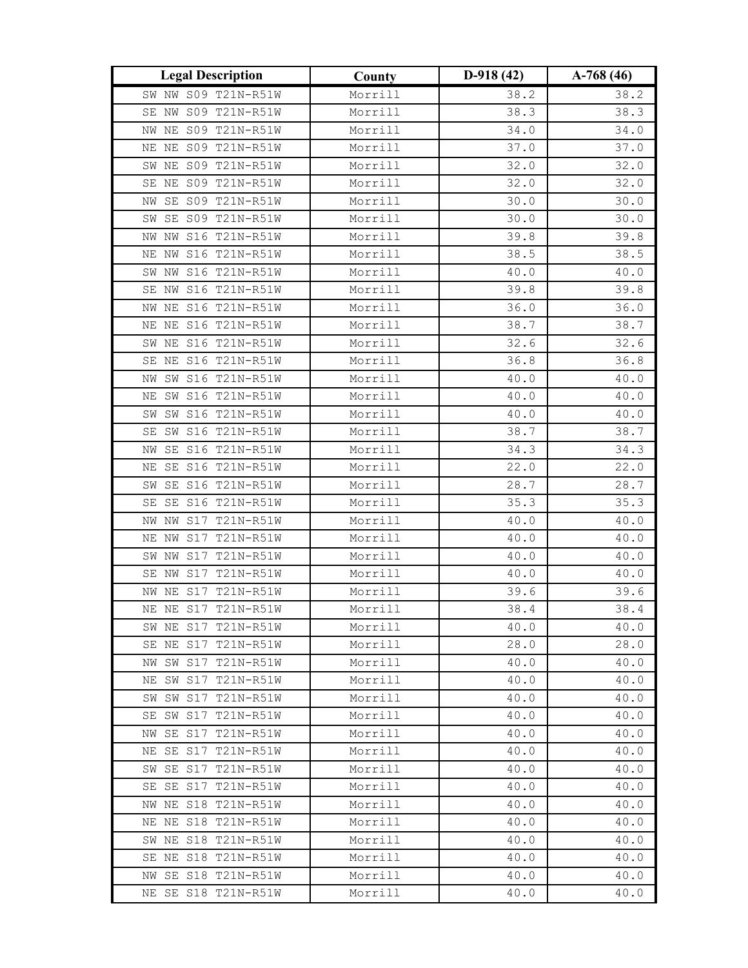| <b>Legal Description</b>                   | County             | $D-918(42)$  | $A-768(46)$  |
|--------------------------------------------|--------------------|--------------|--------------|
| SW NW S09 T21N-R51W                        | Morrill            | 38.2         | 38.2         |
| SE NW S09 T21N-R51W                        | Morrill            | 38.3         | 38.3         |
| NE S09 T21N-R51W<br>NW                     | Morrill            | 34.0         | 34.0         |
| NE NE S09 T21N-R51W                        | Morrill            | 37.0         | 37.0         |
| SW NE S09 T21N-R51W                        | Morrill            | 32.0         | 32.0         |
| S09 T21N-R51W<br>SE NE                     | Morrill            | 32.0         | 32.0         |
| SE S09 T21N-R51W<br>ΝW                     | Morrill            | 30.0         | 30.0         |
| SE S09 T21N-R51W<br>SW                     | Morrill            | 30.0         | 30.0         |
| NW NW S16 T21N-R51W                        | Morrill            | 39.8         | 39.8         |
| NE NW S16 T21N-R51W                        | Morrill            | 38.5         | 38.5         |
| SW NW S16 T21N-R51W                        | Morrill            | 40.0         | 40.0         |
| SE NW S16 T21N-R51W                        | Morrill            | 39.8         | 39.8         |
| S16 T21N-R51W<br>ΝE<br>NW                  | Morrill            | 36.0         | 36.0         |
| NE S16 T21N-R51W<br>ΝE                     | Morrill            | 38.7         | 38.7         |
| SW NE S16 T21N-R51W                        | Morrill            | 32.6         | 32.6         |
| SE NE S16 T21N-R51W                        | Morrill            | 36.8         | 36.8         |
| SW S16 T21N-R51W<br>NW                     | Morrill            | 40.0         | 40.0         |
| SW S16 T21N-R51W<br>ΝE                     | Morrill            | 40.0         | 40.0         |
| SW S16 T21N-R51W<br>SW                     | Morrill            | 40.0         | 40.0         |
| SW S16 T21N-R51W<br>SE                     | Morrill            | 38.7         | 38.7         |
| SE S16 T21N-R51W<br>ΝW                     | Morrill            | 34.3         | 34.3         |
| SE S16 T21N-R51W<br>NE                     | Morrill            | 22.0         | 22.0         |
| SW SE S16 T21N-R51W                        | Morrill            | 28.7         | 28.7         |
| SE S16 T21N-R51W<br>SE                     | Morrill            | 35.3         | 35.3         |
| S17 T21N-R51W<br>ΝW<br>ΝW                  | Morrill            | 40.0         | 40.0         |
| S17 T21N-R51W<br>ΝE<br>NW                  | Morrill            | 40.0         | 40.0         |
| S17 T21N-R51W<br>SW<br>ΝW                  | Morrill            | 40.0         | 40.0         |
| SE NW S17 T21N-R51W                        | Morrill            | 40.0         | 40.0         |
| NE S17 T21N-R51W<br>NW                     | Morrill            | 39.6         | 39.6         |
| NE NE S17 T21N-R51W                        | Morrill            | 38.4         | 38.4         |
| SW NE S17 T21N-R51W                        | Morrill            | 40.0         | 40.0         |
| SE NE S17 T21N-R51W                        | Morrill            | 28.0         | 28.0         |
| NW SW S17 T21N-R51W                        | Morrill            | 40.0         | 40.0         |
| NE SW S17 T21N-R51W                        | Morrill            | 40.0         | 40.0         |
| SW SW S17 T21N-R51W                        | Morrill            | 40.0         | 40.0         |
| SE SW S17 T21N-R51W                        | Morrill            | 40.0         | 40.0         |
| NW SE S17 T21N-R51W                        | Morrill            | 40.0         | 40.0         |
| NE SE S17 T21N-R51W                        | Morrill            | 40.0         | 40.0         |
| SW SE S17 T21N-R51W<br>SE SE S17 T21N-R51W | Morrill            | 40.0         | 40.0         |
| NW NE S18 T21N-R51W                        | Morrill<br>Morrill | 40.0<br>40.0 | 40.0<br>40.0 |
| NE NE S18 T21N-R51W                        | Morrill            | 40.0         | 40.0         |
| SW NE S18 T21N-R51W                        | Morrill            | 40.0         | 40.0         |
| SE NE S18 T21N-R51W                        | Morrill            | 40.0         | 40.0         |
| NW SE S18 T21N-R51W                        | Morrill            | 40.0         | 40.0         |
| NE SE S18 T21N-R51W                        | Morrill            | 40.0         | 40.0         |
|                                            |                    |              |              |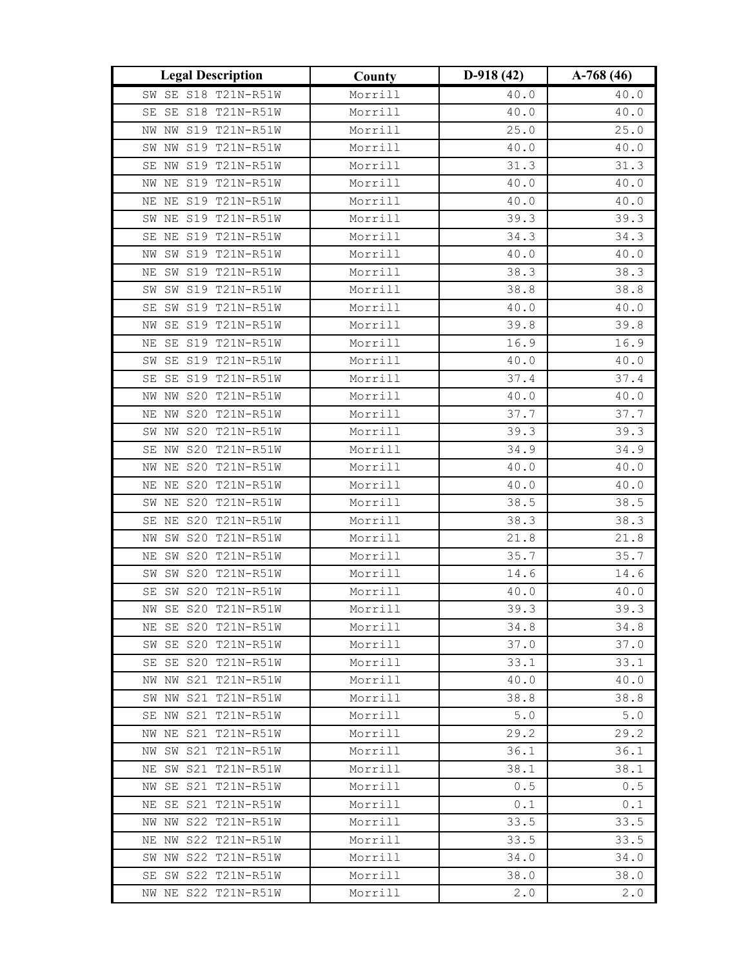| <b>Legal Description</b>                   | County             | $D-918(42)$  | $A-768(46)$  |
|--------------------------------------------|--------------------|--------------|--------------|
| SW SE S18 T21N-R51W                        | Morrill            | 40.0         | 40.0         |
| SE S18 T21N-R51W<br>SE                     | Morrill            | 40.0         | 40.0         |
| NW S19 T21N-R51W<br>NW                     | Morrill            | 25.0         | 25.0         |
| SW NW S19 T21N-R51W                        | Morrill            | 40.0         | 40.0         |
| SE NW S19 T21N-R51W                        | Morrill            | 31.3         | 31.3         |
| S19 T21N-R51W<br>ΝE<br>ΝW                  | Morrill            | 40.0         | 40.0         |
| S19 T21N-R51W<br>NE NE                     | Morrill            | 40.0         | 40.0         |
| NE S19 T21N-R51W<br>SW                     | Morrill            | 39.3         | 39.3         |
| SE NE S19 T21N-R51W                        | Morrill            | 34.3         | 34.3         |
| SW S19 T21N-R51W<br>NW                     | Morrill            | 40.0         | 40.0         |
| NE SW S19 T21N-R51W                        | Morrill            | 38.3         | 38.3         |
| SW SW S19 T21N-R51W                        | Morrill            | 38.8         | 38.8         |
| SW S19 T21N-R51W<br>SE                     | Morrill            | 40.0         | 40.0         |
| SE S19 T21N-R51W<br>ΝW                     | Morrill            | 39.8         | 39.8         |
| SE S19 T21N-R51W<br>ΝE                     | Morrill            | 16.9         | 16.9         |
| SW SE S19 T21N-R51W                        | Morrill            | 40.0         | 40.0         |
| SE S19 T21N-R51W<br>SE                     | Morrill            | 37.4         | 37.4         |
| NW NW S20 T21N-R51W                        | Morrill            | 40.0         | 40.0         |
| S20 T21N-R51W<br>ΝE<br>ΝW                  | Morrill            | 37.7         | 37.7         |
| S20 T21N-R51W<br>SW<br>ΝW                  | Morrill            | 39.3         | 39.3         |
| S20 T21N-R51W<br>SE NW                     | Morrill            | 34.9         | 34.9         |
| S20 T21N-R51W<br>NE<br>NW                  | Morrill            | 40.0         | 40.0         |
| NE NE S20 T21N-R51W                        | Morrill            | 40.0         | 40.0         |
| SW NE S20 T21N-R51W                        | Morrill            | 38.5         | 38.5         |
| S20 T21N-R51W<br>ΝE<br>SE                  | Morrill            | 38.3         | 38.3         |
| SW S20 T21N-R51W<br>ΝW                     | Morrill            | 21.8         | 21.8         |
| S20 T21N-R51W<br>SW<br>ΝE                  | Morrill            | 35.7         | 35.7         |
| SW S20 T21N-R51W<br>SW                     | Morrill            | 14.6         | 14.6         |
| SW S20 T21N-R51W<br>SE                     | Morrill            | 40.0         | 40.0         |
| NW SE S20 T21N-R51W                        | Morrill            | 39.3         | 39.3         |
| NE SE S20 T21N-R51W                        | Morrill            | 34.8         | 34.8         |
| SW SE S20 T21N-R51W                        | Morrill            | 37.0         | 37.0         |
| SE SE S20 T21N-R51W<br>NW NW S21 T21N-R51W | Morrill<br>Morrill | 33.1<br>40.0 | 33.1<br>40.0 |
| SW NW S21 T21N-R51W                        | Morrill            | 38.8         | 38.8         |
| SE NW S21 T21N-R51W                        | Morrill            | $5.0$        | $5.0$        |
| NW NE S21 T21N-R51W                        | Morrill            | 29.2         | 29.2         |
| NW SW S21 T21N-R51W                        | Morrill            | 36.1         | 36.1         |
| NE SW S21 T21N-R51W                        | Morrill            | 38.1         | 38.1         |
| NW SE S21 T21N-R51W                        | Morrill            | 0.5          | 0.5          |
| NE SE S21 T21N-R51W                        | Morrill            | 0.1          | $0.1\,$      |
| NW NW S22 T21N-R51W                        | Morrill            | 33.5         | 33.5         |
| NE NW S22 T21N-R51W                        | Morrill            | 33.5         | 33.5         |
| SW NW S22 T21N-R51W                        | Morrill            | 34.0         | 34.0         |
| SE SW S22 T21N-R51W                        | Morrill            | 38.0         | 38.0         |
| NW NE S22 T21N-R51W                        | Morrill            | $2\,$ . $0$  | 2.0          |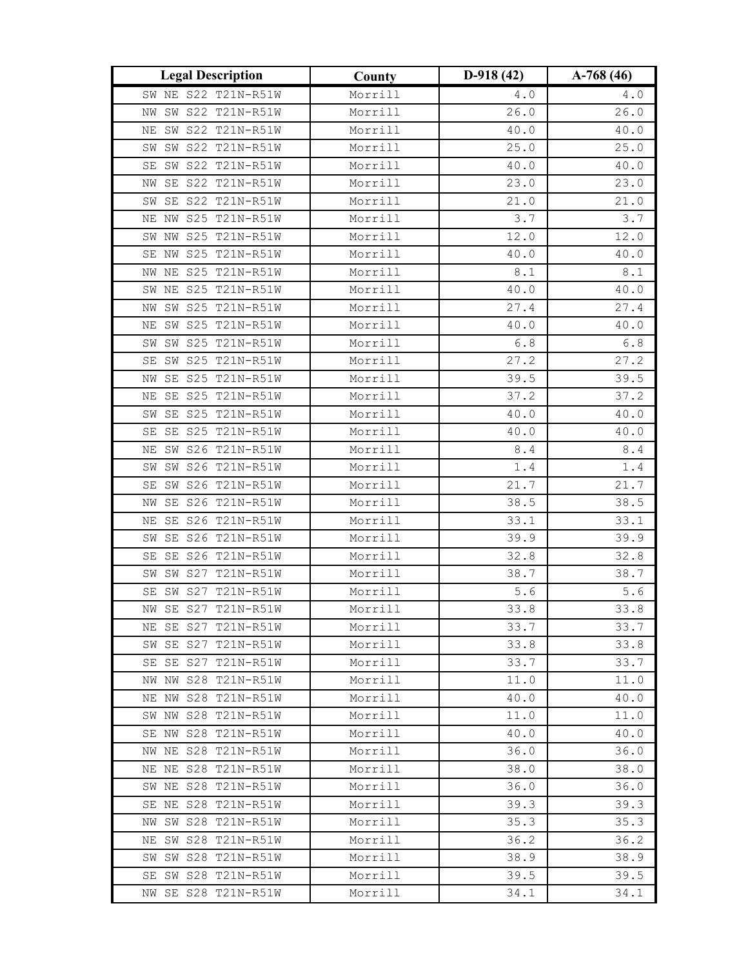| <b>Legal Description</b>                   | County             | $D-918(42)$  | $A-768(46)$  |
|--------------------------------------------|--------------------|--------------|--------------|
| SW NE S22 T21N-R51W                        | Morrill            | $4.0$        | $4\ .\ 0$    |
| SW S22 T21N-R51W<br>ΝW                     | Morrill            | 26.0         | 26.0         |
| SW S22 T21N-R51W<br>ΝE                     | Morrill            | 40.0         | 40.0         |
| SW SW S22 T21N-R51W                        | Morrill            | 25.0         | 25.0         |
| SW S22 T21N-R51W<br>SE                     | Morrill            | 40.0         | 40.0         |
| SE S22 T21N-R51W<br>ΝW                     | Morrill            | 23.0         | 23.0         |
| SE S22 T21N-R51W<br>SW                     | Morrill            | 21.0         | 21.0         |
| S25 T21N-R51W<br>ΝW<br>ΝE                  | Morrill            | 3.7          | 3.7          |
| SW NW S25 T21N-R51W                        | Morrill            | 12.0         | 12.0         |
| SE NW S25 T21N-R51W                        | Morrill            | 40.0         | 40.0         |
| NW NE S25 T21N-R51W                        | Morrill            | $\,8$ . $1$  | $\,8$ . $1$  |
| SW NE S25 T21N-R51W                        | Morrill            | 40.0         | 40.0         |
| SW S25 T21N-R51W<br>ΝW                     | Morrill            | 27.4         | 27.4         |
| SW S25 T21N-R51W<br>ΝE                     | Morrill            | 40.0         | 40.0         |
| SW S25 T21N-R51W<br>SW                     | Morrill            | $6.8\,$      | $6.8$        |
| SW S25 T21N-R51W<br>SE                     | Morrill            | 27.2         | 27.2         |
| SE S25 T21N-R51W<br>NW                     | Morrill            | 39.5         | 39.5         |
| S25 T21N-R51W<br>SE<br>ΝE                  | Morrill            | 37.2         | 37.2         |
| SE S25 T21N-R51W<br>SW                     | Morrill            | 40.0         | 40.0         |
| SE S25 T21N-R51W<br>SE                     | Morrill            | 40.0         | 40.0         |
| SW S26 T21N-R51W<br>ΝE                     | Morrill            | 8.4          | 8.4          |
| SW S26 T21N-R51W<br>SW                     | Morrill            | $1.4\,$      | 1.4          |
| SE SW S26 T21N-R51W                        | Morrill            | 21.7         | 21.7         |
| SE S26 T21N-R51W<br>ΝW                     | Morrill            | 38.5         | 38.5         |
| S26 T21N-R51W<br>SE<br>ΝE                  | Morrill            | 33.1         | 33.1         |
| SE S26 T21N-R51W<br>SW                     | Morrill            | 39.9         | 39.9         |
| S26 T21N-R51W<br>SE<br>SE                  | Morrill            | 32.8         | 32.8         |
| SW S27 T21N-R51W<br>SW                     | Morrill            | 38.7         | 38.7         |
| SW S27 T21N-R51W<br>SE                     | Morrill            | $5.6$        | $5.6$        |
| NW SE S27 T21N-R51W                        | Morrill            | 33.8         | 33.8         |
| NE SE S27 T21N-R51W                        | Morrill            | 33.7         | 33.7         |
| SW SE S27 T21N-R51W                        | Morrill            | 33.8         | 33.8         |
| SE SE S27 T21N-R51W                        | Morrill            | 33.7         | 33.7         |
| NW NW S28 T21N-R51W                        | Morrill            | 11.0         | 11.0         |
| NE NW S28 T21N-R51W                        | Morrill<br>Morrill | 40.0         | 40.0         |
| SW NW S28 T21N-R51W<br>SE NW S28 T21N-R51W | Morrill            | 11.0<br>40.0 | 11.0<br>40.0 |
| NW NE S28 T21N-R51W                        | Morrill            | 36.0         | 36.0         |
| NE NE S28 T21N-R51W                        | Morrill            | 38.0         | 38.0         |
| SW NE S28 T21N-R51W                        | Morrill            | 36.0         | 36.0         |
| SE NE S28 T21N-R51W                        | Morrill            | 39.3         | 39.3         |
| NW SW S28 T21N-R51W                        | Morrill            | 35.3         | 35.3         |
| NE SW S28 T21N-R51W                        | Morrill            | 36.2         | 36.2         |
| SW SW S28 T21N-R51W                        | Morrill            | 38.9         | 38.9         |
| SE SW S28 T21N-R51W                        | Morrill            | 39.5         | 39.5         |
| NW SE S28 T21N-R51W                        | Morrill            | 34.1         | 34.1         |
|                                            |                    |              |              |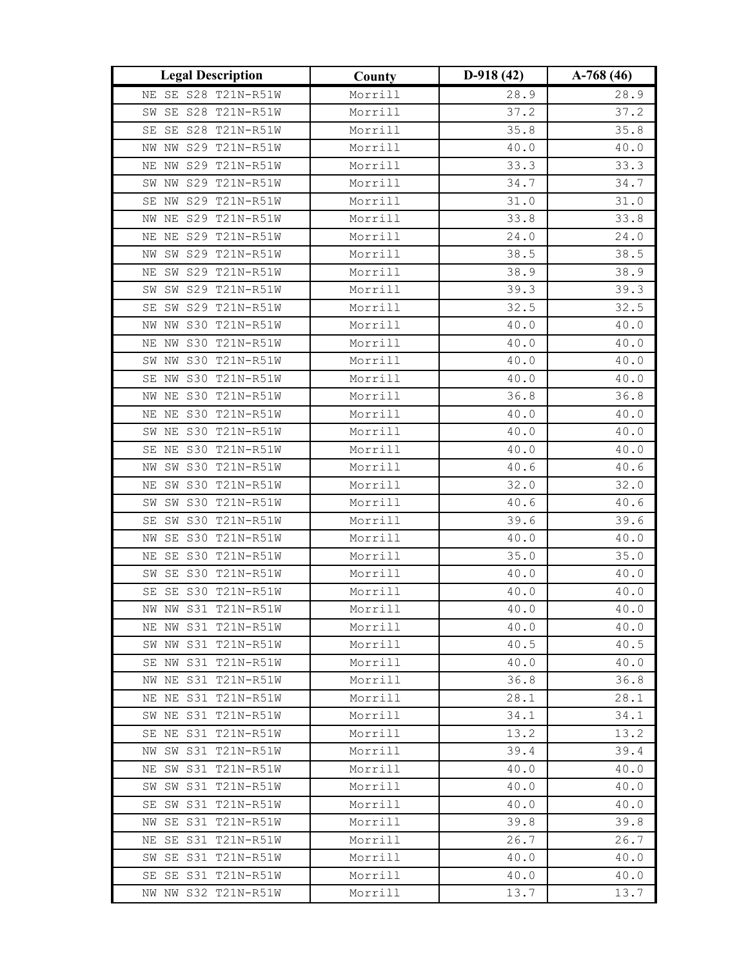| <b>Legal Description</b>                   | County  | $D-918(42)$ | $A-768(46)$ |
|--------------------------------------------|---------|-------------|-------------|
| NE SE S28 T21N-R51W                        | Morrill | 28.9        | 28.9        |
| SE S28 T21N-R51W<br>SW                     | Morrill | 37.2        | 37.2        |
| SE S28 T21N-R51W<br>SE                     | Morrill | 35.8        | 35.8        |
| NW S29 T21N-R51W<br>ΝW                     | Morrill | 40.0        | 40.0        |
| NE NW S29 T21N-R51W                        | Morrill | 33.3        | 33.3        |
| SW NW S29 T21N-R51W                        | Morrill | 34.7        | 34.7        |
| NW S29 T21N-R51W<br>SE                     | Morrill | 31.0        | 31.0        |
| NE S29 T21N-R51W<br>NW                     | Morrill | 33.8        | 33.8        |
| NE S29 T21N-R51W<br>ΝE                     | Morrill | 24.0        | 24.0        |
| SW S29 T21N-R51W<br>ΝW                     | Morrill | 38.5        | 38.5        |
| NE SW S29 T21N-R51W                        | Morrill | 38.9        | 38.9        |
| SW S29 T21N-R51W<br>SW                     | Morrill | 39.3        | 39.3        |
| SW S29 T21N-R51W<br>SE                     | Morrill | 32.5        | 32.5        |
| NW S30 T21N-R51W<br>ΝW                     | Morrill | 40.0        | 40.0        |
| S30 T21N-R51W<br>ΝE<br>ΝW                  | Morrill | 40.0        | 40.0        |
| SW NW S30 T21N-R51W                        | Morrill | 40.0        | 40.0        |
| SE NW S30 T21N-R51W                        | Morrill | 40.0        | 40.0        |
| NW NE S30 T21N-R51W                        | Morrill | 36.8        | 36.8        |
| NE NE S30 T21N-R51W                        | Morrill | 40.0        | 40.0        |
| S30 T21N-R51W<br>ΝE<br>SW                  | Morrill | 40.0        | 40.0        |
| S30 T21N-R51W<br>SE NE                     | Morrill | 40.0        | 40.0        |
| SW S30 T21N-R51W<br>ΝW                     | Morrill | 40.6        | 40.6        |
| SW S30 T21N-R51W<br>ΝE                     | Morrill | 32.0        | 32.0        |
| SW S30 T21N-R51W<br>SW                     | Morrill | 40.6        | 40.6        |
| SW S30 T21N-R51W<br>SE                     | Morrill | 39.6        | 39.6        |
| SE<br>S30 T21N-R51W<br>ΝW                  | Morrill | 40.0        | 40.0        |
| SE S30 T21N-R51W<br>ΝE                     | Morrill | 35.0        | 35.0        |
| SE S30 T21N-R51W<br>SW                     | Morrill | 40.0        | 40.0        |
| $\operatorname{SE}$<br>S30 T21N-R51W<br>SE | Morrill | 40.0        | 40.0        |
| NW NW S31 T21N-R51W                        | Morrill | 40.0        | 40.0        |
| NE NW S31 T21N-R51W                        | Morrill | 40.0        | 40.0        |
| SW NW S31 T21N-R51W                        | Morrill | 40.5        | 40.5        |
| SE NW S31 T21N-R51W                        | Morrill | 40.0        | 40.0        |
| NW NE S31 T21N-R51W                        | Morrill | 36.8        | 36.8        |
| NE NE S31 T21N-R51W                        | Morrill | 28.1        | 28.1        |
| SW NE S31 T21N-R51W                        | Morrill | 34.1        | 34.1        |
| SE NE S31 T21N-R51W                        | Morrill | 13.2        | 13.2        |
| NW SW S31 T21N-R51W                        | Morrill | 39.4        | 39.4        |
| NE SW S31 T21N-R51W                        | Morrill | 40.0        | 40.0        |
| SW SW S31 T21N-R51W                        | Morrill | 40.0        | 40.0        |
| SE SW S31 T21N-R51W                        | Morrill | 40.0        | 40.0        |
| NW SE S31 T21N-R51W                        | Morrill | 39.8        | 39.8        |
| NE SE S31 T21N-R51W                        | Morrill | 26.7        | 26.7        |
| SW SE S31 T21N-R51W                        | Morrill | 40.0        | 40.0        |
| SE SE S31 T21N-R51W                        | Morrill | 40.0        | 40.0        |
| NW NW S32 T21N-R51W                        | Morrill | 13.7        | 13.7        |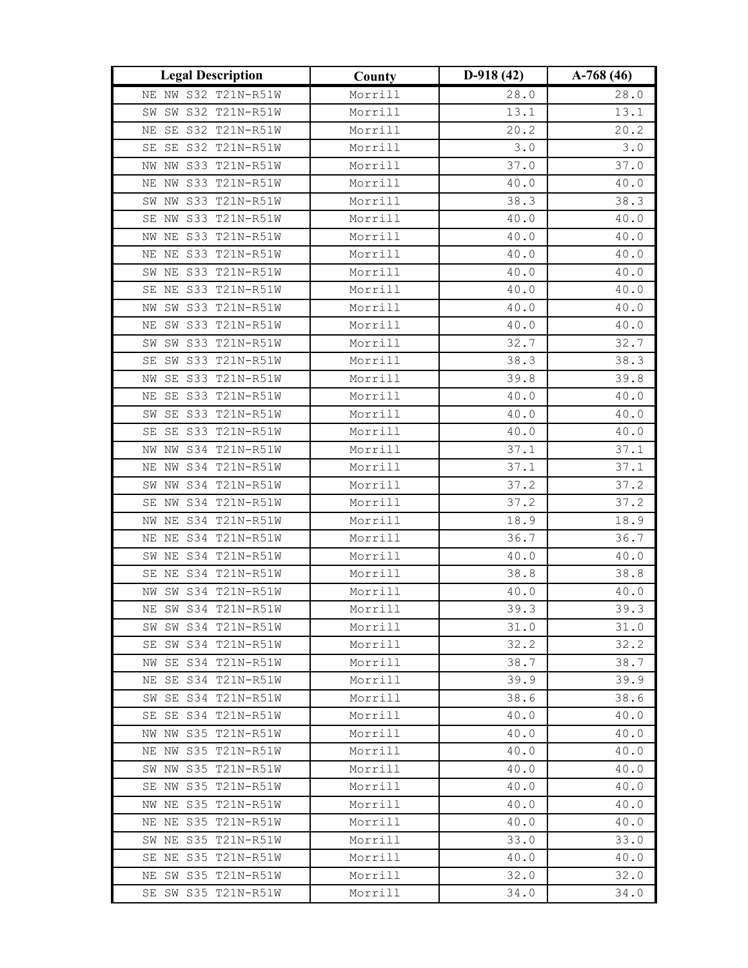| <b>Legal Description</b>                   | County             | $D-918(42)$  | $A-768(46)$  |  |
|--------------------------------------------|--------------------|--------------|--------------|--|
| NE NW S32 T21N-R51W                        | Morrill            | 28.0         | 28.0         |  |
| SW S32 T21N-R51W<br>SW                     | Morrill            | 13.1         | 13.1         |  |
| SE S32 T21N-R51W<br>ΝE                     | Morrill            | 20.2         | 20.2         |  |
| SE SE S32 T21N-R51W                        | Morrill            | $3.0$        | 3.0          |  |
| NW NW S33 T21N-R51W                        | Morrill            | 37.0         | 37.0         |  |
| S33 T21N-R51W<br>ΝW<br>ΝE                  | Morrill            | 40.0         | 40.0         |  |
| SW NW S33 T21N-R51W                        | Morrill            | 38.3         | 38.3         |  |
| SE NW S33 T21N-R51W                        | Morrill            | 40.0         | 40.0         |  |
| NW NE S33 T21N-R51W                        | Morrill            | 40.0         | 40.0         |  |
| NE NE S33 T21N-R51W                        | Morrill            | 40.0         | 40.0         |  |
| SW NE S33 T21N-R51W                        | Morrill            | 40.0         | 40.0         |  |
| SE NE S33 T21N-R51W                        | Morrill            | 40.0         | 40.0         |  |
| SW S33 T21N-R51W<br>ΝW                     | Morrill            | 40.0         | 40.0         |  |
| SW S33 T21N-R51W<br>ΝE                     | Morrill            | 40.0         | 40.0         |  |
| SW S33 T21N-R51W<br>SW                     | Morrill            | 32.7         | 32.7         |  |
| SW S33 T21N-R51W<br>SE                     | Morrill            | 38.3         | 38.3         |  |
| SE S33 T21N-R51W<br>NW                     | Morrill            | 39.8         | 39.8         |  |
| SE S33 T21N-R51W<br>ΝE                     | Morrill            | 40.0         | 40.0         |  |
| SE S33 T21N-R51W<br>SW                     | Morrill            | 40.0         | 40.0         |  |
| SE S33 T21N-R51W<br>SE                     | Morrill            | $40.0\,$     | 40.0         |  |
| NW S34 T21N-R51W<br>NW                     | Morrill            | 37.1         | 37.1         |  |
| NW S34 T21N-R51W<br>ΝE                     | Morrill            | 37.1         | 37.1         |  |
| SW NW S34 T21N-R51W                        | Morrill            | 37.2         | 37.2         |  |
| SE NW S34 T21N-R51W                        | Morrill            | 37.2         | 37.2         |  |
| S34 T21N-R51W<br>ΝE<br>ΝW                  | Morrill            | 18.9         | 18.9         |  |
| NE NE S34 T21N-R51W                        | Morrill            | 36.7         | 36.7         |  |
| S34 T21N-R51W<br>ΝE<br>SW                  | Morrill            | 40.0         | 40.0         |  |
| SE NE S34 T21N-R51W                        | Morrill            | 38.8         | 38.8         |  |
| SW S34 T21N-R51W<br>ΝW                     | Morrill            | 40.0         | 40.0         |  |
| NE SW S34 T21N-R51W                        | Morrill            | 39.3         | 39.3         |  |
| SW SW S34 T21N-R51W                        | Morrill            | 31.0         | 31.0         |  |
| SE SW S34 T21N-R51W                        | Morrill            | 32.2         | 32.2         |  |
| NW SE S34 T21N-R51W                        | Morrill            | 38.7         | 38.7         |  |
| NE SE S34 T21N-R51W                        | Morrill            | 39.9         | 39.9         |  |
| SW SE S34 T21N-R51W<br>SE SE S34 T21N-R51W | Morrill            | 38.6<br>40.0 | 38.6         |  |
| NW NW S35 T21N-R51W                        | Morrill<br>Morrill | 40.0         | 40.0<br>40.0 |  |
| NE NW S35 T21N-R51W                        | Morrill            | 40.0         | 40.0         |  |
| SW NW S35 T21N-R51W                        | Morrill            | 40.0         | 40.0         |  |
| SE NW S35 T21N-R51W                        | Morrill            | 40.0         | 40.0         |  |
| NW NE S35 T21N-R51W                        | Morrill            | 40.0         | 40.0         |  |
| NE NE S35 T21N-R51W                        | Morrill            | 40.0         | 40.0         |  |
| SW NE S35 T21N-R51W                        | Morrill            | 33.0         | 33.0         |  |
| SE NE S35 T21N-R51W                        | Morrill            | 40.0         | 40.0         |  |
| NE SW S35 T21N-R51W                        | Morrill            | 32.0         | 32.0         |  |
| SE SW S35 T21N-R51W                        | Morrill            | 34.0         | 34.0         |  |
|                                            |                    |              |              |  |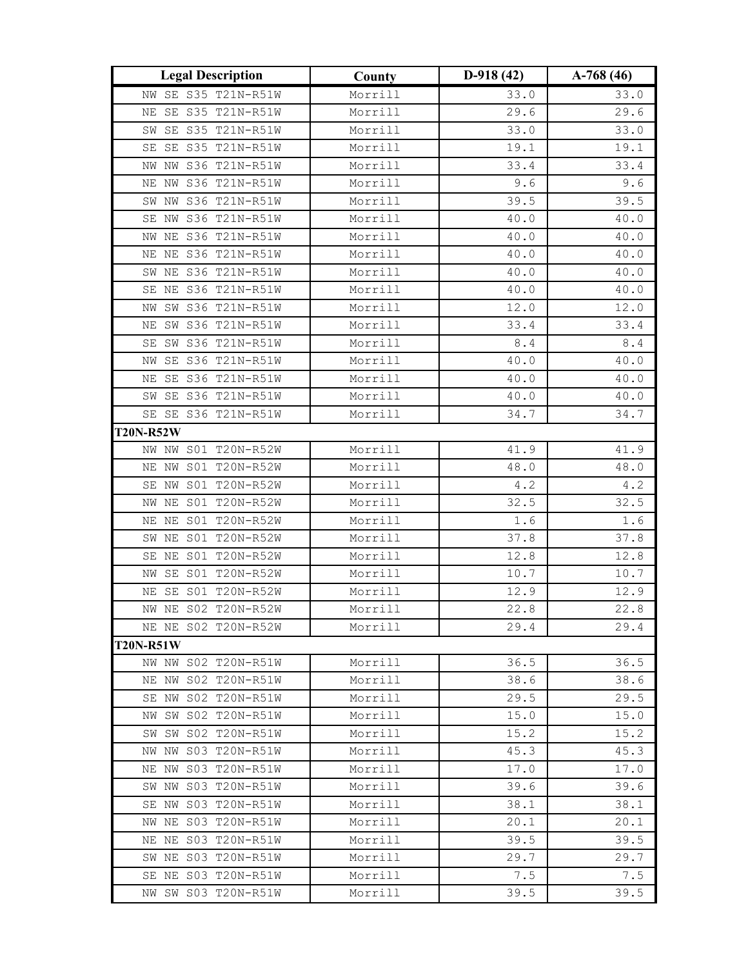| <b>Legal Description</b> |               | County  | $D-918(42)$ | $A-768(46)$                                   |  |
|--------------------------|---------------|---------|-------------|-----------------------------------------------|--|
| NW SE S35 T21N-R51W      |               | Morrill | 33.0        | 33.0                                          |  |
| SE S35 T21N-R51W<br>ΝE   |               | Morrill | 29.6        | 29.6                                          |  |
| SE S35 T21N-R51W<br>SW   |               | Morrill | 33.0        | 33.0                                          |  |
| SE S35 T21N-R51W<br>SE   |               | Morrill | 19.1        | 19.1                                          |  |
| NW S36 T21N-R51W<br>NW   |               | Morrill | 33.4        | 33.4                                          |  |
| ΝW<br>ΝE                 | S36 T21N-R51W | Morrill | 9.6         | 9.6                                           |  |
| SW NW S36 T21N-R51W      |               | Morrill | 39.5        | 39.5                                          |  |
| NW S36 T21N-R51W<br>SE   |               | Morrill | 40.0        | 40.0                                          |  |
| NW NE S36 T21N-R51W      |               | Morrill | 40.0        | 40.0                                          |  |
| NE NE S36 T21N-R51W      |               | Morrill | 40.0        | 40.0                                          |  |
| SW NE S36 T21N-R51W      |               | Morrill | 40.0        | 40.0                                          |  |
| NE S36 T21N-R51W<br>SE   |               | Morrill | 40.0        | 40.0                                          |  |
| SW S36 T21N-R51W<br>ΝW   |               | Morrill | 12.0        | 12.0                                          |  |
| SW S36 T21N-R51W<br>ΝE   |               | Morrill | 33.4        | 33.4                                          |  |
| SW S36 T21N-R51W<br>SE   |               | Morrill | $8.4\,$     | $8.4\,$                                       |  |
| SE S36 T21N-R51W<br>NW   |               | Morrill | $40.0\,$    | 40.0                                          |  |
| SE S36 T21N-R51W<br>ΝE   |               | Morrill | 40.0        | 40.0                                          |  |
| SE S36 T21N-R51W<br>SW   |               | Morrill | 40.0        | 40.0                                          |  |
| SE SE S36 T21N-R51W      |               | Morrill | 34.7        | 34.7                                          |  |
| <b>T20N-R52W</b>         |               |         |             |                                               |  |
| NW NW S01 T20N-R52W      |               | Morrill | 41.9        | 41.9                                          |  |
| NE NW S01 T20N-R52W      |               | Morrill | 48.0        | 48.0                                          |  |
| SE NW S01 T20N-R52W      |               | Morrill | 4.2         | $4\,\raisebox{1pt}{\text{\circle*{1.5}}\,} 2$ |  |
| NW NE                    | S01 T20N-R52W | Morrill | 32.5        | 32.5                                          |  |
| NΕ<br>ΝE                 | S01 T20N-R52W | Morrill | 1.6         | 1.6                                           |  |
| SW<br>ΝE                 | S01 T20N-R52W | Morrill | 37.8        | 37.8                                          |  |
| SE<br>ΝE                 | S01 T20N-R52W | Morrill | 12.8        | 12.8                                          |  |
| SE S01 T20N-R52W<br>NW   |               | Morrill | 10.7        | 10.7                                          |  |
| SE S01 T20N-R52W<br>ΝE   |               | Morrill | 12.9        | 12.9                                          |  |
| NW NE S02 T20N-R52W      |               | Morrill | 22.8        | 22.8                                          |  |
| NE NE S02 T20N-R52W      |               | Morrill | 29.4        | 29.4                                          |  |
| <b>T20N-R51W</b>         |               |         |             |                                               |  |
| NW NW S02 T20N-R51W      |               | Morrill | 36.5        | 36.5                                          |  |
| NE NW S02 T20N-R51W      |               | Morrill | 38.6        | 38.6                                          |  |
| SE NW SO2 T20N-R51W      |               | Morrill | 29.5        | 29.5                                          |  |
| NW SW S02 T20N-R51W      |               | Morrill | 15.0        | 15.0                                          |  |
| SW SW S02 T20N-R51W      |               | Morrill | 15.2        | 15.2                                          |  |
| NW NW S03 T20N-R51W      |               | Morrill | 45.3        | 45.3                                          |  |
| NE NW S03 T20N-R51W      |               | Morrill | 17.0        | 17.0                                          |  |
| SW NW S03 T20N-R51W      |               | Morrill | 39.6        | 39.6                                          |  |
| SE NW S03 T20N-R51W      |               | Morrill | 38.1        | 38.1                                          |  |
| NW NE S03 T20N-R51W      |               | Morrill | 20.1        | 20.1                                          |  |
| NE NE S03 T20N-R51W      |               | Morrill | 39.5        | 39.5                                          |  |
| SW NE S03 T20N-R51W      |               | Morrill | 29.7        | 29.7                                          |  |
| SE NE S03 T20N-R51W      |               | Morrill | 7.5         | 7.5                                           |  |
| NW SW S03 T20N-R51W      |               | Morrill | 39.5        | 39.5                                          |  |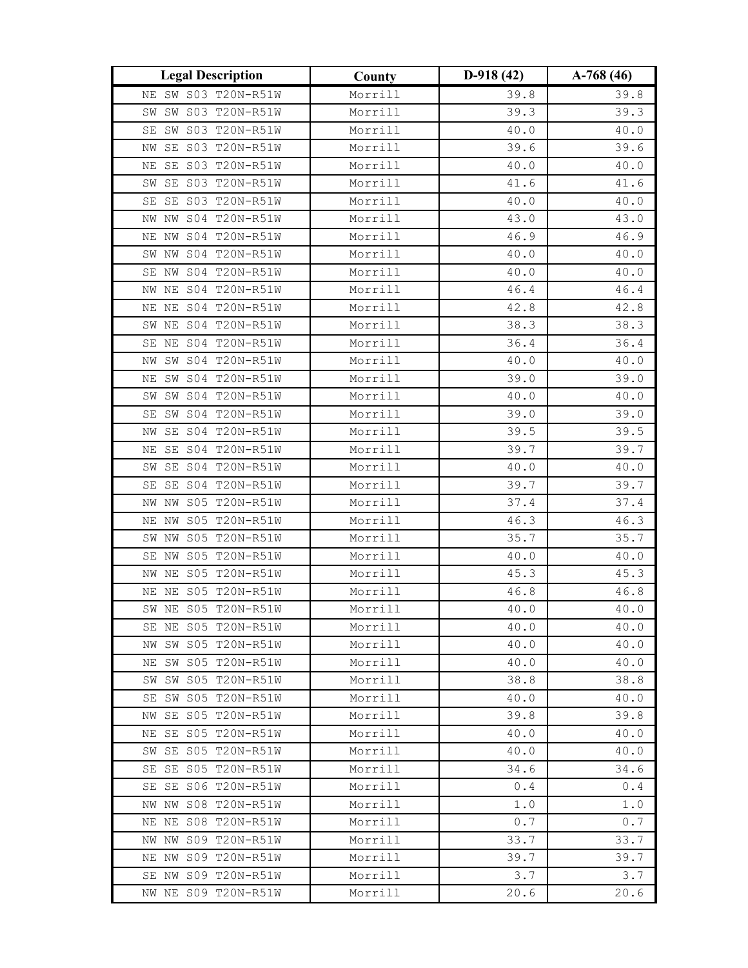| <b>Legal Description</b>  | County  | $D-918(42)$ | $A-768(46)$ |  |
|---------------------------|---------|-------------|-------------|--|
| NE SW S03 T20N-R51W       | Morrill | 39.8        | 39.8        |  |
| SW S03 T20N-R51W<br>SW    | Morrill | 39.3        | 39.3        |  |
| SW S03 T20N-R51W<br>SE    | Morrill | 40.0        | 40.0        |  |
| SE S03 T20N-R51W<br>ΝW    | Morrill | 39.6        | 39.6        |  |
| SE S03 T20N-R51W<br>ΝE    | Morrill | 40.0        | 40.0        |  |
| SE S03 T20N-R51W<br>SW    | Morrill | 41.6        | 41.6        |  |
| SE S03 T20N-R51W<br>SE    | Morrill | 40.0        | 40.0        |  |
| NW S04 T20N-R51W<br>ΝW    | Morrill | 43.0        | 43.0        |  |
| NW S04 T20N-R51W<br>ΝE    | Morrill | 46.9        | 46.9        |  |
| SW NW S04 T20N-R51W       | Morrill | 40.0        | 40.0        |  |
| SE NW S04 T20N-R51W       | Morrill | 40.0        | 40.0        |  |
| NW NE S04 T20N-R51W       | Morrill | 46.4        | 46.4        |  |
| S04 T20N-R51W<br>ΝE<br>ΝE | Morrill | 42.8        | 42.8        |  |
| NE S04 T20N-R51W<br>SW    | Morrill | 38.3        | 38.3        |  |
| SE NE S04 T20N-R51W       | Morrill | 36.4        | 36.4        |  |
| SW S04 T20N-R51W<br>ΝW    | Morrill | 40.0        | 40.0        |  |
| SW S04 T20N-R51W<br>ΝE    | Morrill | 39.0        | 39.0        |  |
| SW S04 T20N-R51W<br>SW    | Morrill | 40.0        | 40.0        |  |
| SW S04 T20N-R51W<br>SE    | Morrill | 39.0        | 39.0        |  |
| SE S04 T20N-R51W<br>ΝW    | Morrill | 39.5        | 39.5        |  |
| SE S04 T20N-R51W<br>ΝE    | Morrill | 39.7        | 39.7        |  |
| SE S04 T20N-R51W<br>SW    | Morrill | 40.0        | 40.0        |  |
| SE SE S04 T20N-R51W       | Morrill | 39.7        | 39.7        |  |
| NW NW S05 T20N-R51W       | Morrill | 37.4        | 37.4        |  |
| S05 T20N-R51W<br>ΝW<br>ΝE | Morrill | 46.3        | 46.3        |  |
| S05 T20N-R51W<br>SW NW    | Morrill | 35.7        | 35.7        |  |
| S05 T20N-R51W<br>SE<br>ΝW | Morrill | 40.0        | 40.0        |  |
| NE S05 T20N-R51W<br>NW    | Morrill | 45.3        | 45.3        |  |
| NE NE S05 T20N-R51W       | Morrill | 46.8        | 46.8        |  |
| SW NE S05 T20N-R51W       | Morrill | 40.0        | 40.0        |  |
| SE NE S05 T20N-R51W       | Morrill | 40.0        | 40.0        |  |
| NW SW S05 T20N-R51W       | Morrill | 40.0        | 40.0        |  |
| NE SW S05 T20N-R51W       | Morrill | 40.0        | 40.0        |  |
| SW S05 T20N-R51W<br>SW    | Morrill | 38.8        | 38.8        |  |
| SE SW S05 T20N-R51W       | Morrill | 40.0        | 40.0        |  |
| NW SE S05 T20N-R51W       | Morrill | 39.8        | 39.8        |  |
| NE SE S05 T20N-R51W       | Morrill | 40.0        | 40.0        |  |
| SW SE S05 T20N-R51W       | Morrill | 40.0        | 40.0        |  |
| SE SE S05 T20N-R51W       | Morrill | 34.6        | 34.6        |  |
| SE SE S06 T20N-R51W       | Morrill | 0.4         | 0.4         |  |
| NW NW S08 T20N-R51W       | Morrill | $1.0\,$     | $1.0$       |  |
| NE NE S08 T20N-R51W       | Morrill | 0.7         | 0.7         |  |
| NW NW S09 T20N-R51W       | Morrill | 33.7        | 33.7        |  |
| NE NW S09 T20N-R51W       | Morrill | 39.7        | 39.7        |  |
| SE NW S09 T20N-R51W       | Morrill | 3.7         | 3.7         |  |
| NW NE S09 T20N-R51W       | Morrill | 20.6        | 20.6        |  |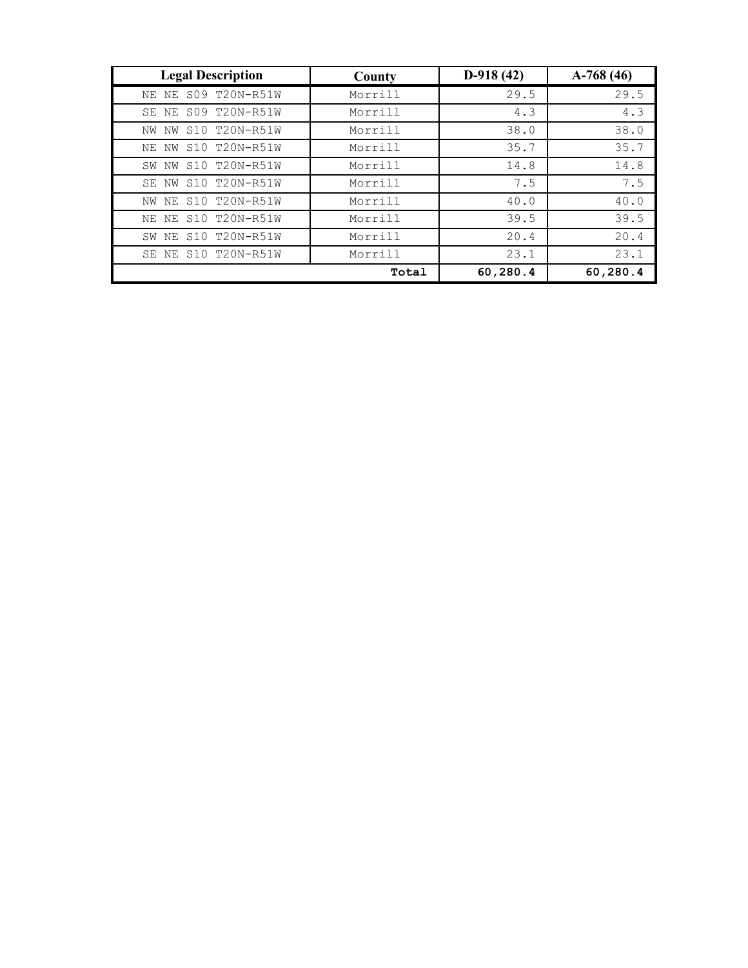| <b>Legal Description</b> | County  | $D-918(42)$ | $A-768(46)$ |
|--------------------------|---------|-------------|-------------|
| NE NE S09 T20N-R51W      | Morrill | 29.5        | 29.5        |
| S09 T20N-R51W<br>SE NE   | Morrill | 4.3         | 4.3         |
| NW NW S10 T20N-R51W      | Morrill | 38.0        | 38.0        |
| NE NW S10 T20N-R51W      | Morrill | 35.7        | 35.7        |
| S10 T20N-R51W<br>SW NW   | Morrill | 14.8        | 14.8        |
| SE NW S10 T20N-R51W      | Morrill | 7.5         | 7.5         |
| NW NE S10 T20N-R51W      | Morrill | 40.0        | 40.0        |
| S10 T20N-R51W<br>NE NE   | Morrill | 39.5        | 39.5        |
| SW NE S10 T20N-R51W      | Morrill | 20.4        | 20.4        |
| SE NE S10 T20N-R51W      | Morrill | 23.1        | 23.1        |
|                          | Total   | 60,280.4    | 60,280.4    |